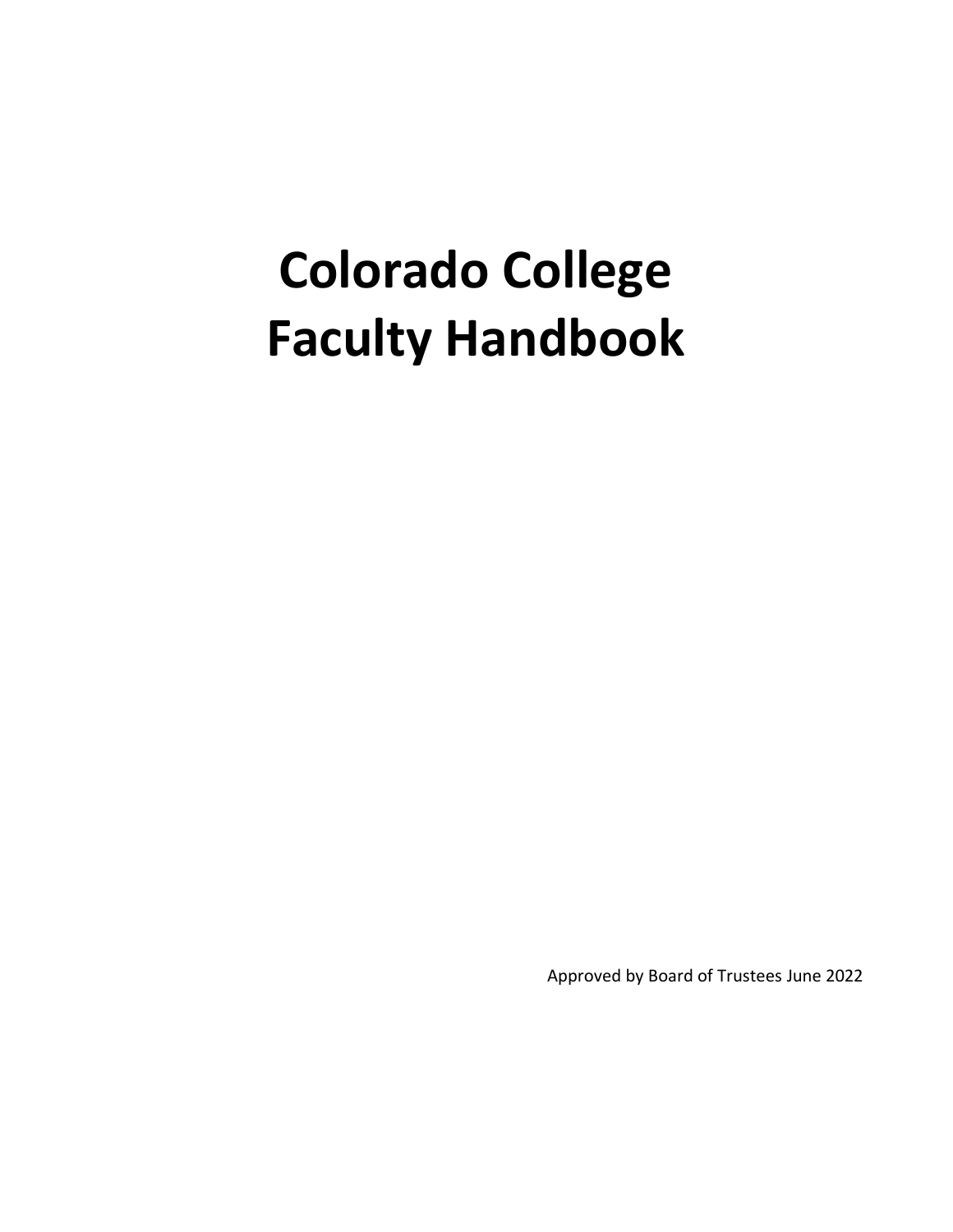# **Colorado College Faculty Handbook**

Approved by Board of Trustees June 2022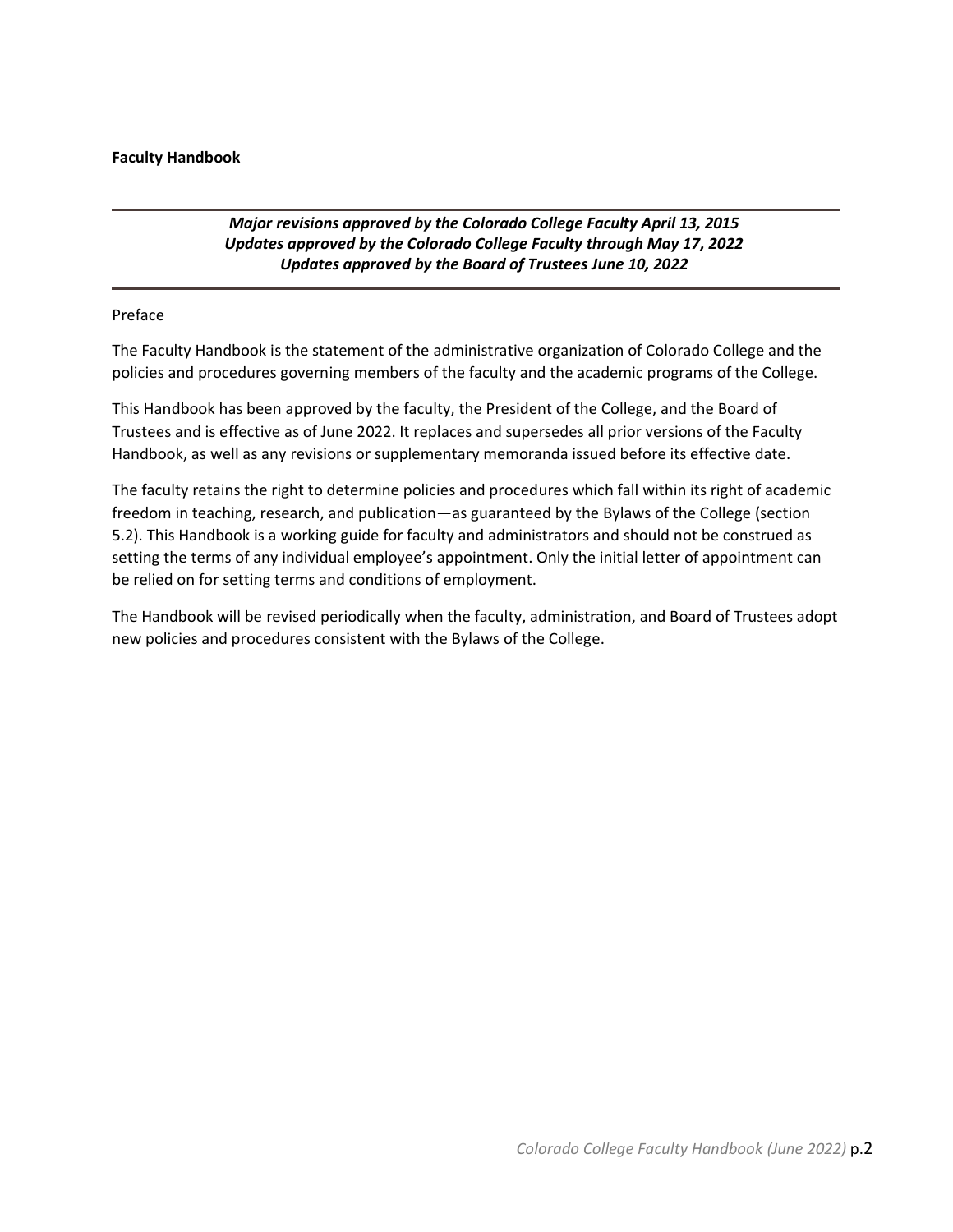#### **Faculty Handbook**

## *Major revisions approved by the Colorado College Faculty April 13, 2015 Updates approved by the Colorado College Faculty through May 17, 2022 Updates approved by the Board of Trustees June 10, 2022*

#### Preface

The Faculty Handbook is the statement of the administrative organization of Colorado College and the policies and procedures governing members of the faculty and the academic programs of the College.

This Handbook has been approved by the faculty, the President of the College, and the Board of Trustees and is effective as of June 2022. It replaces and supersedes all prior versions of the Faculty Handbook, as well as any revisions or supplementary memoranda issued before its effective date.

The faculty retains the right to determine policies and procedures which fall within its right of academic freedom in teaching, research, and publication—as guaranteed by the Bylaws of the College (section 5.2). This Handbook is a working guide for faculty and administrators and should not be construed as setting the terms of any individual employee's appointment. Only the initial letter of appointment can be relied on for setting terms and conditions of employment.

The Handbook will be revised periodically when the faculty, administration, and Board of Trustees adopt new policies and procedures consistent with the Bylaws of the College.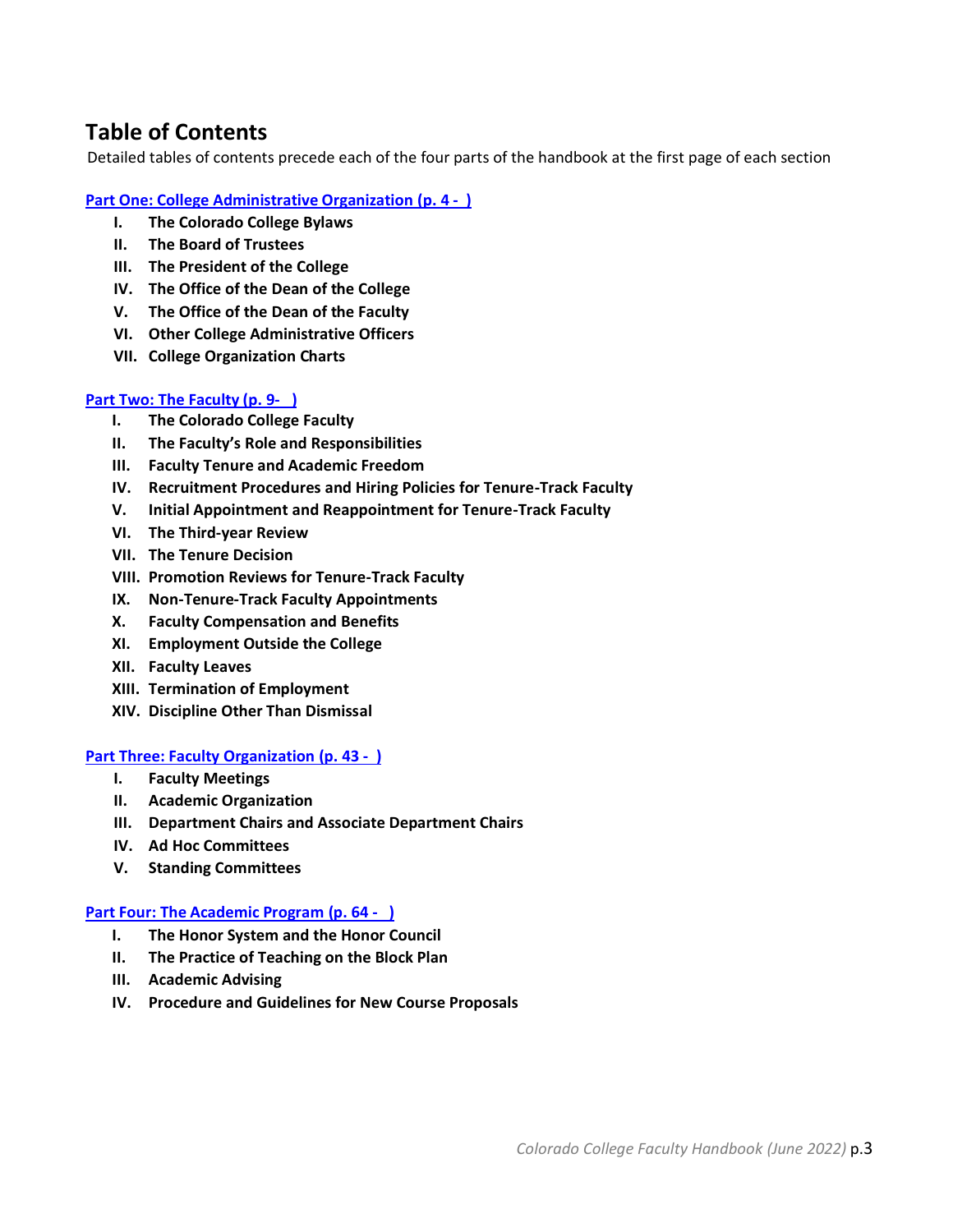# <span id="page-2-1"></span>**Table of Contents**

Detailed tables of contents precede each of the four parts of the handbook at the first page of each section

## **[Part One: College Administrative Organization \(p. 4](#page-2-0) - )**

- **I. The Colorado College Bylaws**
- **II. The Board of Trustees**
- **III. The President of the College**
- **IV. The Office of the Dean of the College**
- **V. The Office of the Dean of the Faculty**
- **VI. Other College Administrative Officers**
- **VII. College Organization Charts**

## **[Part Two: The Faculty \(p. 9- \)](#page-8-0)**

- **I. The Colorado College Faculty**
- **II. The Faculty's Role and Responsibilities**
- **III. Faculty Tenure and Academic Freedom**
- **IV. Recruitment Procedures and Hiring Policies for Tenure-Track Faculty**
- **V. Initial Appointment and Reappointment for Tenure-Track Faculty**
- **VI. The Third-year Review**
- **VII. The Tenure Decision**
- **VIII. Promotion Reviews for Tenure-Track Faculty**
- **IX. Non-Tenure-Track Faculty Appointments**
- **X. Faculty Compensation and Benefits**
- **XI. Employment Outside the College**
- **XII. Faculty Leaves**
- **XIII. Termination of Employment**
- **XIV. Discipline Other Than Dismissal**

## **[Part Three: Faculty Organization](#page-42-0) (p. 43 - )**

- **I. Faculty Meetings**
- **II. Academic Organization**
- **III. Department Chairs and Associate Department Chairs**
- **IV. Ad Hoc Committees**
- **V. Standing Committees**

## **[Part Four: The Academic Program](#page-63-0) (p. 64 - )**

- **I. The Honor System and the Honor Council**
- **II. The Practice of Teaching on the Block Plan**
- **III. Academic Advising**
- <span id="page-2-0"></span>**IV. Procedure and Guidelines for New Course Proposals**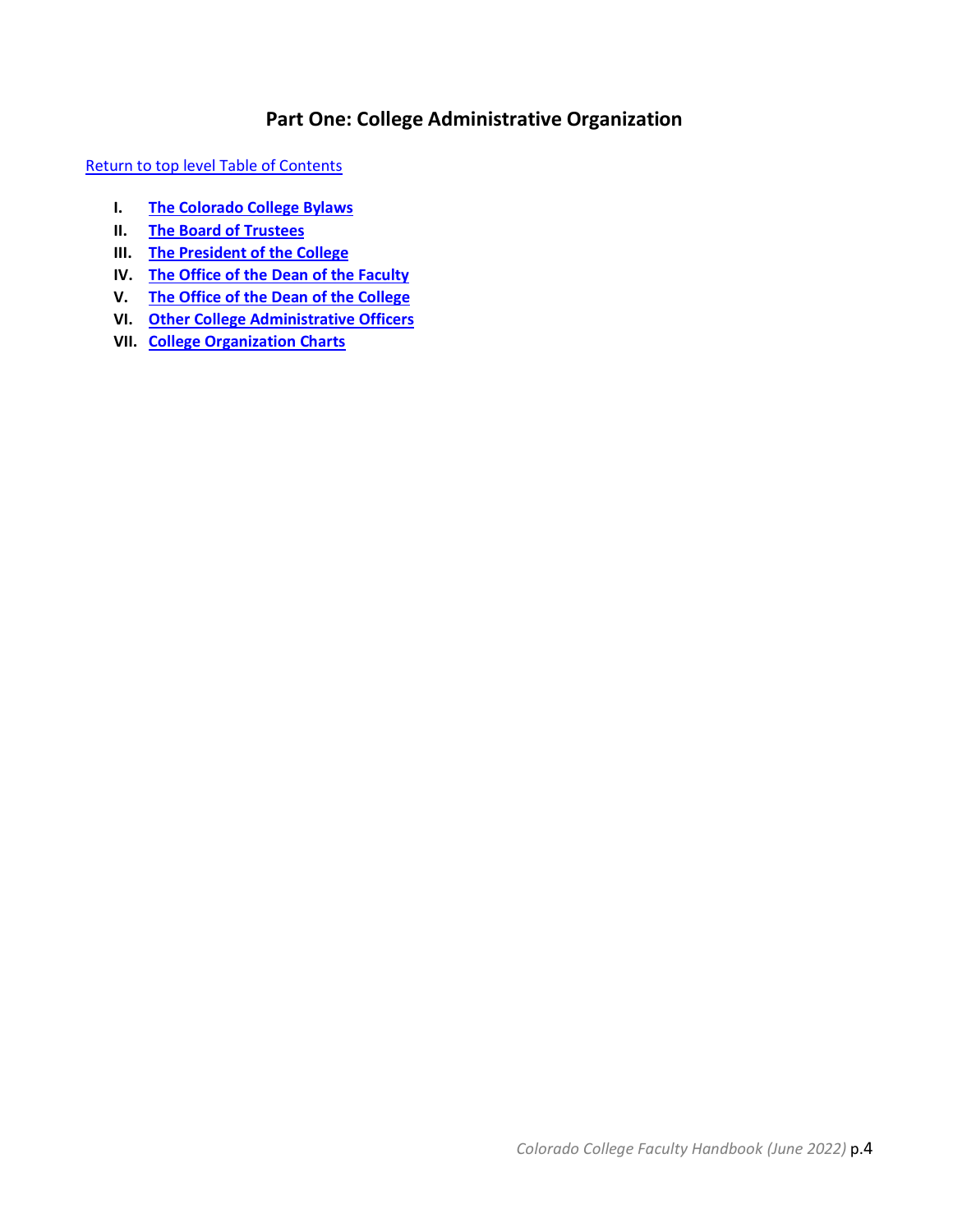# **Part One: College Administrative Organization**

[Return to top level Table of Contents](#page-2-1)

- **I. [The Colorado College Bylaws](#page-4-0)**
- **II. [The Board of Trustees](#page-4-1)**
- **III. [The President of the College](#page-4-2)**
- **IV. The Office of the [Dean of the Faculty](#page-5-0)**
- **V. [The Office of the Dean of the College](#page-6-0)**
- **VI. [Other College Administrative Officers](#page-6-1)**
- **VII. [College Organization Charts](#page-7-0)**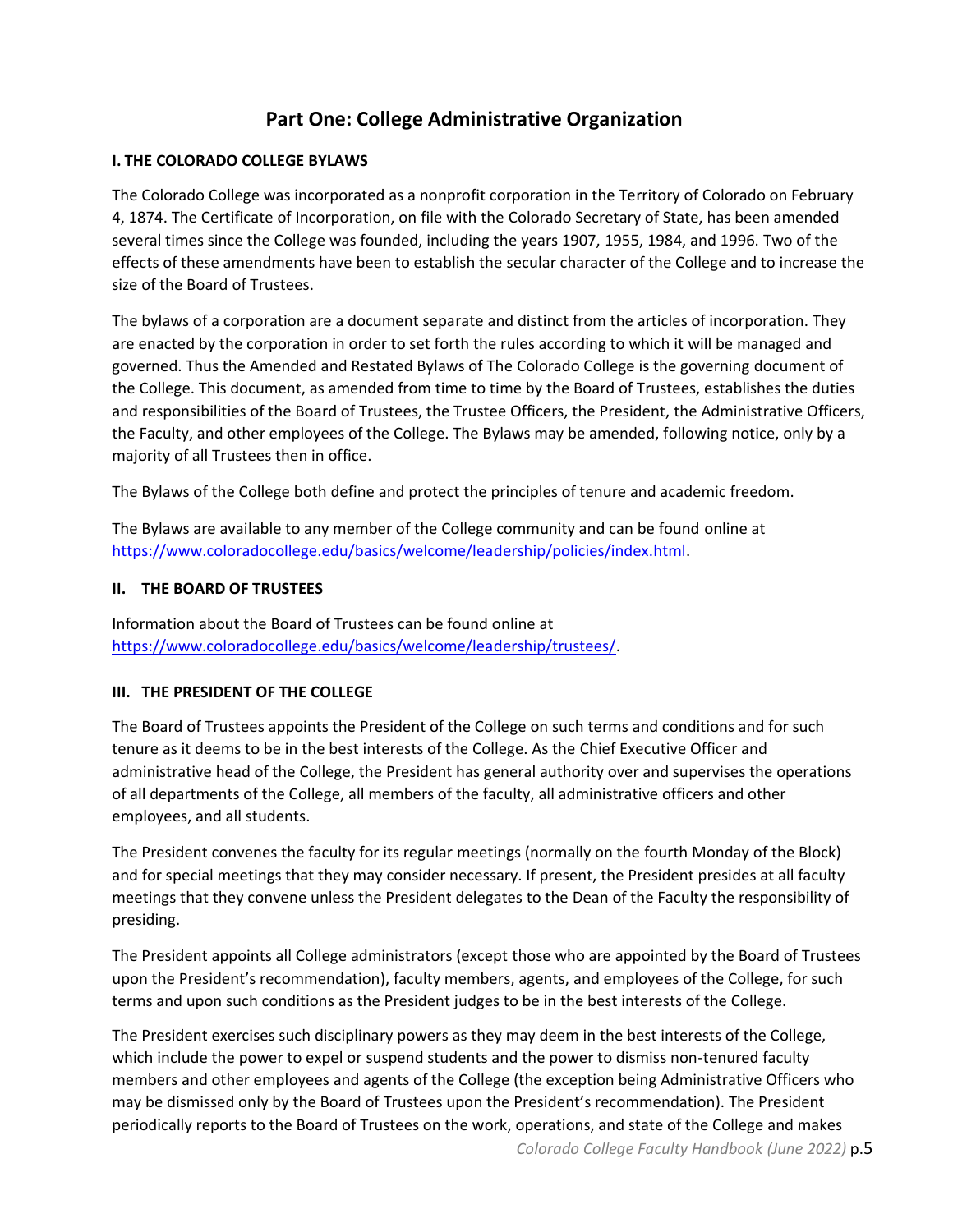# **Part One: College Administrative Organization**

## <span id="page-4-0"></span>**I. THE COLORADO COLLEGE BYLAWS**

The Colorado College was incorporated as a nonprofit corporation in the Territory of Colorado on February 4, 1874. The Certificate of Incorporation, on file with the Colorado Secretary of State, has been amended several times since the College was founded, including the years 1907, 1955, 1984, and 1996. Two of the effects of these amendments have been to establish the secular character of the College and to increase the size of the Board of Trustees.

The bylaws of a corporation are a document separate and distinct from the articles of incorporation. They are enacted by the corporation in order to set forth the rules according to which it will be managed and governed. Thus the Amended and Restated Bylaws of The Colorado College is the governing document of the College. This document, as amended from time to time by the Board of Trustees, establishes the duties and responsibilities of the Board of Trustees, the Trustee Officers, the President, the Administrative Officers, the Faculty, and other employees of the College. The Bylaws may be amended, following notice, only by a majority of all Trustees then in office.

The Bylaws of the College both define and protect the principles of tenure and academic freedom.

<span id="page-4-1"></span>The Bylaws are available to any member of the College community and can be found online at [https://www.coloradocollege.edu/basics/welcome/leadership/policies/index.html.](https://www.coloradocollege.edu/basics/welcome/leadership/policies/index.html)

## **II. THE BOARD OF TRUSTEES**

Information about the Board of Trustees can be found online at [https://www.coloradocollege.edu/basics/welcome/leadership/trustees/.](https://www.coloradocollege.edu/basics/welcome/leadership/trustees/)

## <span id="page-4-2"></span>**III. THE PRESIDENT OF THE COLLEGE**

The Board of Trustees appoints the President of the College on such terms and conditions and for such tenure as it deems to be in the best interests of the College. As the Chief Executive Officer and administrative head of the College, the President has general authority over and supervises the operations of all departments of the College, all members of the faculty, all administrative officers and other employees, and all students.

The President convenes the faculty for its regular meetings (normally on the fourth Monday of the Block) and for special meetings that they may consider necessary. If present, the President presides at all faculty meetings that they convene unless the President delegates to the Dean of the Faculty the responsibility of presiding.

The President appoints all College administrators (except those who are appointed by the Board of Trustees upon the President's recommendation), faculty members, agents, and employees of the College, for such terms and upon such conditions as the President judges to be in the best interests of the College.

The President exercises such disciplinary powers as they may deem in the best interests of the College, which include the power to expel or suspend students and the power to dismiss non-tenured faculty members and other employees and agents of the College (the exception being Administrative Officers who may be dismissed only by the Board of Trustees upon the President's recommendation). The President periodically reports to the Board of Trustees on the work, operations, and state of the College and makes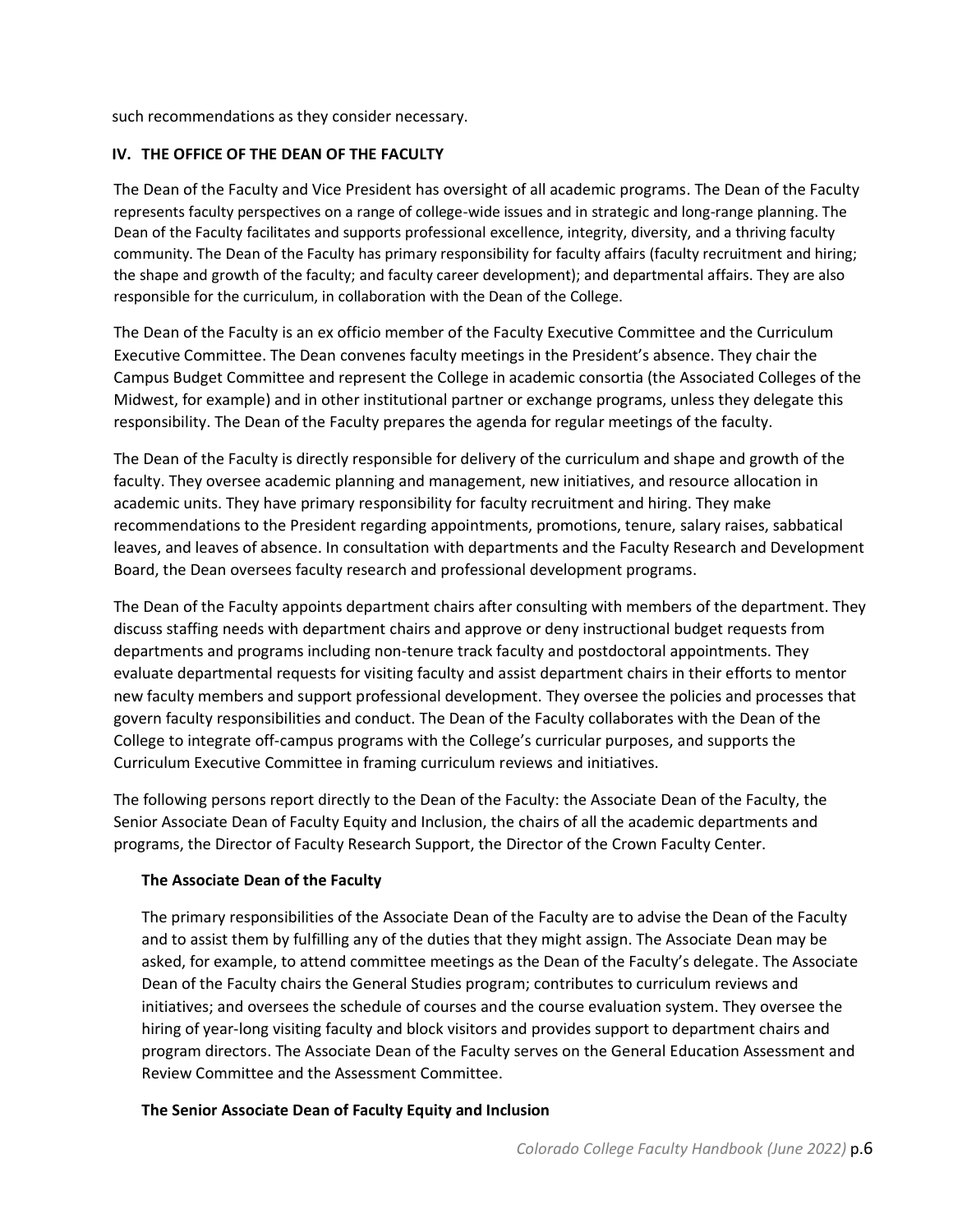such recommendations as they consider necessary.

## <span id="page-5-0"></span>**IV. THE OFFICE OF THE DEAN OF THE FACULTY**

The Dean of the Faculty and Vice President has oversight of all academic programs. The Dean of the Faculty represents faculty perspectives on a range of college-wide issues and in strategic and long-range planning. The Dean of the Faculty facilitates and supports professional excellence, integrity, diversity, and a thriving faculty community. The Dean of the Faculty has primary responsibility for faculty affairs (faculty recruitment and hiring; the shape and growth of the faculty; and faculty career development); and departmental affairs. They are also responsible for the curriculum, in collaboration with the Dean of the College.

The Dean of the Faculty is an ex officio member of the Faculty Executive Committee and the Curriculum Executive Committee. The Dean convenes faculty meetings in the President's absence. They chair the Campus Budget Committee and represent the College in academic consortia (the Associated Colleges of the Midwest, for example) and in other institutional partner or exchange programs, unless they delegate this responsibility. The Dean of the Faculty prepares the agenda for regular meetings of the faculty.

The Dean of the Faculty is directly responsible for delivery of the curriculum and shape and growth of the faculty. They oversee academic planning and management, new initiatives, and resource allocation in academic units. They have primary responsibility for faculty recruitment and hiring. They make recommendations to the President regarding appointments, promotions, tenure, salary raises, sabbatical leaves, and leaves of absence. In consultation with departments and the Faculty Research and Development Board, the Dean oversees faculty research and professional development programs.

The Dean of the Faculty appoints department chairs after consulting with members of the department. They discuss staffing needs with department chairs and approve or deny instructional budget requests from departments and programs including non-tenure track faculty and postdoctoral appointments. They evaluate departmental requests for visiting faculty and assist department chairs in their efforts to mentor new faculty members and support professional development. They oversee the policies and processes that govern faculty responsibilities and conduct. The Dean of the Faculty collaborates with the Dean of the College to integrate off-campus programs with the College's curricular purposes, and supports the Curriculum Executive Committee in framing curriculum reviews and initiatives.

The following persons report directly to the Dean of the Faculty: the Associate Dean of the Faculty, the Senior Associate Dean of Faculty Equity and Inclusion, the chairs of all the academic departments and programs, the Director of Faculty Research Support, the Director of the Crown Faculty Center.

## **The Associate Dean of the Faculty**

The primary responsibilities of the Associate Dean of the Faculty are to advise the Dean of the Faculty and to assist them by fulfilling any of the duties that they might assign. The Associate Dean may be asked, for example, to attend committee meetings as the Dean of the Faculty's delegate. The Associate Dean of the Faculty chairs the General Studies program; contributes to curriculum reviews and initiatives; and oversees the schedule of courses and the course evaluation system. They oversee the hiring of year-long visiting faculty and block visitors and provides support to department chairs and program directors. The Associate Dean of the Faculty serves on the General Education Assessment and Review Committee and the Assessment Committee.

## **The Senior Associate Dean of Faculty Equity and Inclusion**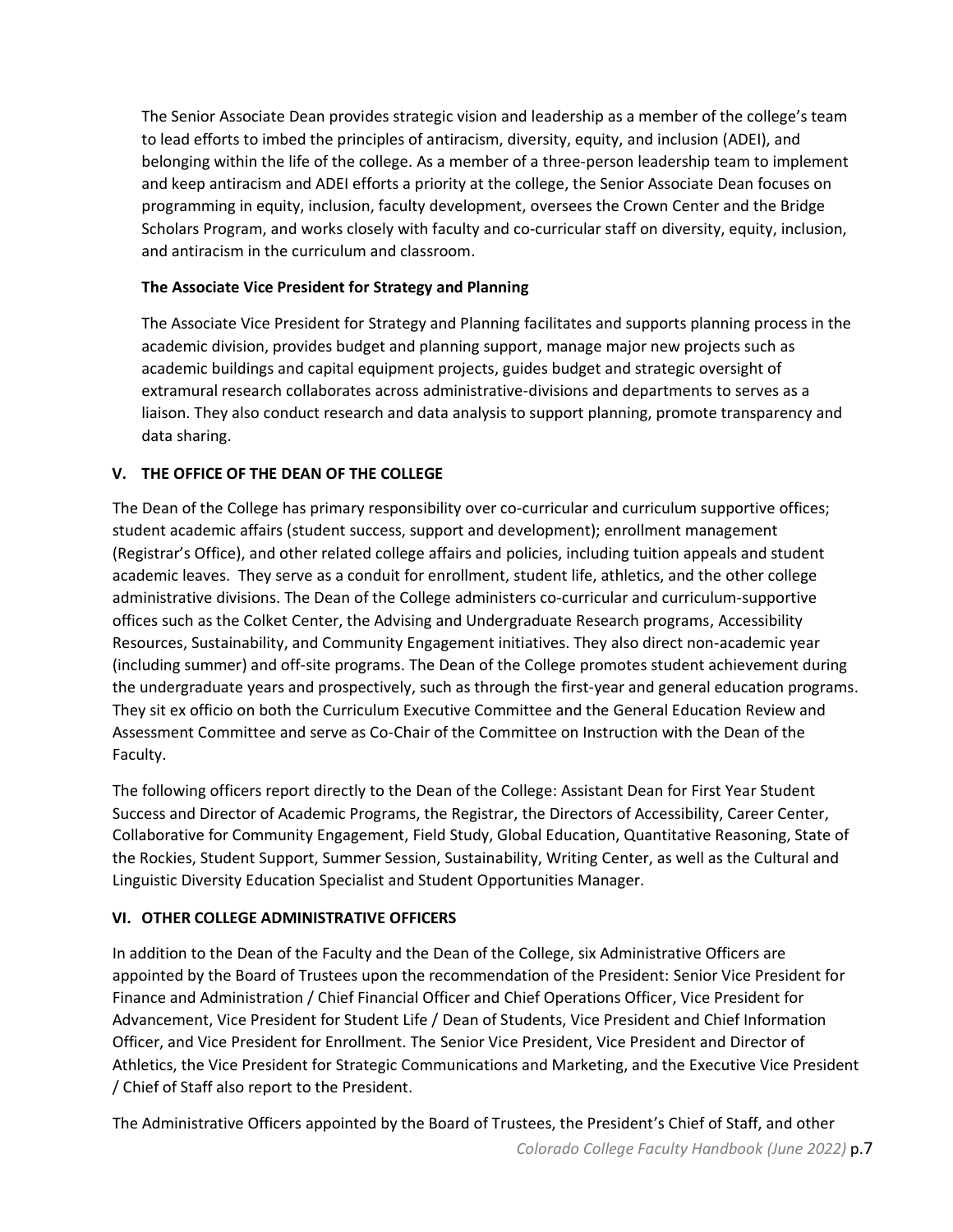The Senior Associate Dean provides strategic vision and leadership as a member of the college's team to lead efforts to imbed the principles of antiracism, diversity, equity, and inclusion (ADEI), and belonging within the life of the college. As a member of a three-person leadership team to implement and keep antiracism and ADEI efforts a priority at the college, the Senior Associate Dean focuses on programming in equity, inclusion, faculty development, oversees the Crown Center and the Bridge Scholars Program, and works closely with faculty and co-curricular staff on diversity, equity, inclusion, and antiracism in the curriculum and classroom.

## **The Associate Vice President for Strategy and Planning**

The Associate Vice President for Strategy and Planning facilitates and supports planning process in the academic division, provides budget and planning support, manage major new projects such as academic buildings and capital equipment projects, guides budget and strategic oversight of extramural research collaborates across administrative-divisions and departments to serves as a liaison. They also conduct research and data analysis to support planning, promote transparency and data sharing.

## <span id="page-6-0"></span>**V. THE OFFICE OF THE DEAN OF THE COLLEGE**

The Dean of the College has primary responsibility over co-curricular and curriculum supportive offices; student academic affairs (student success, support and development); enrollment management (Registrar's Office), and other related college affairs and policies, including tuition appeals and student academic leaves. They serve as a conduit for enrollment, student life, athletics, and the other college administrative divisions. The Dean of the College administers co-curricular and curriculum-supportive offices such as the Colket Center, the Advising and Undergraduate Research programs, Accessibility Resources, Sustainability, and Community Engagement initiatives. They also direct non-academic year (including summer) and off-site programs. The Dean of the College promotes student achievement during the undergraduate years and prospectively, such as through the first-year and general education programs. They sit ex officio on both the Curriculum Executive Committee and the General Education Review and Assessment Committee and serve as Co-Chair of the Committee on Instruction with the Dean of the Faculty.

The following officers report directly to the Dean of the College: Assistant Dean for First Year Student Success and Director of Academic Programs, the Registrar, the Directors of Accessibility, Career Center, Collaborative for Community Engagement, Field Study, Global Education, Quantitative Reasoning, State of the Rockies, Student Support, Summer Session, Sustainability, Writing Center, as well as the Cultural and Linguistic Diversity Education Specialist and Student Opportunities Manager.

## <span id="page-6-1"></span>**VI. OTHER COLLEGE ADMINISTRATIVE OFFICERS**

In addition to the Dean of the Faculty and the Dean of the College, six Administrative Officers are appointed by the Board of Trustees upon the recommendation of the President: Senior Vice President for Finance and Administration / Chief Financial Officer and Chief Operations Officer, Vice President for Advancement, Vice President for Student Life / Dean of Students, Vice President and Chief Information Officer, and Vice President for Enrollment. The Senior Vice President, Vice President and Director of Athletics, the Vice President for Strategic Communications and Marketing, and the Executive Vice President / Chief of Staff also report to the President.

The Administrative Officers appointed by the Board of Trustees, the President's Chief of Staff, and other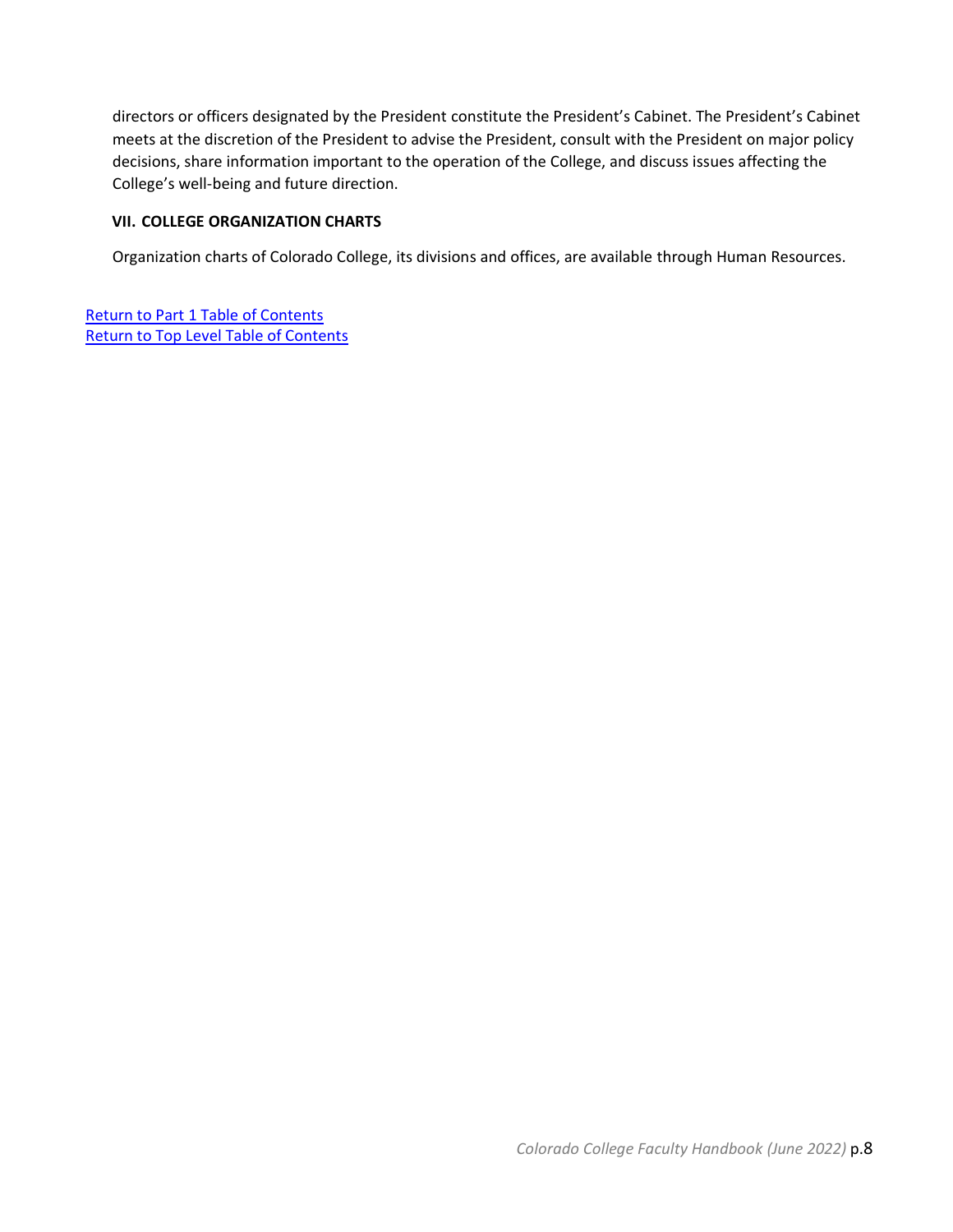directors or officers designated by the President constitute the President's Cabinet. The President's Cabinet meets at the discretion of the President to advise the President, consult with the President on major policy decisions, share information important to the operation of the College, and discuss issues affecting the College's well-being and future direction.

## <span id="page-7-0"></span>**VII. COLLEGE ORGANIZATION CHARTS**

Organization charts of Colorado College, its divisions and offices, are available through Human Resources.

[Return to Part 1 Table of Contents](#page-2-0) [Return to Top Level Table of Contents](#page-2-1)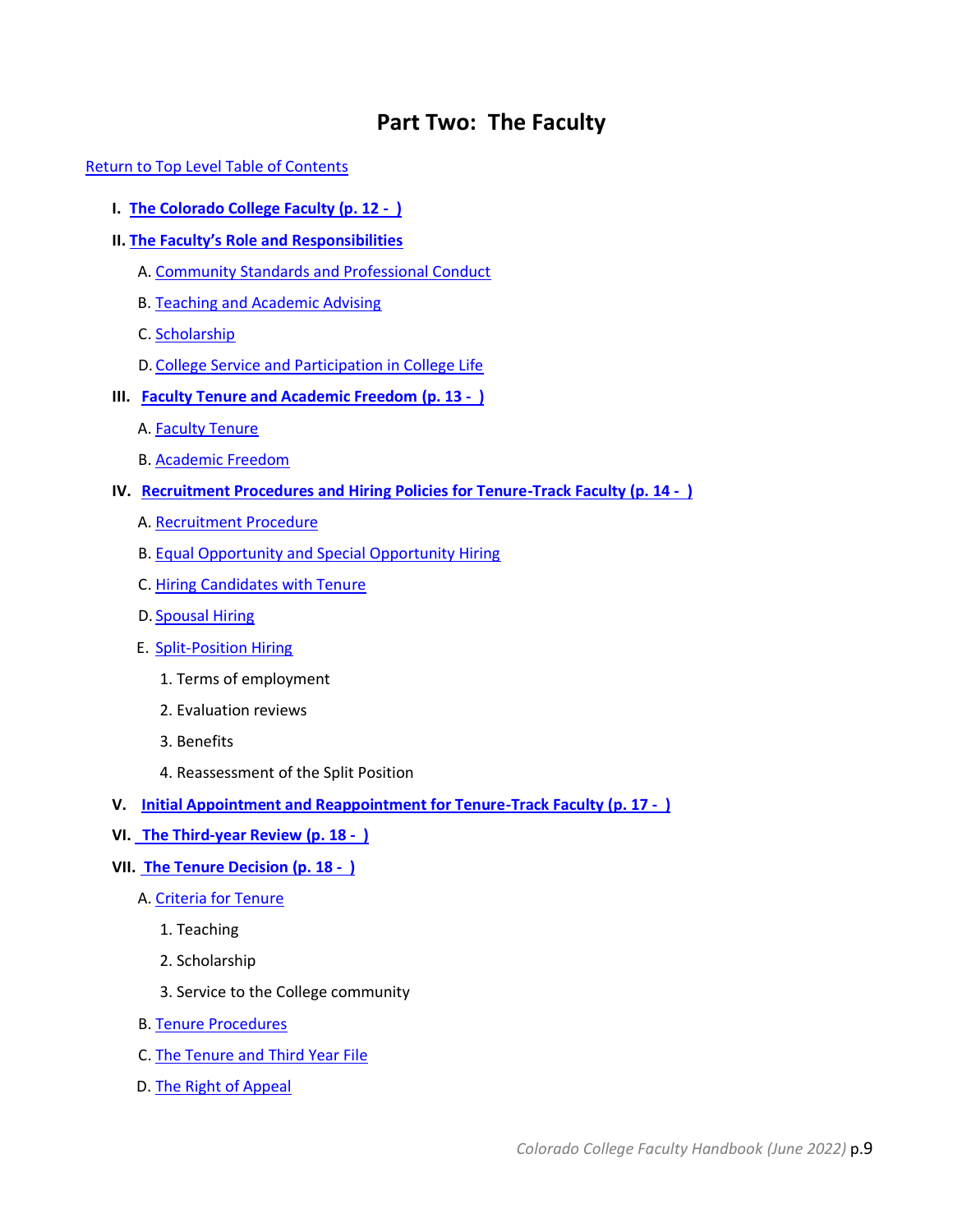# **Part Two: The Faculty**

#### <span id="page-8-0"></span>[Return to Top Level Table of Contents](#page-2-1)

- **I. [The Colorado College Faculty \(p. 12 \)](#page-11-0)**
- **II. [The Faculty's Role and Responsibilities](#page-11-1)**
	- A. [Community Standards and Professional Conduct](#page-11-2)
	- B. [Teaching and Academic Advising](#page-11-3)
	- C. [Scholarship](#page-11-4)
	- D. [College Service and Participation in College Life](#page-11-5)
- **III. [Faculty Tenure and Academic Freedom](#page-12-0) (p. 13 )**
	- A. [Faculty Tenure](#page-12-1)
	- B. [Academic Freedom](#page-12-2)
- **IV. [Recruitment Procedures and Hiring Policies for Tenure-Track Faculty](#page-12-3) (p. 14 )**
	- A. [Recruitment Procedure](#page-13-0)
	- B. [Equal Opportunity and Special Opportunity Hiring](#page-14-0)
	- C. [Hiring Candidates with Tenure](#page-14-1)
	- D. Spousal Hiring
	- E. Split-Position Hiring
		- 1. Terms of employment
		- 2. Evaluation reviews
		- 3. Benefits
		- 4. Reassessment of the Split Position
- **V. [Initial Appointment and Reappointment for Tenure-Track Faculty](#page-16-0) (p. 17 )**
- **VI. [The Third-year Review](#page-17-0) (p. 18 )**
- **VII. [The Tenure Decision](#page-17-1) (p. 18 )**
	- A. [Criteria for Tenure](#page-17-2)
		- 1. Teaching
		- 2. Scholarship
		- 3. Service to the College community
	- B. [Tenure Procedures](#page-19-0)
	- C. [The Tenure and Third Year File](#page-21-0)
	- D. [The Right of Appeal](#page-23-0)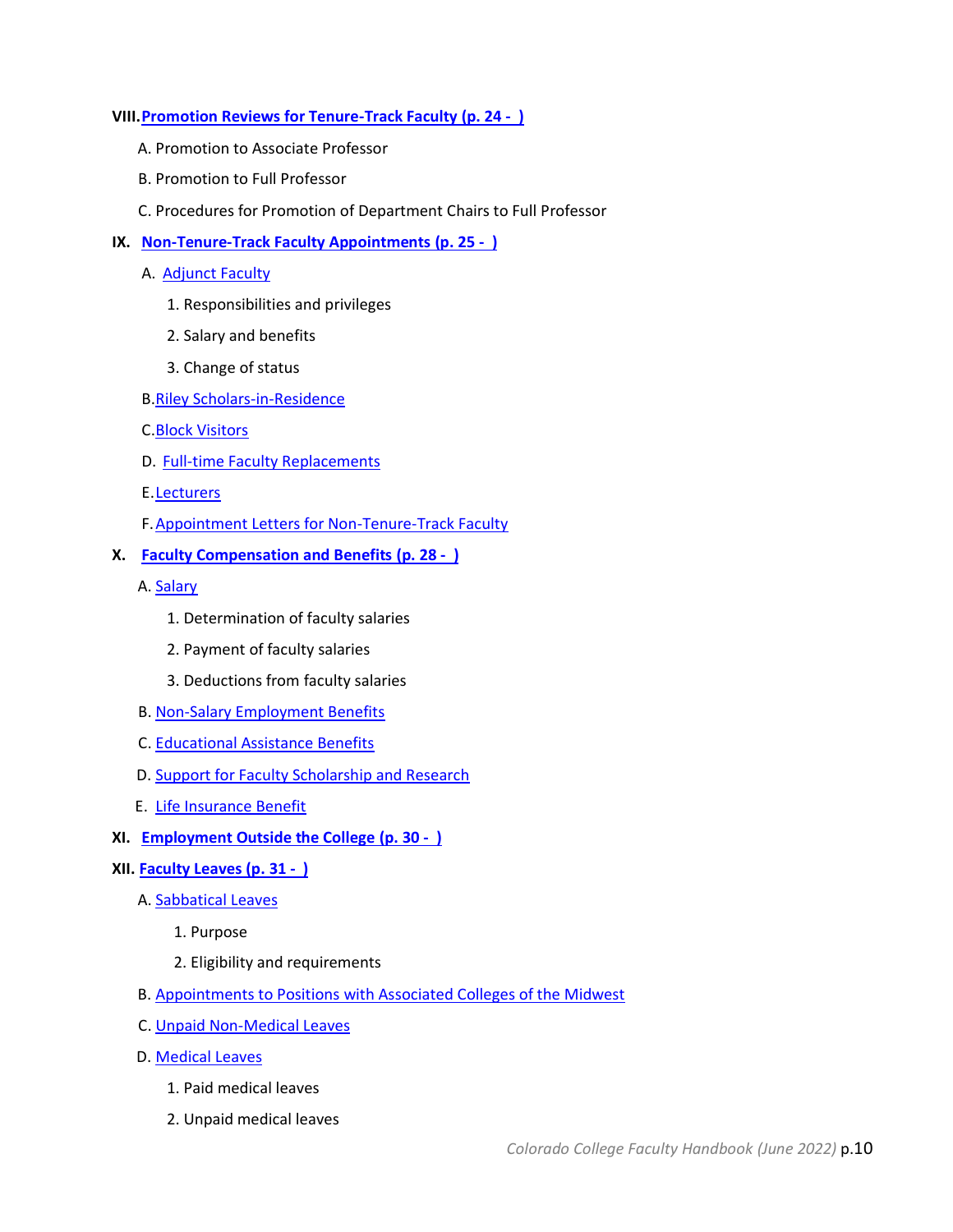#### **VIII[.Promotion Reviews for Tenure-Track Faculty](#page-23-1) (p. 24 - )**

- A. Promotion to Associate Professor
- B. Promotion to Full Professor
- C. Procedures for Promotion of Department Chairs to Full Professor

#### **IX. [Non-Tenure-Track Faculty Appointments](#page-24-0) (p. 25 - )**

- A. [Adjunct Faculty](#page-24-1)
	- 1. Responsibilities and privileges
	- 2. Salary and benefits
	- 3. Change of status
- B[.Riley Scholars-in-Residence](#page-25-0)
- C[.Block Visitors](#page-25-1)
- D. [Full-time Faculty Replacements](#page-26-0)
- E[.Lecturers](#page-26-1)
- F[.Appointment Letters for Non-Tenure-Track Faculty](#page-27-0)

#### **X. [Faculty Compensation and Benefits](#page-27-1) (p. 28 - )**

A. [Salary](#page-27-2)

- 1. Determination of faculty salaries
- 2. Payment of faculty salaries
- 3. Deductions from faculty salaries
- B. [Non-Salary Employment Benefits](#page-28-0)
- C. [Educational Assistance Benefits](#page-29-0)
- D. [Support for Faculty Scholarship and Research](#page-29-1)
- E. [Life Insurance Benefit](#page-29-2)
- **XI. [Employment Outside the College](#page-29-3) (p. 30 )**

#### **XII. [Faculty Leaves](#page-30-0) (p. 31 - )**

- A. [Sabbatical Leaves](#page-30-1)
	- 1. Purpose
	- 2. Eligibility and requirements
- B. [Appointments to Positions with Associated Colleges of the Midwest](#page-31-0)
- C. [Unpaid Non-Medical Leaves](#page-31-1)
- D. [Medical Leaves](#page-32-0)
	- 1. Paid medical leaves
	- 2. Unpaid medical leaves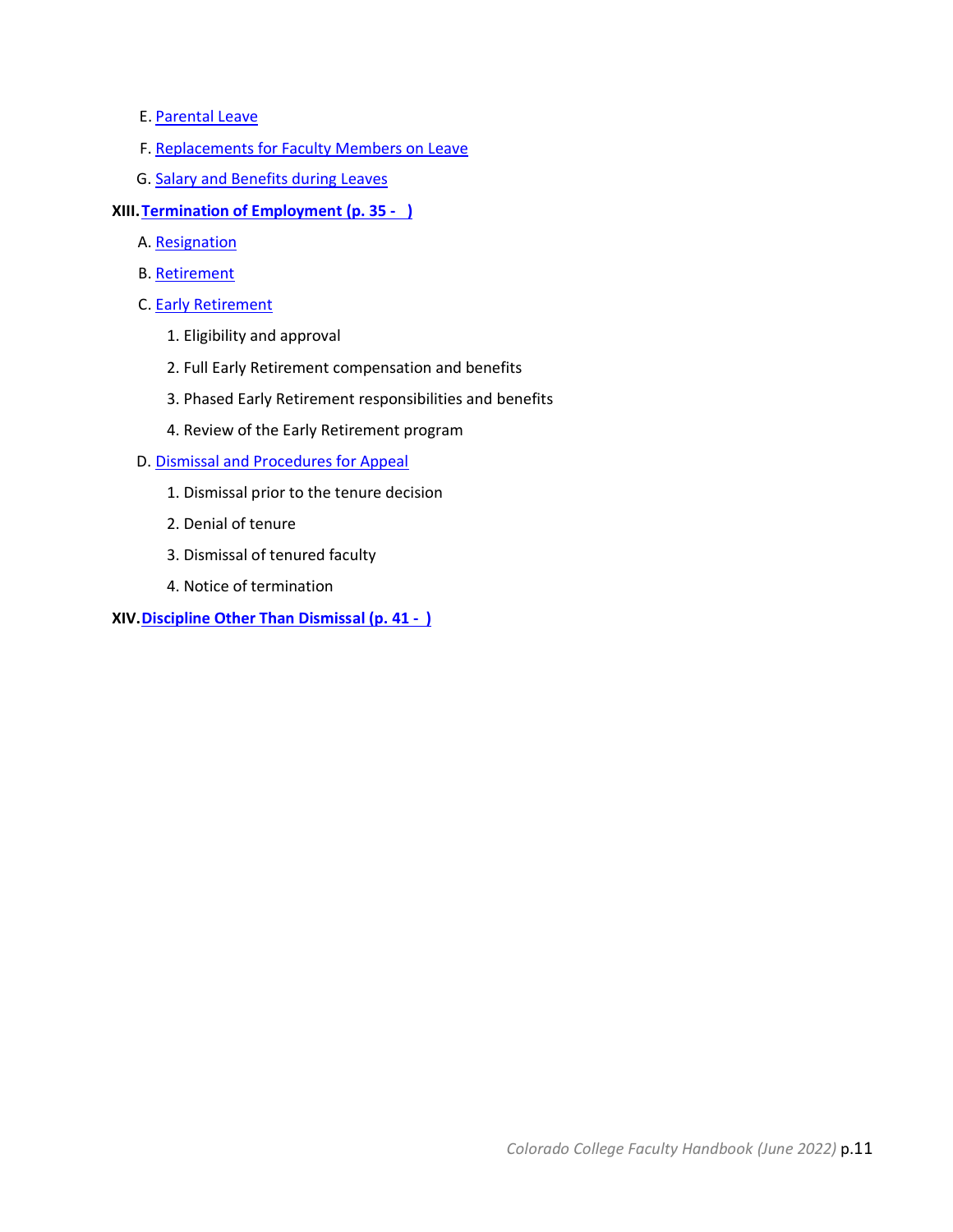- E. [Parental Leave](#page-33-0)
- F. [Replacements for Faculty Members on Leave](#page-34-0)
- G. [Salary and Benefits during Leaves](#page-34-1)
- **XIII[.Termination of Employment](#page-34-2) (p. 35 )**
	- A. [Resignation](#page-34-3)
	- B. [Retirement](#page-34-4)
	- C. [Early Retirement](#page-35-0)
		- 1. Eligibility and approval
		- 2. Full Early Retirement compensation and benefits
		- 3. Phased Early Retirement responsibilities and benefits
		- 4. Review of the Early Retirement program
	- D. [Dismissal and Procedures for Appeal](#page-37-0)
		- 1. Dismissal prior to the tenure decision
		- 2. Denial of tenure
		- 3. Dismissal of tenured faculty
		- 4. Notice of termination
- **XIV[.Discipline Other Than Dismissal](#page-40-0) (p. 41 )**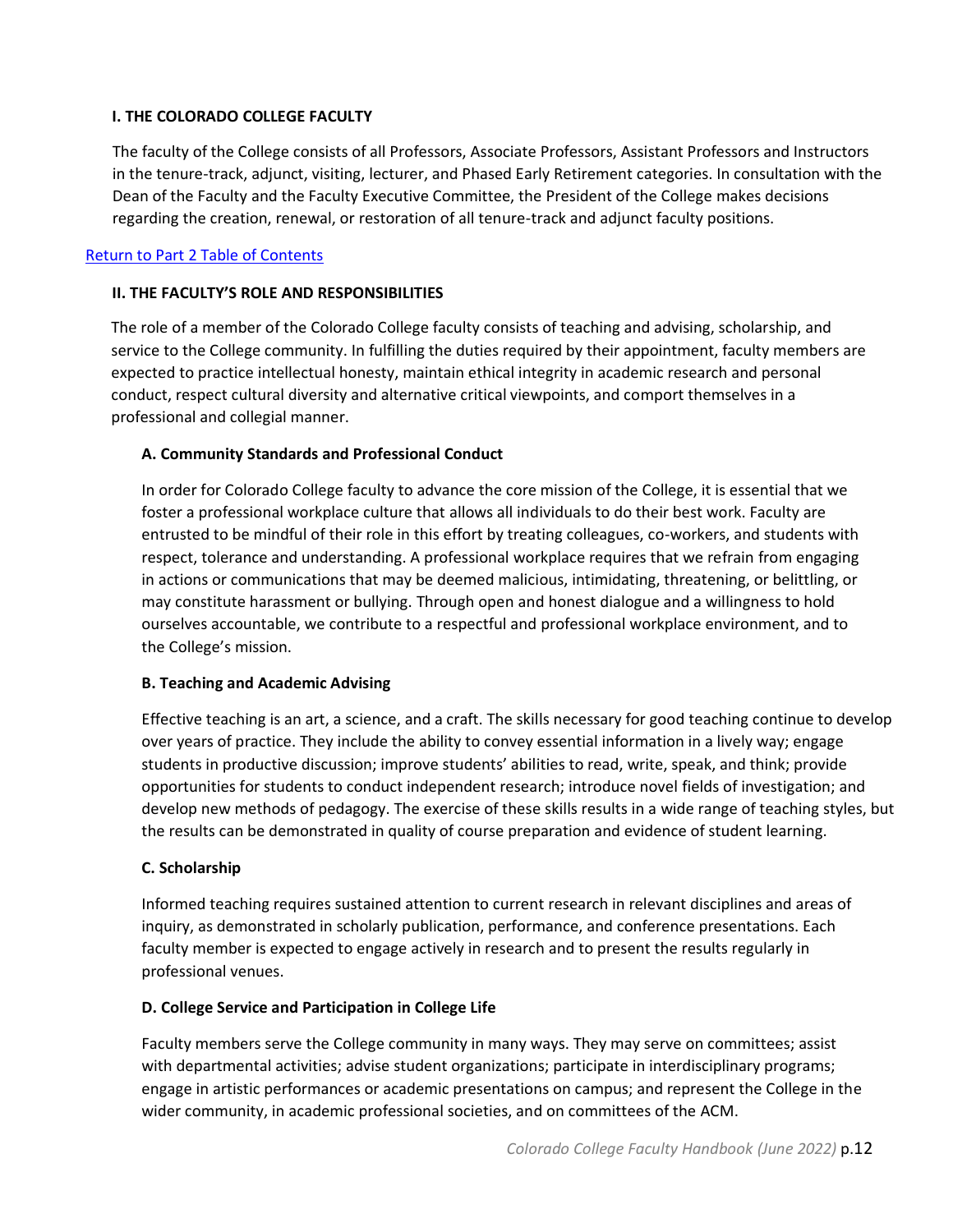## <span id="page-11-0"></span>**I. THE COLORADO COLLEGE FACULTY**

The faculty of the College consists of all Professors, Associate Professors, Assistant Professors and Instructors in the tenure-track, adjunct, visiting, lecturer, and Phased Early Retirement categories. In consultation with the Dean of the Faculty and the Faculty Executive Committee, the President of the College makes decisions regarding the creation, renewal, or restoration of all tenure-track and adjunct faculty positions.

## <span id="page-11-1"></span>[Return to Part 2 Table of Contents](#page-8-0)

## **II. THE FACULTY'S ROLE AND RESPONSIBILITIES**

The role of a member of the Colorado College faculty consists of teaching and advising, scholarship, and service to the College community. In fulfilling the duties required by their appointment, faculty members are expected to practice intellectual honesty, maintain ethical integrity in academic research and personal conduct, respect cultural diversity and alternative critical viewpoints, and comport themselves in a professional and collegial manner.

## <span id="page-11-2"></span>**A. Community Standards and Professional Conduct**

In order for Colorado College faculty to advance the core mission of the College, it is essential that we foster a professional workplace culture that allows all individuals to do their best work. Faculty are entrusted to be mindful of their role in this effort by treating colleagues, co-workers, and students with respect, tolerance and understanding. A professional workplace requires that we refrain from engaging in actions or communications that may be deemed malicious, intimidating, threatening, or belittling, or may constitute harassment or bullying. Through open and honest dialogue and a willingness to hold ourselves accountable, we contribute to a respectful and professional workplace environment, and to the College's mission.

## <span id="page-11-3"></span>**B. Teaching and Academic Advising**

Effective teaching is an art, a science, and a craft. The skills necessary for good teaching continue to develop over years of practice. They include the ability to convey essential information in a lively way; engage students in productive discussion; improve students' abilities to read, write, speak, and think; provide opportunities for students to conduct independent research; introduce novel fields of investigation; and develop new methods of pedagogy. The exercise of these skills results in a wide range of teaching styles, but the results can be demonstrated in quality of course preparation and evidence of student learning.

## <span id="page-11-4"></span>**C. Scholarship**

Informed teaching requires sustained attention to current research in relevant disciplines and areas of inquiry, as demonstrated in scholarly publication, performance, and conference presentations. Each faculty member is expected to engage actively in research and to present the results regularly in professional venues.

## <span id="page-11-5"></span>**D. College Service and Participation in College Life**

Faculty members serve the College community in many ways. They may serve on committees; assist with departmental activities; advise student organizations; participate in interdisciplinary programs; engage in artistic performances or academic presentations on campus; and represent the College in the wider community, in academic professional societies, and on committees of the ACM.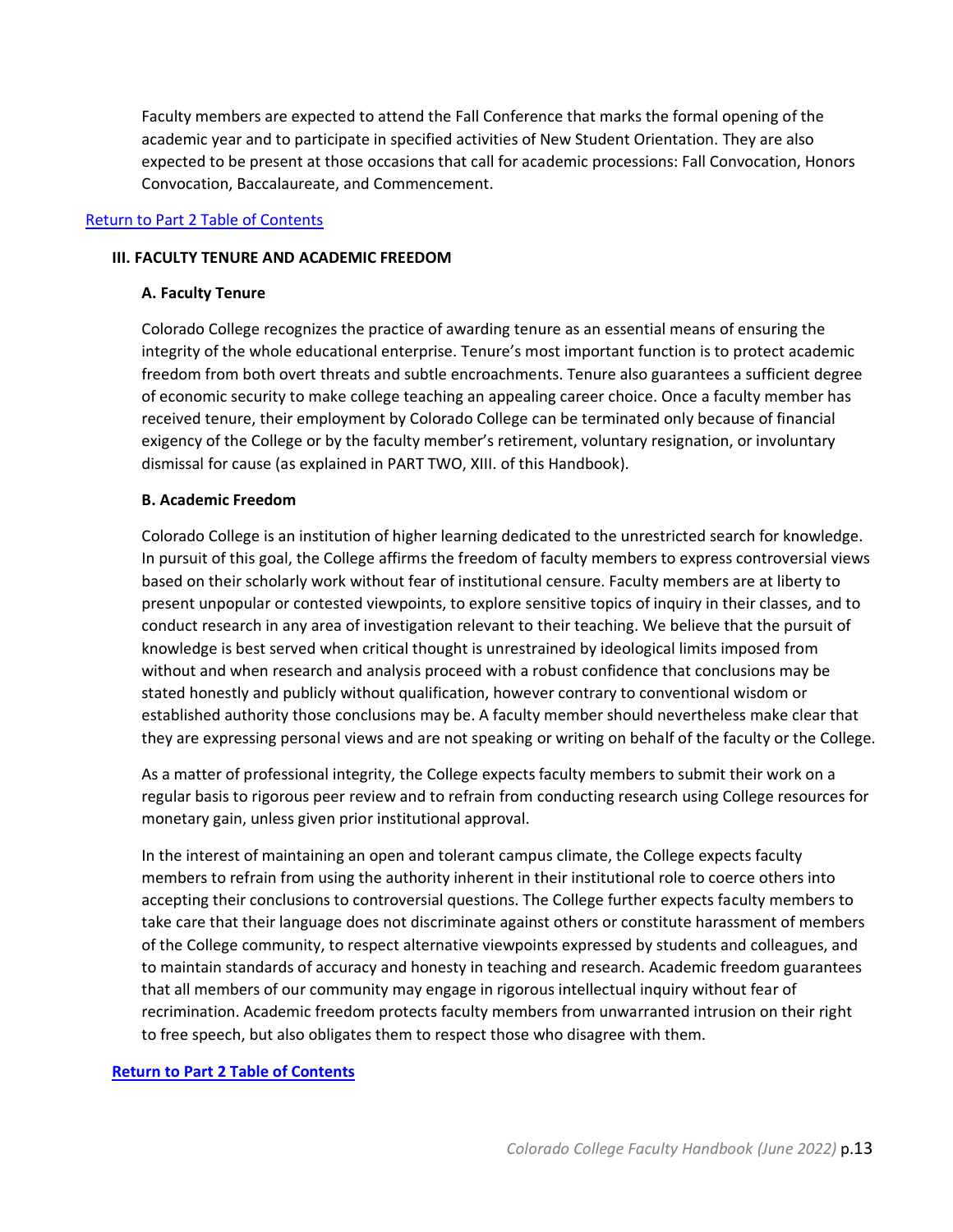Faculty members are expected to attend the Fall Conference that marks the formal opening of the academic year and to participate in specified activities of New Student Orientation. They are also expected to be present at those occasions that call for academic processions: Fall Convocation, Honors Convocation, Baccalaureate, and Commencement.

#### <span id="page-12-0"></span>[Return to Part 2 Table of Contents](#page-8-0)

#### <span id="page-12-1"></span>**III. FACULTY TENURE AND ACADEMIC FREEDOM**

#### **A. Faculty Tenure**

Colorado College recognizes the practice of awarding tenure as an essential means of ensuring the integrity of the whole educational enterprise. Tenure's most important function is to protect academic freedom from both overt threats and subtle encroachments. Tenure also guarantees a sufficient degree of economic security to make college teaching an appealing career choice. Once a faculty member has received tenure, their employment by Colorado College can be terminated only because of financial exigency of the College or by the faculty member's retirement, voluntary resignation, or involuntary dismissal for cause (as explained in PART TWO, XIII. of this Handbook).

#### <span id="page-12-2"></span>**B. Academic Freedom**

Colorado College is an institution of higher learning dedicated to the unrestricted search for knowledge. In pursuit of this goal, the College affirms the freedom of faculty members to express controversial views based on their scholarly work without fear of institutional censure. Faculty members are at liberty to present unpopular or contested viewpoints, to explore sensitive topics of inquiry in their classes, and to conduct research in any area of investigation relevant to their teaching. We believe that the pursuit of knowledge is best served when critical thought is unrestrained by ideological limits imposed from without and when research and analysis proceed with a robust confidence that conclusions may be stated honestly and publicly without qualification, however contrary to conventional wisdom or established authority those conclusions may be. A faculty member should nevertheless make clear that they are expressing personal views and are not speaking or writing on behalf of the faculty or the College.

As a matter of professional integrity, the College expects faculty members to submit their work on a regular basis to rigorous peer review and to refrain from conducting research using College resources for monetary gain, unless given prior institutional approval.

In the interest of maintaining an open and tolerant campus climate, the College expects faculty members to refrain from using the authority inherent in their institutional role to coerce others into accepting their conclusions to controversial questions. The College further expects faculty members to take care that their language does not discriminate against others or constitute harassment of members of the College community, to respect alternative viewpoints expressed by students and colleagues, and to maintain standards of accuracy and honesty in teaching and research. Academic freedom guarantees that all members of our community may engage in rigorous intellectual inquiry without fear of recrimination. Academic freedom protects faculty members from unwarranted intrusion on their right to free speech, but also obligates them to respect those who disagree with them.

## <span id="page-12-3"></span>**[Return to Part 2 Table of Contents](#page-8-0)**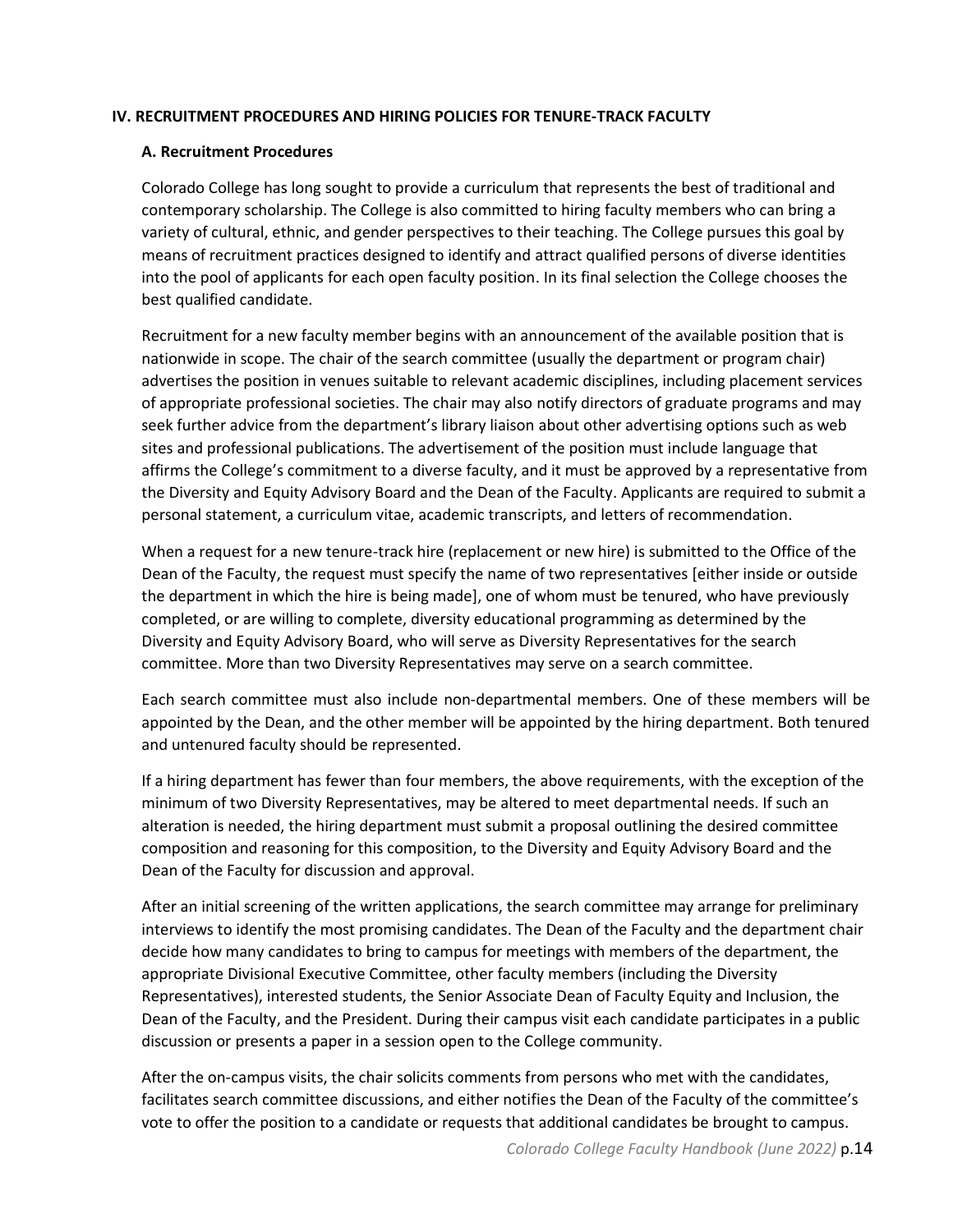#### <span id="page-13-0"></span>**IV. RECRUITMENT PROCEDURES AND HIRING POLICIES FOR TENURE-TRACK FACULTY**

#### **A. Recruitment Procedures**

Colorado College has long sought to provide a curriculum that represents the best of traditional and contemporary scholarship. The College is also committed to hiring faculty members who can bring a variety of cultural, ethnic, and gender perspectives to their teaching. The College pursues this goal by means of recruitment practices designed to identify and attract qualified persons of diverse identities into the pool of applicants for each open faculty position. In its final selection the College chooses the best qualified candidate.

Recruitment for a new faculty member begins with an announcement of the available position that is nationwide in scope. The chair of the search committee (usually the department or program chair) advertises the position in venues suitable to relevant academic disciplines, including placement services of appropriate professional societies. The chair may also notify directors of graduate programs and may seek further advice from the department's library liaison about other advertising options such as web sites and professional publications. The advertisement of the position must include language that affirms the College's commitment to a diverse faculty, and it must be approved by a representative from the Diversity and Equity Advisory Board and the Dean of the Faculty. Applicants are required to submit a personal statement, a curriculum vitae, academic transcripts, and letters of recommendation.

When a request for a new tenure-track hire (replacement or new hire) is submitted to the Office of the Dean of the Faculty, the request must specify the name of two representatives [either inside or outside the department in which the hire is being made], one of whom must be tenured, who have previously completed, or are willing to complete, diversity educational programming as determined by the Diversity and Equity Advisory Board, who will serve as Diversity Representatives for the search committee. More than two Diversity Representatives may serve on a search committee.

Each search committee must also include non-departmental members. One of these members will be appointed by the Dean, and the other member will be appointed by the hiring department. Both tenured and untenured faculty should be represented.

If a hiring department has fewer than four members, the above requirements, with the exception of the minimum of two Diversity Representatives, may be altered to meet departmental needs. If such an alteration is needed, the hiring department must submit a proposal outlining the desired committee composition and reasoning for this composition, to the Diversity and Equity Advisory Board and the Dean of the Faculty for discussion and approval.

After an initial screening of the written applications, the search committee may arrange for preliminary interviews to identify the most promising candidates. The Dean of the Faculty and the department chair decide how many candidates to bring to campus for meetings with members of the department, the appropriate Divisional Executive Committee, other faculty members (including the Diversity Representatives), interested students, the Senior Associate Dean of Faculty Equity and Inclusion, the Dean of the Faculty, and the President. During their campus visit each candidate participates in a public discussion or presents a paper in a session open to the College community.

After the on-campus visits, the chair solicits comments from persons who met with the candidates, facilitates search committee discussions, and either notifies the Dean of the Faculty of the committee's vote to offer the position to a candidate or requests that additional candidates be brought to campus.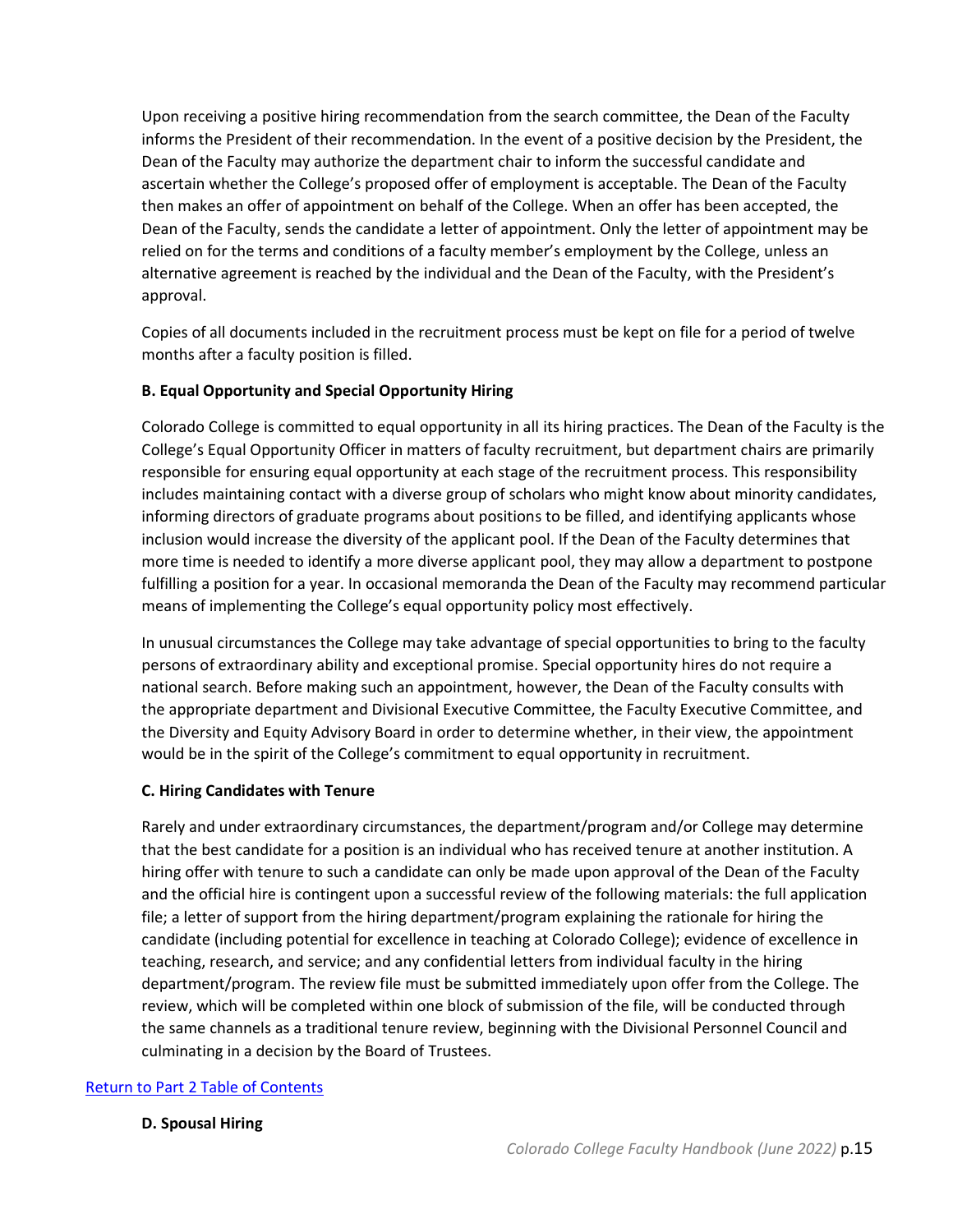Upon receiving a positive hiring recommendation from the search committee, the Dean of the Faculty informs the President of their recommendation. In the event of a positive decision by the President, the Dean of the Faculty may authorize the department chair to inform the successful candidate and ascertain whether the College's proposed offer of employment is acceptable. The Dean of the Faculty then makes an offer of appointment on behalf of the College. When an offer has been accepted, the Dean of the Faculty, sends the candidate a letter of appointment. Only the letter of appointment may be relied on for the terms and conditions of a faculty member's employment by the College, unless an alternative agreement is reached by the individual and the Dean of the Faculty, with the President's approval.

Copies of all documents included in the recruitment process must be kept on file for a period of twelve months after a faculty position is filled.

## <span id="page-14-0"></span>**B. Equal Opportunity and Special Opportunity Hiring**

Colorado College is committed to equal opportunity in all its hiring practices. The Dean of the Faculty is the College's Equal Opportunity Officer in matters of faculty recruitment, but department chairs are primarily responsible for ensuring equal opportunity at each stage of the recruitment process. This responsibility includes maintaining contact with a diverse group of scholars who might know about minority candidates, informing directors of graduate programs about positions to be filled, and identifying applicants whose inclusion would increase the diversity of the applicant pool. If the Dean of the Faculty determines that more time is needed to identify a more diverse applicant pool, they may allow a department to postpone fulfilling a position for a year. In occasional memoranda the Dean of the Faculty may recommend particular means of implementing the College's equal opportunity policy most effectively.

In unusual circumstances the College may take advantage of special opportunities to bring to the faculty persons of extraordinary ability and exceptional promise. Special opportunity hires do not require a national search. Before making such an appointment, however, the Dean of the Faculty consults with the appropriate department and Divisional Executive Committee, the Faculty Executive Committee, and the Diversity and Equity Advisory Board in order to determine whether, in their view, the appointment would be in the spirit of the College's commitment to equal opportunity in recruitment.

## <span id="page-14-1"></span>**C. Hiring Candidates with Tenure**

Rarely and under extraordinary circumstances, the department/program and/or College may determine that the best candidate for a position is an individual who has received tenure at another institution. A hiring offer with tenure to such a candidate can only be made upon approval of the Dean of the Faculty and the official hire is contingent upon a successful review of the following materials: the full application file; a letter of support from the hiring department/program explaining the rationale for hiring the candidate (including potential for excellence in teaching at Colorado College); evidence of excellence in teaching, research, and service; and any confidential letters from individual faculty in the hiring department/program. The review file must be submitted immediately upon offer from the College. The review, which will be completed within one block of submission of the file, will be conducted through the same channels as a traditional tenure review, beginning with the Divisional Personnel Council and culminating in a decision by the Board of Trustees.

## [Return to Part 2 Table of Contents](#page-8-0)

## **D. Spousal Hiring**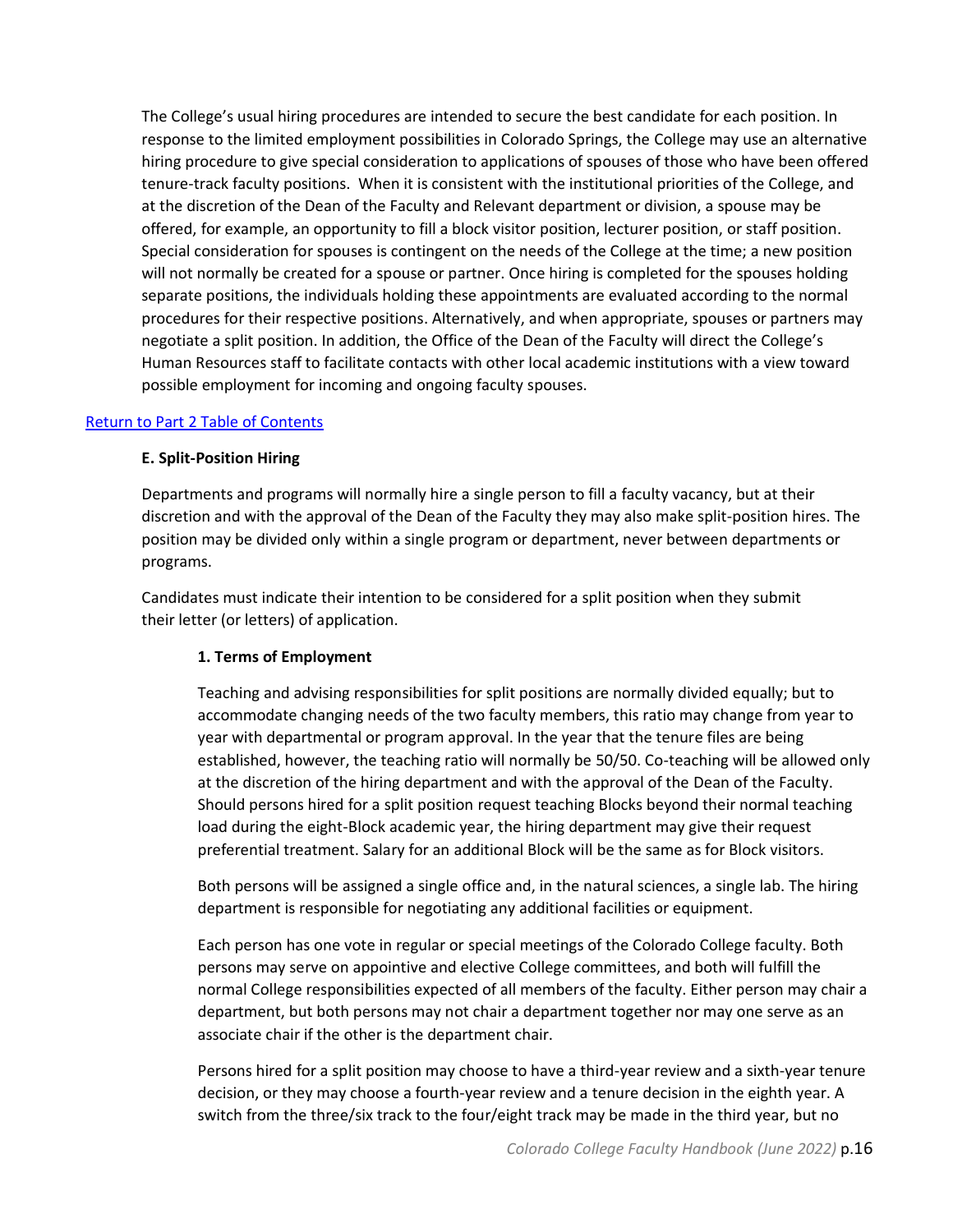The College's usual hiring procedures are intended to secure the best candidate for each position. In response to the limited employment possibilities in Colorado Springs, the College may use an alternative hiring procedure to give special consideration to applications of spouses of those who have been offered tenure-track faculty positions. When it is consistent with the institutional priorities of the College, and at the discretion of the Dean of the Faculty and Relevant department or division, a spouse may be offered, for example, an opportunity to fill a block visitor position, lecturer position, or staff position. Special consideration for spouses is contingent on the needs of the College at the time; a new position will not normally be created for a spouse or partner. Once hiring is completed for the spouses holding separate positions, the individuals holding these appointments are evaluated according to the normal procedures for their respective positions. Alternatively, and when appropriate, spouses or partners may negotiate a split position. In addition, the Office of the Dean of the Faculty will direct the College's Human Resources staff to facilitate contacts with other local academic institutions with a view toward possible employment for incoming and ongoing faculty spouses.

#### [Return to Part 2 Table of Contents](#page-8-0)

#### **E. Split-Position Hiring**

Departments and programs will normally hire a single person to fill a faculty vacancy, but at their discretion and with the approval of the Dean of the Faculty they may also make split-position hires. The position may be divided only within a single program or department, never between departments or programs.

Candidates must indicate their intention to be considered for a split position when they submit their letter (or letters) of application.

#### **1. Terms of Employment**

Teaching and advising responsibilities for split positions are normally divided equally; but to accommodate changing needs of the two faculty members, this ratio may change from year to year with departmental or program approval. In the year that the tenure files are being established, however, the teaching ratio will normally be 50/50. Co-teaching will be allowed only at the discretion of the hiring department and with the approval of the Dean of the Faculty. Should persons hired for a split position request teaching Blocks beyond their normal teaching load during the eight-Block academic year, the hiring department may give their request preferential treatment. Salary for an additional Block will be the same as for Block visitors.

Both persons will be assigned a single office and, in the natural sciences, a single lab. The hiring department is responsible for negotiating any additional facilities or equipment.

Each person has one vote in regular or special meetings of the Colorado College faculty. Both persons may serve on appointive and elective College committees, and both will fulfill the normal College responsibilities expected of all members of the faculty. Either person may chair a department, but both persons may not chair a department together nor may one serve as an associate chair if the other is the department chair.

Persons hired for a split position may choose to have a third-year review and a sixth-year tenure decision, or they may choose a fourth-year review and a tenure decision in the eighth year. A switch from the three/six track to the four/eight track may be made in the third year, but no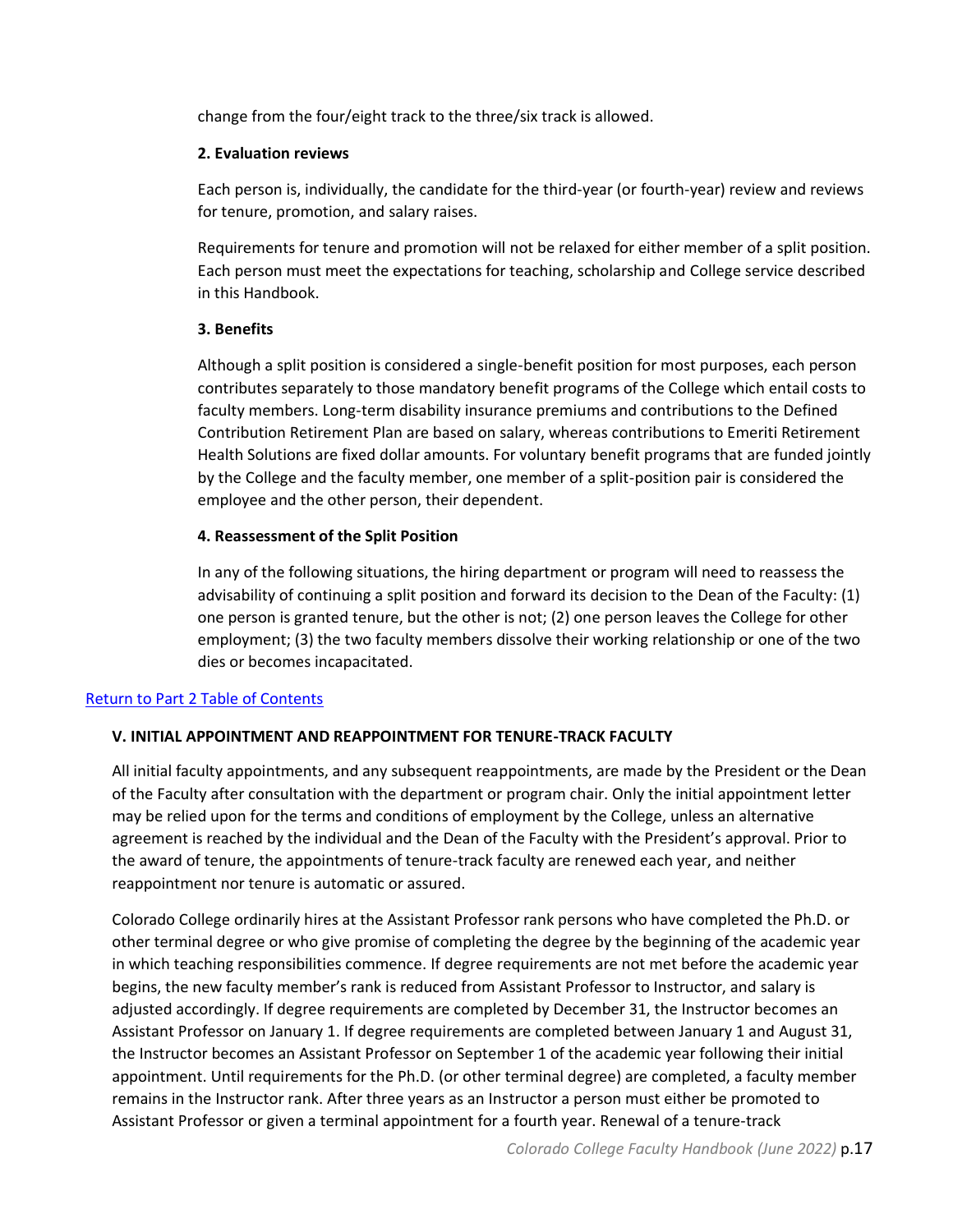change from the four/eight track to the three/six track is allowed.

## **2. Evaluation reviews**

Each person is, individually, the candidate for the third-year (or fourth-year) review and reviews for tenure, promotion, and salary raises.

Requirements for tenure and promotion will not be relaxed for either member of a split position. Each person must meet the expectations for teaching, scholarship and College service described in this Handbook.

## **3. Benefits**

Although a split position is considered a single-benefit position for most purposes, each person contributes separately to those mandatory benefit programs of the College which entail costs to faculty members. Long-term disability insurance premiums and contributions to the Defined Contribution Retirement Plan are based on salary, whereas contributions to Emeriti Retirement Health Solutions are fixed dollar amounts. For voluntary benefit programs that are funded jointly by the College and the faculty member, one member of a split-position pair is considered the employee and the other person, their dependent.

## **4. Reassessment of the Split Position**

In any of the following situations, the hiring department or program will need to reassess the advisability of continuing a split position and forward its decision to the Dean of the Faculty: (1) one person is granted tenure, but the other is not; (2) one person leaves the College for other employment; (3) the two faculty members dissolve their working relationship or one of the two dies or becomes incapacitated.

## <span id="page-16-0"></span>[Return to Part 2 Table of Contents](#page-8-0)

## **V. INITIAL APPOINTMENT AND REAPPOINTMENT FOR TENURE-TRACK FACULTY**

All initial faculty appointments, and any subsequent reappointments, are made by the President or the Dean of the Faculty after consultation with the department or program chair. Only the initial appointment letter may be relied upon for the terms and conditions of employment by the College, unless an alternative agreement is reached by the individual and the Dean of the Faculty with the President's approval. Prior to the award of tenure, the appointments of tenure-track faculty are renewed each year, and neither reappointment nor tenure is automatic or assured.

Colorado College ordinarily hires at the Assistant Professor rank persons who have completed the Ph.D. or other terminal degree or who give promise of completing the degree by the beginning of the academic year in which teaching responsibilities commence. If degree requirements are not met before the academic year begins, the new faculty member's rank is reduced from Assistant Professor to Instructor, and salary is adjusted accordingly. If degree requirements are completed by December 31, the Instructor becomes an Assistant Professor on January 1. If degree requirements are completed between January 1 and August 31, the Instructor becomes an Assistant Professor on September 1 of the academic year following their initial appointment. Until requirements for the Ph.D. (or other terminal degree) are completed, a faculty member remains in the Instructor rank. After three years as an Instructor a person must either be promoted to Assistant Professor or given a terminal appointment for a fourth year. Renewal of a tenure-track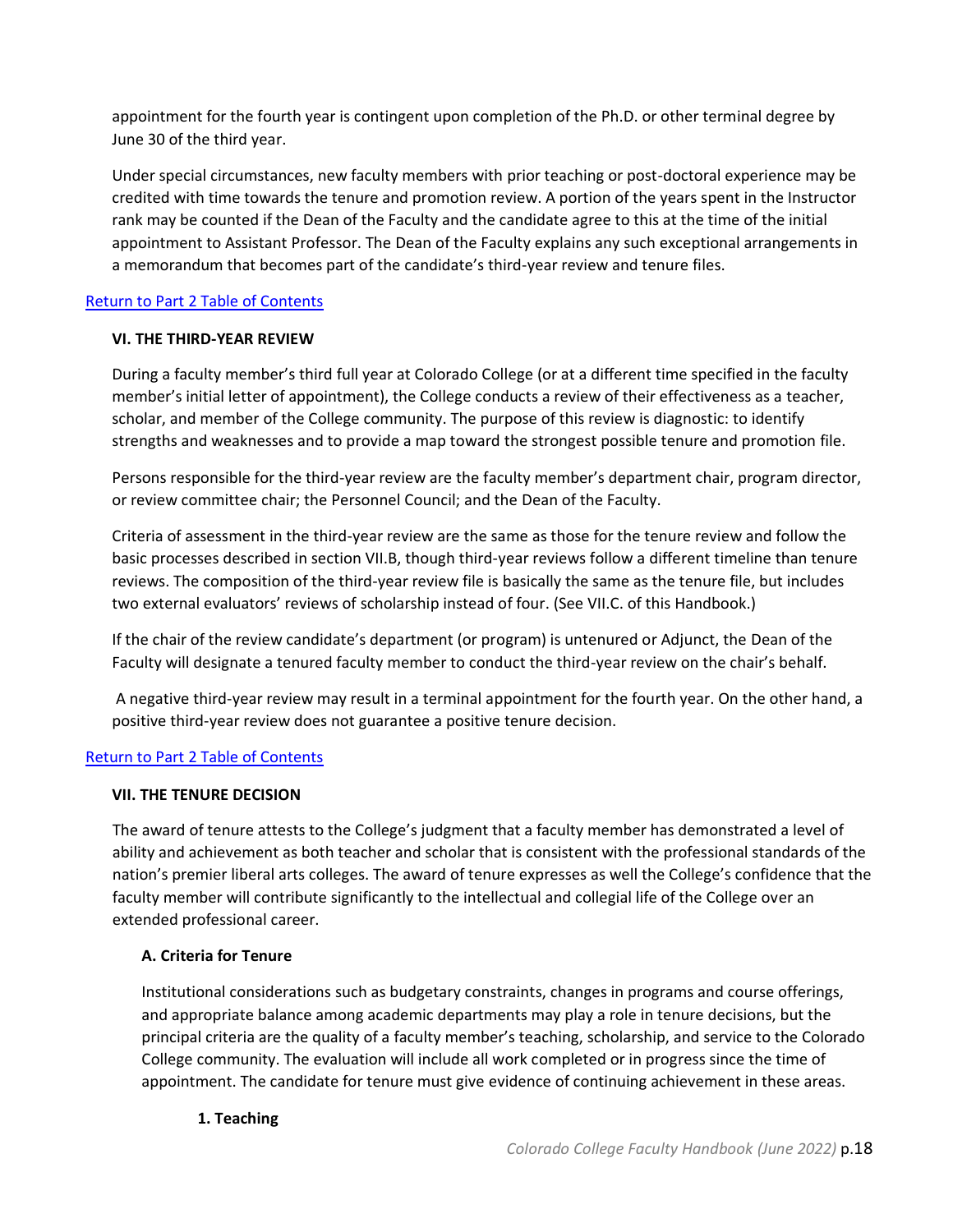appointment for the fourth year is contingent upon completion of the Ph.D. or other terminal degree by June 30 of the third year.

Under special circumstances, new faculty members with prior teaching or post-doctoral experience may be credited with time towards the tenure and promotion review. A portion of the years spent in the Instructor rank may be counted if the Dean of the Faculty and the candidate agree to this at the time of the initial appointment to Assistant Professor. The Dean of the Faculty explains any such exceptional arrangements in a memorandum that becomes part of the candidate's third-year review and tenure files.

## <span id="page-17-0"></span>[Return to Part 2 Table of Contents](#page-8-0)

## **VI. THE THIRD-YEAR REVIEW**

During a faculty member's third full year at Colorado College (or at a different time specified in the faculty member's initial letter of appointment), the College conducts a review of their effectiveness as a teacher, scholar, and member of the College community. The purpose of this review is diagnostic: to identify strengths and weaknesses and to provide a map toward the strongest possible tenure and promotion file.

Persons responsible for the third-year review are the faculty member's department chair, program director, or review committee chair; the Personnel Council; and the Dean of the Faculty.

Criteria of assessment in the third-year review are the same as those for the tenure review and follow the basic processes described in section VII.B, though third-year reviews follow a different timeline than tenure reviews. The composition of the third-year review file is basically the same as the tenure file, but includes two external evaluators' reviews of scholarship instead of four. (See VII.C. of this Handbook.)

If the chair of the review candidate's department (or program) is untenured or Adjunct, the Dean of the Faculty will designate a tenured faculty member to conduct the third-year review on the chair's behalf.

A negative third-year review may result in a terminal appointment for the fourth year. On the other hand, a positive third-year review does not guarantee a positive tenure decision.

## <span id="page-17-1"></span>[Return to Part 2 Table of Contents](#page-8-0)

## **VII. THE TENURE DECISION**

The award of tenure attests to the College's judgment that a faculty member has demonstrated a level of ability and achievement as both teacher and scholar that is consistent with the professional standards of the nation's premier liberal arts colleges. The award of tenure expresses as well the College's confidence that the faculty member will contribute significantly to the intellectual and collegial life of the College over an extended professional career.

## <span id="page-17-2"></span>**A. Criteria for Tenure**

Institutional considerations such as budgetary constraints, changes in programs and course offerings, and appropriate balance among academic departments may play a role in tenure decisions, but the principal criteria are the quality of a faculty member's teaching, scholarship, and service to the Colorado College community. The evaluation will include all work completed or in progress since the time of appointment. The candidate for tenure must give evidence of continuing achievement in these areas.

## **1. Teaching**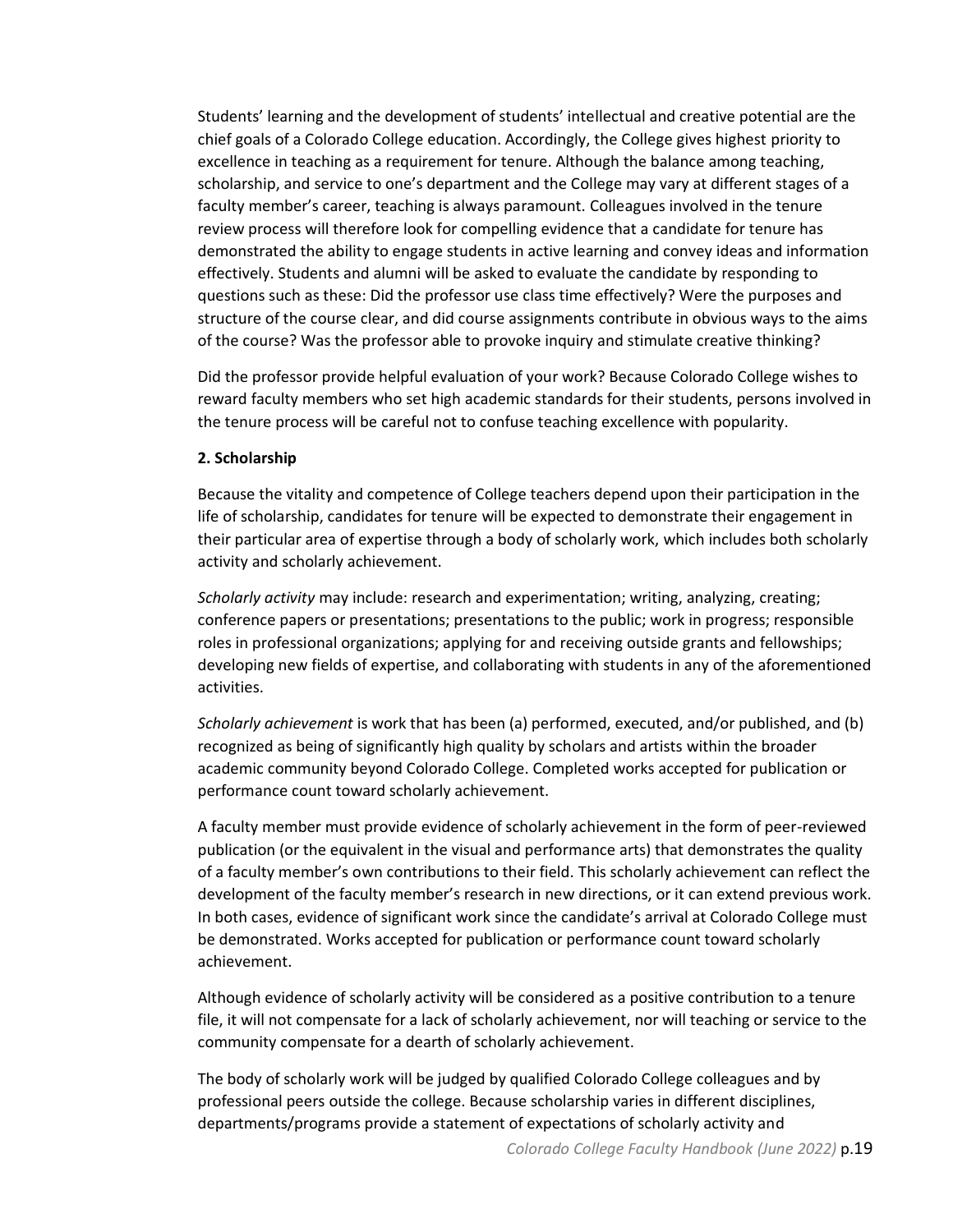Students' learning and the development of students' intellectual and creative potential are the chief goals of a Colorado College education. Accordingly, the College gives highest priority to excellence in teaching as a requirement for tenure. Although the balance among teaching, scholarship, and service to one's department and the College may vary at different stages of a faculty member's career, teaching is always paramount. Colleagues involved in the tenure review process will therefore look for compelling evidence that a candidate for tenure has demonstrated the ability to engage students in active learning and convey ideas and information effectively. Students and alumni will be asked to evaluate the candidate by responding to questions such as these: Did the professor use class time effectively? Were the purposes and structure of the course clear, and did course assignments contribute in obvious ways to the aims of the course? Was the professor able to provoke inquiry and stimulate creative thinking?

Did the professor provide helpful evaluation of your work? Because Colorado College wishes to reward faculty members who set high academic standards for their students, persons involved in the tenure process will be careful not to confuse teaching excellence with popularity.

## **2. Scholarship**

Because the vitality and competence of College teachers depend upon their participation in the life of scholarship, candidates for tenure will be expected to demonstrate their engagement in their particular area of expertise through a body of scholarly work, which includes both scholarly activity and scholarly achievement.

*Scholarly activity* may include: research and experimentation; writing, analyzing, creating; conference papers or presentations; presentations to the public; work in progress; responsible roles in professional organizations; applying for and receiving outside grants and fellowships; developing new fields of expertise, and collaborating with students in any of the aforementioned activities.

*Scholarly achievement* is work that has been (a) performed, executed, and/or published, and (b) recognized as being of significantly high quality by scholars and artists within the broader academic community beyond Colorado College. Completed works accepted for publication or performance count toward scholarly achievement.

A faculty member must provide evidence of scholarly achievement in the form of peer-reviewed publication (or the equivalent in the visual and performance arts) that demonstrates the quality of a faculty member's own contributions to their field. This scholarly achievement can reflect the development of the faculty member's research in new directions, or it can extend previous work. In both cases, evidence of significant work since the candidate's arrival at Colorado College must be demonstrated. Works accepted for publication or performance count toward scholarly achievement.

Although evidence of scholarly activity will be considered as a positive contribution to a tenure file, it will not compensate for a lack of scholarly achievement, nor will teaching or service to the community compensate for a dearth of scholarly achievement.

The body of scholarly work will be judged by qualified Colorado College colleagues and by professional peers outside the college. Because scholarship varies in different disciplines, departments/programs provide a statement of expectations of scholarly activity and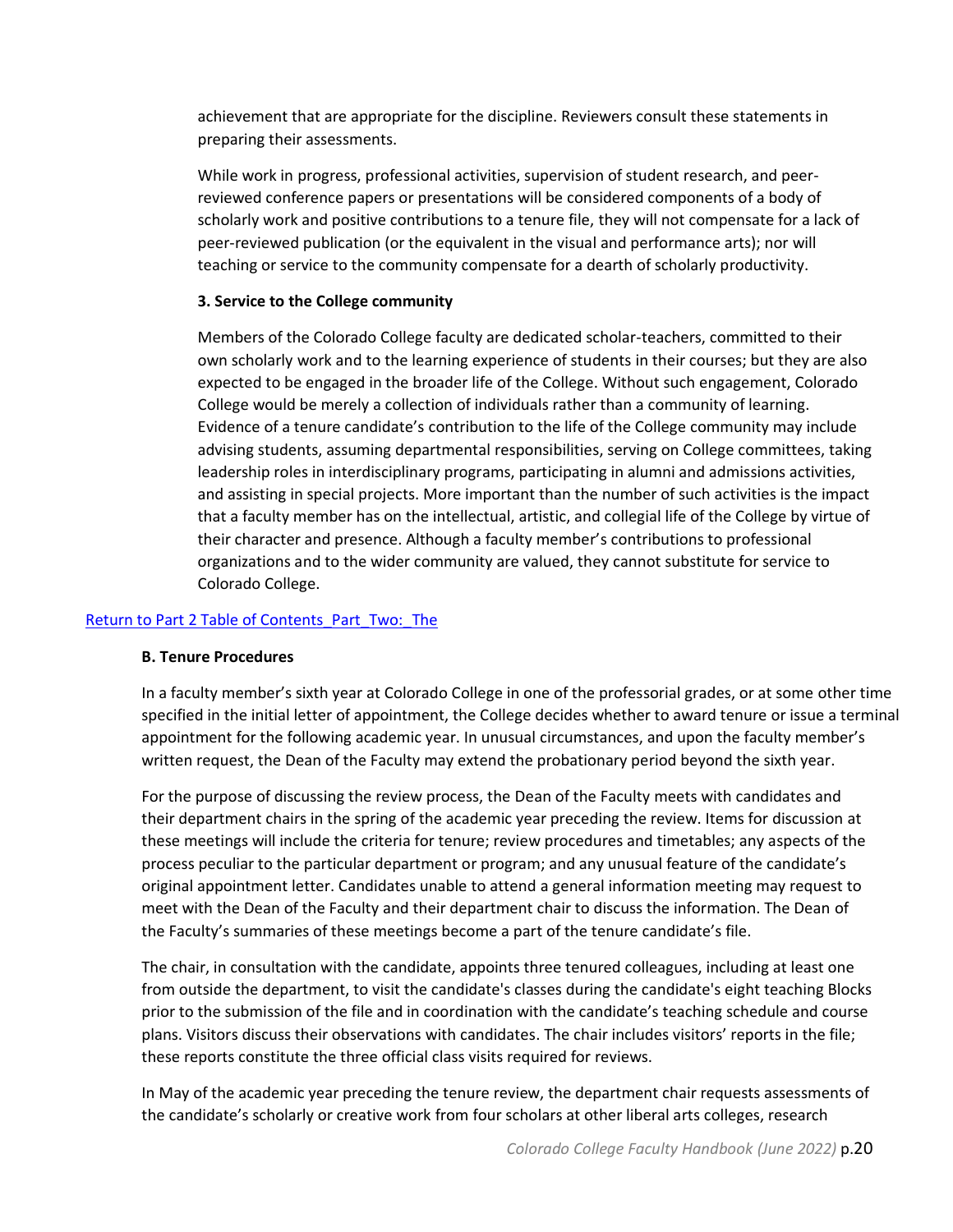achievement that are appropriate for the discipline. Reviewers consult these statements in preparing their assessments.

While work in progress, professional activities, supervision of student research, and peerreviewed conference papers or presentations will be considered components of a body of scholarly work and positive contributions to a tenure file, they will not compensate for a lack of peer-reviewed publication (or the equivalent in the visual and performance arts); nor will teaching or service to the community compensate for a dearth of scholarly productivity.

#### **3. Service to the College community**

Members of the Colorado College faculty are dedicated scholar-teachers, committed to their own scholarly work and to the learning experience of students in their courses; but they are also expected to be engaged in the broader life of the College. Without such engagement, Colorado College would be merely a collection of individuals rather than a community of learning. Evidence of a tenure candidate's contribution to the life of the College community may include advising students, assuming departmental responsibilities, serving on College committees, taking leadership roles in interdisciplinary programs, participating in alumni and admissions activities, and assisting in special projects. More important than the number of such activities is the impact that a faculty member has on the intellectual, artistic, and collegial life of the College by virtue of their character and presence. Although a faculty member's contributions to professional organizations and to the wider community are valued, they cannot substitute for service to Colorado College.

## <span id="page-19-0"></span>[Return to Part 2 Table of Contents\\_](#page-8-0)Part\_Two:\_The

#### **B. Tenure Procedures**

In a faculty member's sixth year at Colorado College in one of the professorial grades, or at some other time specified in the initial letter of appointment, the College decides whether to award tenure or issue a terminal appointment for the following academic year. In unusual circumstances, and upon the faculty member's written request, the Dean of the Faculty may extend the probationary period beyond the sixth year.

For the purpose of discussing the review process, the Dean of the Faculty meets with candidates and their department chairs in the spring of the academic year preceding the review. Items for discussion at these meetings will include the criteria for tenure; review procedures and timetables; any aspects of the process peculiar to the particular department or program; and any unusual feature of the candidate's original appointment letter. Candidates unable to attend a general information meeting may request to meet with the Dean of the Faculty and their department chair to discuss the information. The Dean of the Faculty's summaries of these meetings become a part of the tenure candidate's file.

The chair, in consultation with the candidate, appoints three tenured colleagues, including at least one from outside the department, to visit the candidate's classes during the candidate's eight teaching Blocks prior to the submission of the file and in coordination with the candidate's teaching schedule and course plans. Visitors discuss their observations with candidates. The chair includes visitors' reports in the file; these reports constitute the three official class visits required for reviews.

In May of the academic year preceding the tenure review, the department chair requests assessments of the candidate's scholarly or creative work from four scholars at other liberal arts colleges, research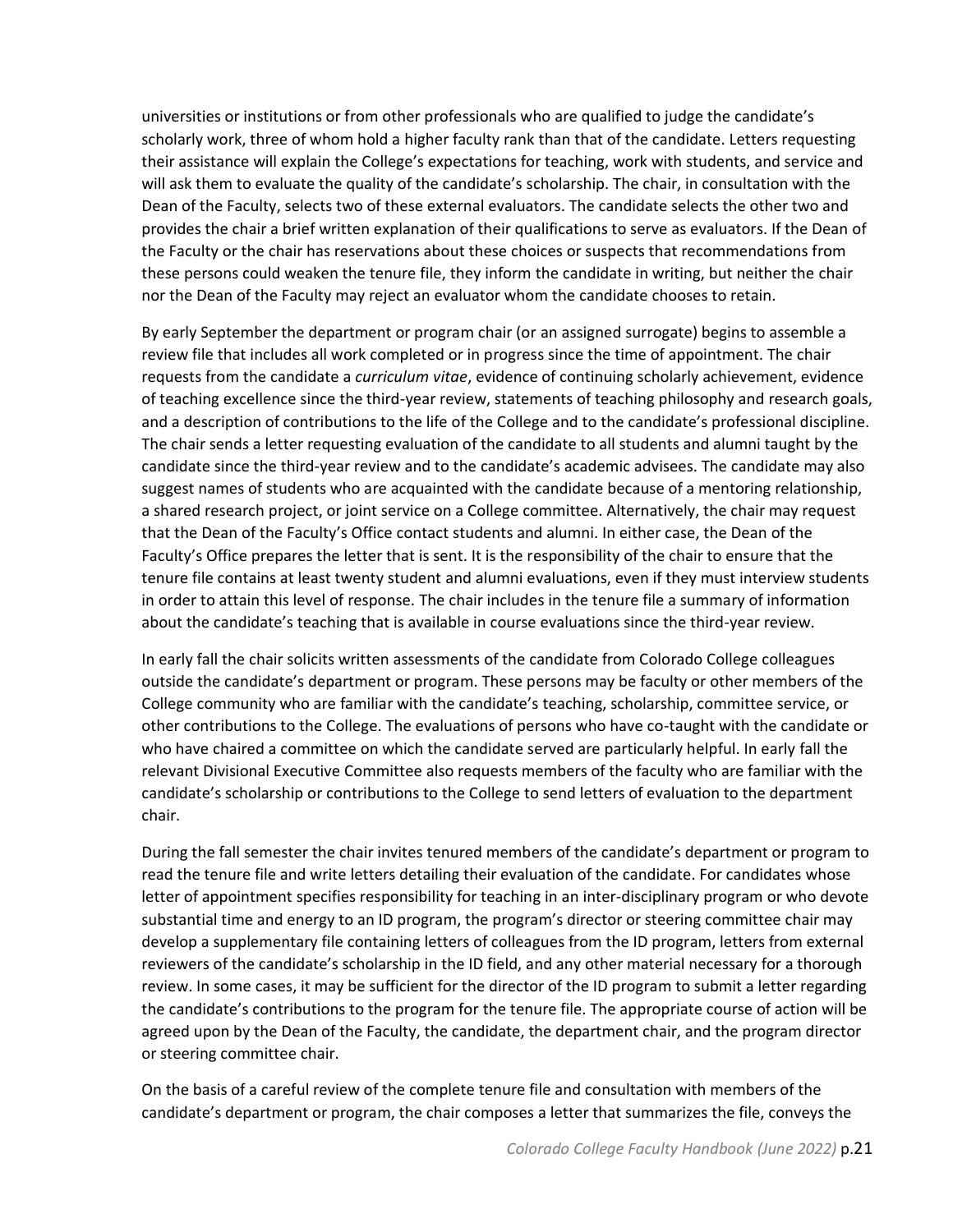universities or institutions or from other professionals who are qualified to judge the candidate's scholarly work, three of whom hold a higher faculty rank than that of the candidate. Letters requesting their assistance will explain the College's expectations for teaching, work with students, and service and will ask them to evaluate the quality of the candidate's scholarship. The chair, in consultation with the Dean of the Faculty, selects two of these external evaluators. The candidate selects the other two and provides the chair a brief written explanation of their qualifications to serve as evaluators. If the Dean of the Faculty or the chair has reservations about these choices or suspects that recommendations from these persons could weaken the tenure file, they inform the candidate in writing, but neither the chair nor the Dean of the Faculty may reject an evaluator whom the candidate chooses to retain.

By early September the department or program chair (or an assigned surrogate) begins to assemble a review file that includes all work completed or in progress since the time of appointment. The chair requests from the candidate a *curriculum vitae*, evidence of continuing scholarly achievement, evidence of teaching excellence since the third-year review, statements of teaching philosophy and research goals, and a description of contributions to the life of the College and to the candidate's professional discipline. The chair sends a letter requesting evaluation of the candidate to all students and alumni taught by the candidate since the third-year review and to the candidate's academic advisees. The candidate may also suggest names of students who are acquainted with the candidate because of a mentoring relationship, a shared research project, or joint service on a College committee. Alternatively, the chair may request that the Dean of the Faculty's Office contact students and alumni. In either case, the Dean of the Faculty's Office prepares the letter that is sent. It is the responsibility of the chair to ensure that the tenure file contains at least twenty student and alumni evaluations, even if they must interview students in order to attain this level of response. The chair includes in the tenure file a summary of information about the candidate's teaching that is available in course evaluations since the third-year review.

In early fall the chair solicits written assessments of the candidate from Colorado College colleagues outside the candidate's department or program. These persons may be faculty or other members of the College community who are familiar with the candidate's teaching, scholarship, committee service, or other contributions to the College. The evaluations of persons who have co-taught with the candidate or who have chaired a committee on which the candidate served are particularly helpful. In early fall the relevant Divisional Executive Committee also requests members of the faculty who are familiar with the candidate's scholarship or contributions to the College to send letters of evaluation to the department chair.

During the fall semester the chair invites tenured members of the candidate's department or program to read the tenure file and write letters detailing their evaluation of the candidate. For candidates whose letter of appointment specifies responsibility for teaching in an inter-disciplinary program or who devote substantial time and energy to an ID program, the program's director or steering committee chair may develop a supplementary file containing letters of colleagues from the ID program, letters from external reviewers of the candidate's scholarship in the ID field, and any other material necessary for a thorough review. In some cases, it may be sufficient for the director of the ID program to submit a letter regarding the candidate's contributions to the program for the tenure file. The appropriate course of action will be agreed upon by the Dean of the Faculty, the candidate, the department chair, and the program director or steering committee chair.

On the basis of a careful review of the complete tenure file and consultation with members of the candidate's department or program, the chair composes a letter that summarizes the file, conveys the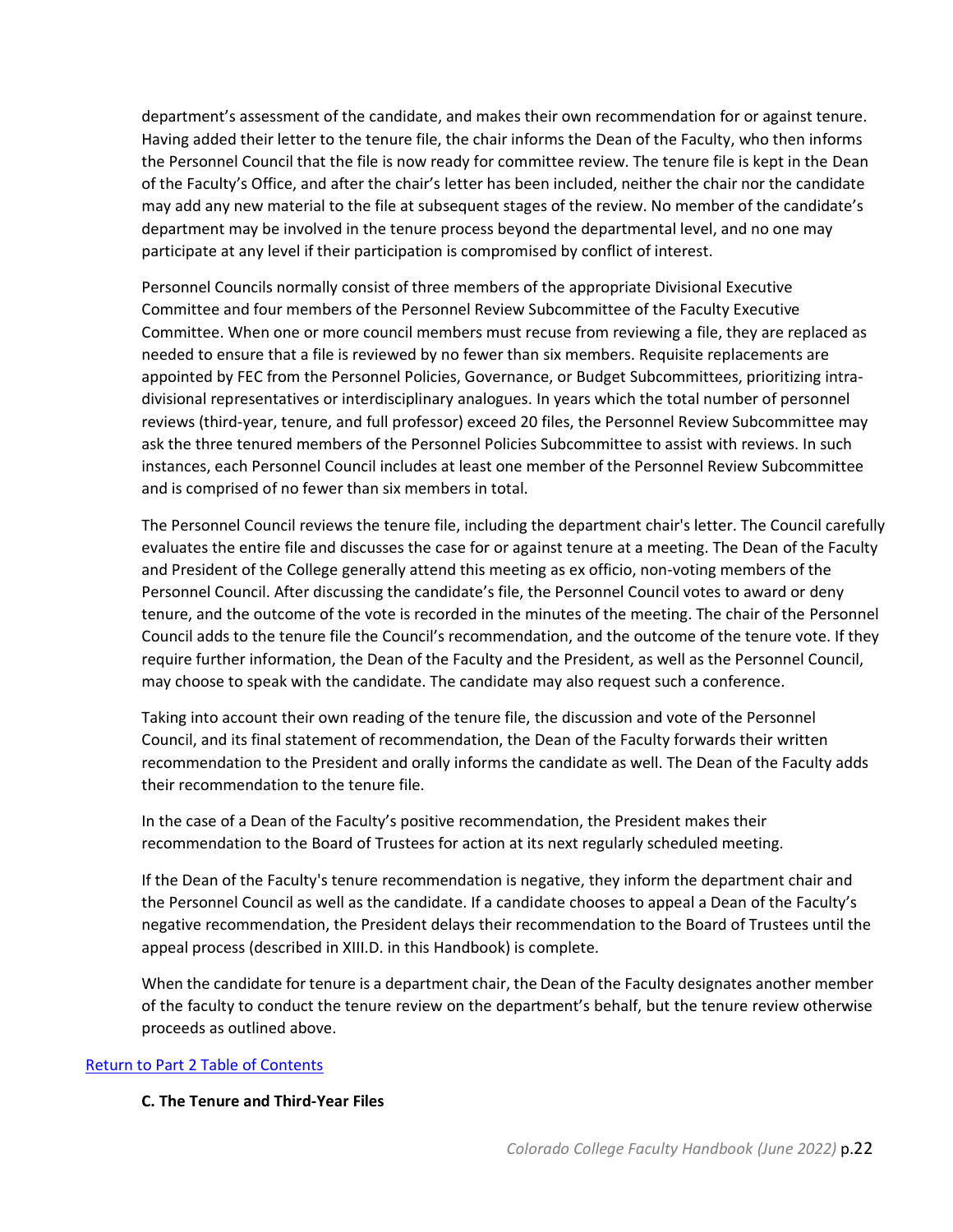department's assessment of the candidate, and makes their own recommendation for or against tenure. Having added their letter to the tenure file, the chair informs the Dean of the Faculty, who then informs the Personnel Council that the file is now ready for committee review. The tenure file is kept in the Dean of the Faculty's Office, and after the chair's letter has been included, neither the chair nor the candidate may add any new material to the file at subsequent stages of the review. No member of the candidate's department may be involved in the tenure process beyond the departmental level, and no one may participate at any level if their participation is compromised by conflict of interest.

Personnel Councils normally consist of three members of the appropriate Divisional Executive Committee and four members of the Personnel Review Subcommittee of the Faculty Executive Committee. When one or more council members must recuse from reviewing a file, they are replaced as needed to ensure that a file is reviewed by no fewer than six members. Requisite replacements are appointed by FEC from the Personnel Policies, Governance, or Budget Subcommittees, prioritizing intradivisional representatives or interdisciplinary analogues. In years which the total number of personnel reviews (third-year, tenure, and full professor) exceed 20 files, the Personnel Review Subcommittee may ask the three tenured members of the Personnel Policies Subcommittee to assist with reviews. In such instances, each Personnel Council includes at least one member of the Personnel Review Subcommittee and is comprised of no fewer than six members in total.

The Personnel Council reviews the tenure file, including the department chair's letter. The Council carefully evaluates the entire file and discusses the case for or against tenure at a meeting. The Dean of the Faculty and President of the College generally attend this meeting as ex officio, non-voting members of the Personnel Council. After discussing the candidate's file, the Personnel Council votes to award or deny tenure, and the outcome of the vote is recorded in the minutes of the meeting. The chair of the Personnel Council adds to the tenure file the Council's recommendation, and the outcome of the tenure vote. If they require further information, the Dean of the Faculty and the President, as well as the Personnel Council, may choose to speak with the candidate. The candidate may also request such a conference.

Taking into account their own reading of the tenure file, the discussion and vote of the Personnel Council, and its final statement of recommendation, the Dean of the Faculty forwards their written recommendation to the President and orally informs the candidate as well. The Dean of the Faculty adds their recommendation to the tenure file.

In the case of a Dean of the Faculty's positive recommendation, the President makes their recommendation to the Board of Trustees for action at its next regularly scheduled meeting.

If the Dean of the Faculty's tenure recommendation is negative, they inform the department chair and the Personnel Council as well as the candidate. If a candidate chooses to appeal a Dean of the Faculty's negative recommendation, the President delays their recommendation to the Board of Trustees until the appeal process (described in XIII.D. in this Handbook) is complete.

When the candidate for tenure is a department chair, the Dean of the Faculty designates another member of the faculty to conduct the tenure review on the department's behalf, but the tenure review otherwise proceeds as outlined above.

## <span id="page-21-0"></span>[Return to Part 2 Table of Contents](#page-8-0)

#### **C. The Tenure and Third-Year Files**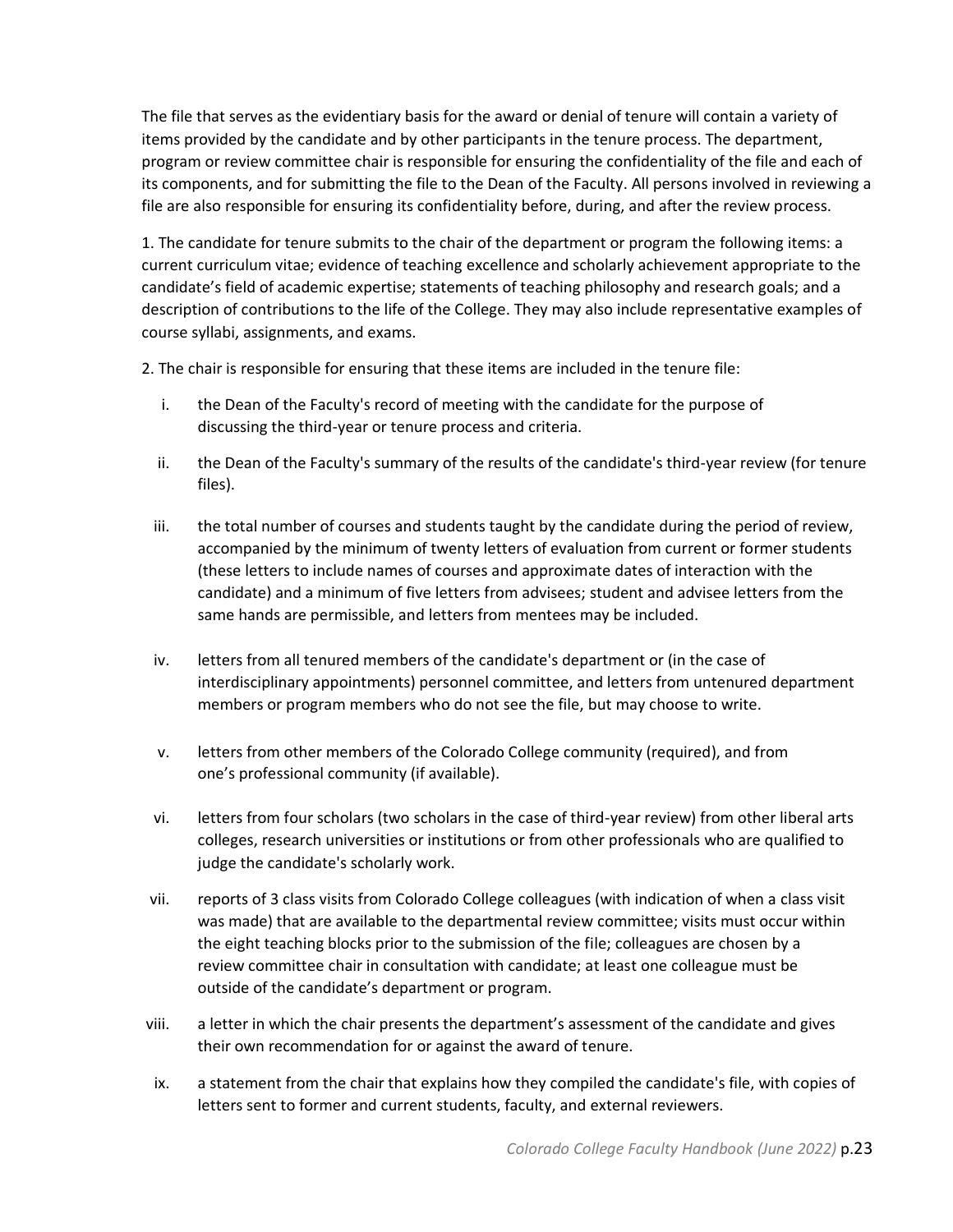The file that serves as the evidentiary basis for the award or denial of tenure will contain a variety of items provided by the candidate and by other participants in the tenure process. The department, program or review committee chair is responsible for ensuring the confidentiality of the file and each of its components, and for submitting the file to the Dean of the Faculty. All persons involved in reviewing a file are also responsible for ensuring its confidentiality before, during, and after the review process.

1. The candidate for tenure submits to the chair of the department or program the following items: a current curriculum vitae; evidence of teaching excellence and scholarly achievement appropriate to the candidate's field of academic expertise; statements of teaching philosophy and research goals; and a description of contributions to the life of the College. They may also include representative examples of course syllabi, assignments, and exams.

2. The chair is responsible for ensuring that these items are included in the tenure file:

- i. the Dean of the Faculty's record of meeting with the candidate for the purpose of discussing the third-year or tenure process and criteria.
- ii. the Dean of the Faculty's summary of the results of the candidate's third-year review (for tenure files).
- iii. the total number of courses and students taught by the candidate during the period of review, accompanied by the minimum of twenty letters of evaluation from current or former students (these letters to include names of courses and approximate dates of interaction with the candidate) and a minimum of five letters from advisees; student and advisee letters from the same hands are permissible, and letters from mentees may be included.
- iv. letters from all tenured members of the candidate's department or (in the case of interdisciplinary appointments) personnel committee, and letters from untenured department members or program members who do not see the file, but may choose to write.
- v. letters from other members of the Colorado College community (required), and from one's professional community (if available).
- vi. letters from four scholars (two scholars in the case of third-year review) from other liberal arts colleges, research universities or institutions or from other professionals who are qualified to judge the candidate's scholarly work.
- vii. reports of 3 class visits from Colorado College colleagues (with indication of when a class visit was made) that are available to the departmental review committee; visits must occur within the eight teaching blocks prior to the submission of the file; colleagues are chosen by a review committee chair in consultation with candidate; at least one colleague must be outside of the candidate's department or program.
- viii. a letter in which the chair presents the department's assessment of the candidate and gives their own recommendation for or against the award of tenure.
- ix. a statement from the chair that explains how they compiled the candidate's file, with copies of letters sent to former and current students, faculty, and external reviewers.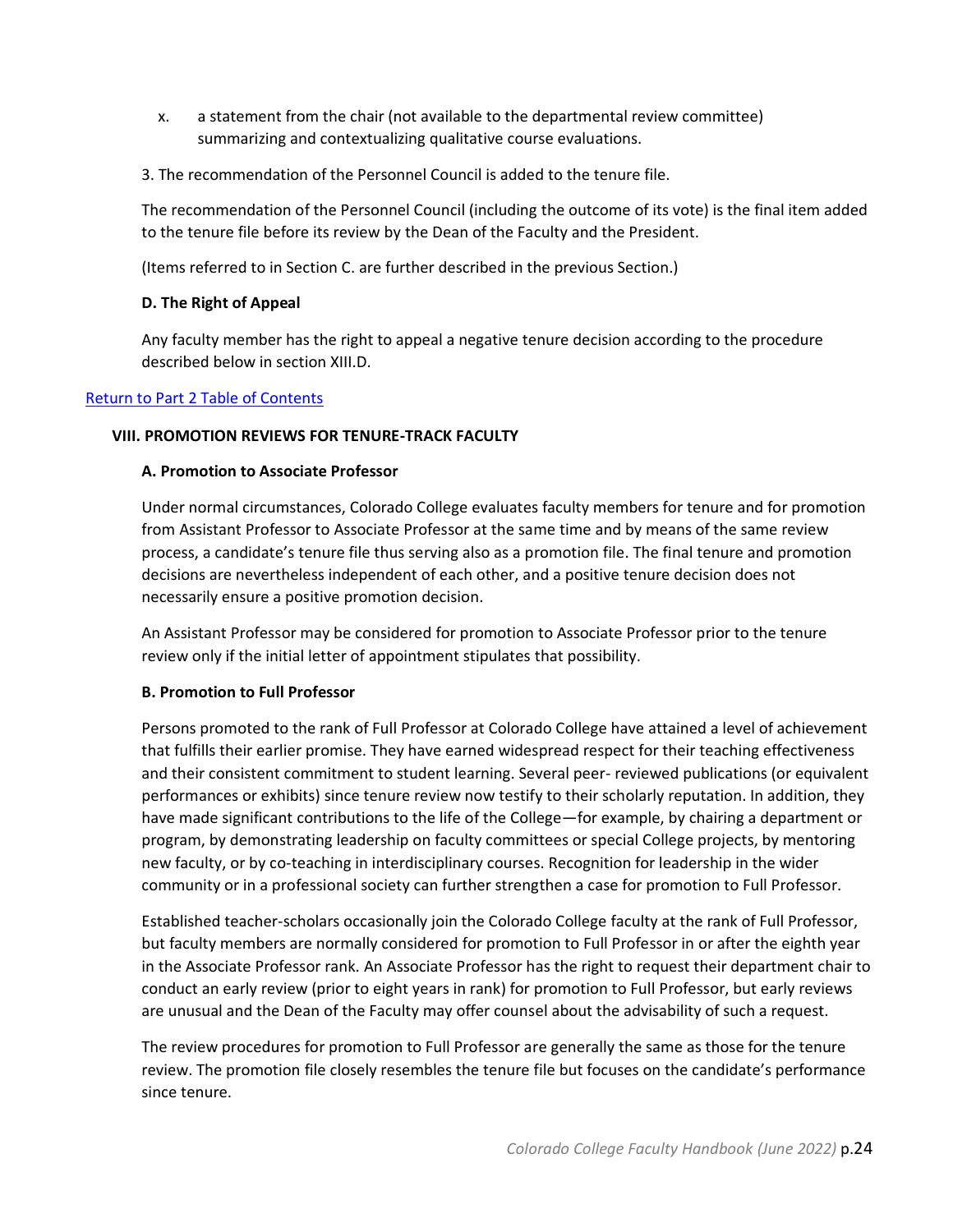- x. a statement from the chair (not available to the departmental review committee) summarizing and contextualizing qualitative course evaluations.
- 3. The recommendation of the Personnel Council is added to the tenure file.

The recommendation of the Personnel Council (including the outcome of its vote) is the final item added to the tenure file before its review by the Dean of the Faculty and the President.

<span id="page-23-0"></span>(Items referred to in Section C. are further described in the previous Section.)

## **D. The Right of Appeal**

Any faculty member has the right to appeal a negative tenure decision according to the procedure described below in section XIII.D.

## <span id="page-23-1"></span>[Return to Part 2 Table of Contents](#page-8-0)

## **VIII. PROMOTION REVIEWS FOR TENURE-TRACK FACULTY**

## **A. Promotion to Associate Professor**

Under normal circumstances, Colorado College evaluates faculty members for tenure and for promotion from Assistant Professor to Associate Professor at the same time and by means of the same review process, a candidate's tenure file thus serving also as a promotion file. The final tenure and promotion decisions are nevertheless independent of each other, and a positive tenure decision does not necessarily ensure a positive promotion decision.

An Assistant Professor may be considered for promotion to Associate Professor prior to the tenure review only if the initial letter of appointment stipulates that possibility.

## **B. Promotion to Full Professor**

Persons promoted to the rank of Full Professor at Colorado College have attained a level of achievement that fulfills their earlier promise. They have earned widespread respect for their teaching effectiveness and their consistent commitment to student learning. Several peer- reviewed publications (or equivalent performances or exhibits) since tenure review now testify to their scholarly reputation. In addition, they have made significant contributions to the life of the College—for example, by chairing a department or program, by demonstrating leadership on faculty committees or special College projects, by mentoring new faculty, or by co-teaching in interdisciplinary courses. Recognition for leadership in the wider community or in a professional society can further strengthen a case for promotion to Full Professor.

Established teacher-scholars occasionally join the Colorado College faculty at the rank of Full Professor, but faculty members are normally considered for promotion to Full Professor in or after the eighth year in the Associate Professor rank. An Associate Professor has the right to request their department chair to conduct an early review (prior to eight years in rank) for promotion to Full Professor, but early reviews are unusual and the Dean of the Faculty may offer counsel about the advisability of such a request.

The review procedures for promotion to Full Professor are generally the same as those for the tenure review. The promotion file closely resembles the tenure file but focuses on the candidate's performance since tenure.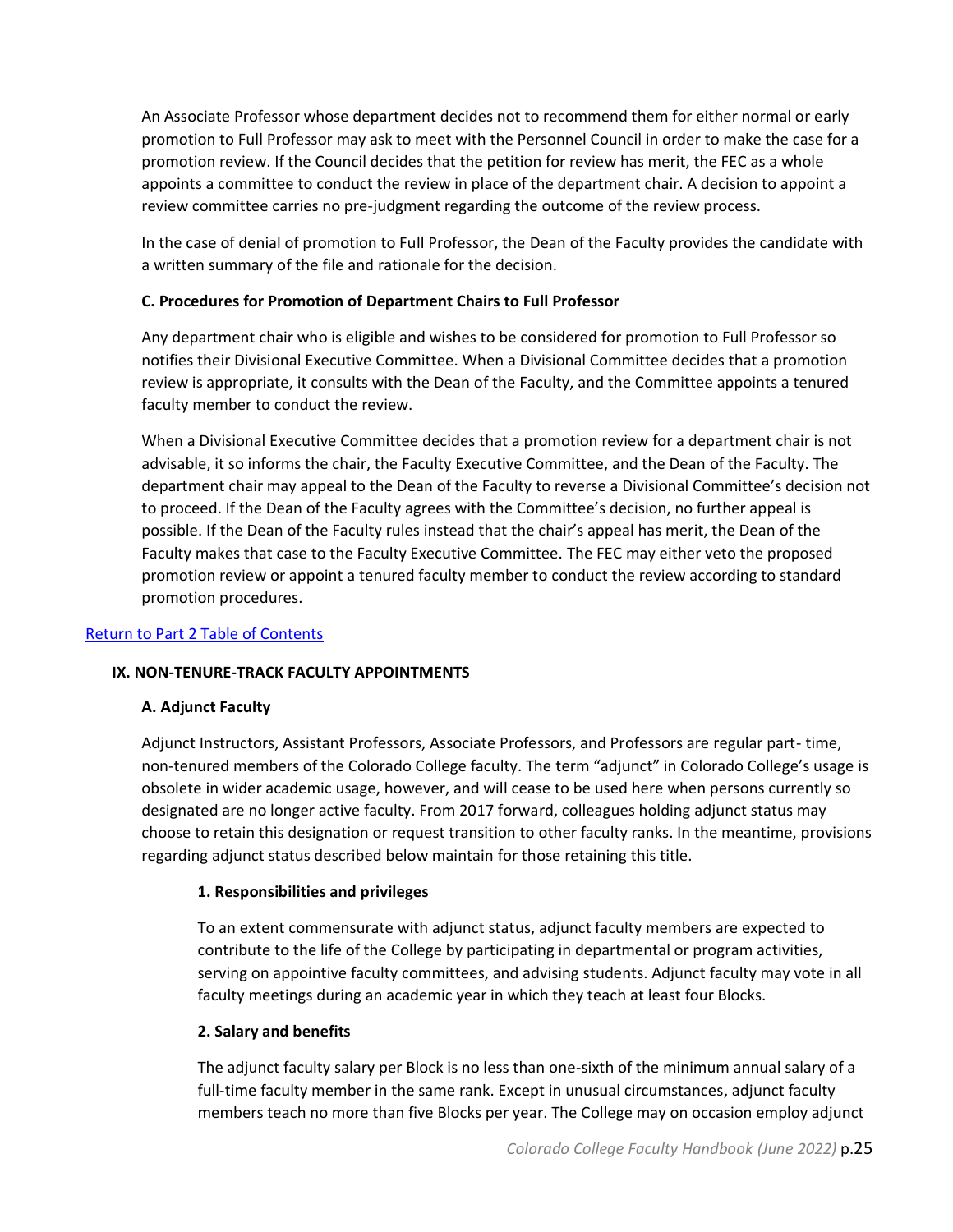An Associate Professor whose department decides not to recommend them for either normal or early promotion to Full Professor may ask to meet with the Personnel Council in order to make the case for a promotion review. If the Council decides that the petition for review has merit, the FEC as a whole appoints a committee to conduct the review in place of the department chair. A decision to appoint a review committee carries no pre-judgment regarding the outcome of the review process.

In the case of denial of promotion to Full Professor, the Dean of the Faculty provides the candidate with a written summary of the file and rationale for the decision.

## **C. Procedures for Promotion of Department Chairs to Full Professor**

Any department chair who is eligible and wishes to be considered for promotion to Full Professor so notifies their Divisional Executive Committee. When a Divisional Committee decides that a promotion review is appropriate, it consults with the Dean of the Faculty, and the Committee appoints a tenured faculty member to conduct the review.

When a Divisional Executive Committee decides that a promotion review for a department chair is not advisable, it so informs the chair, the Faculty Executive Committee, and the Dean of the Faculty. The department chair may appeal to the Dean of the Faculty to reverse a Divisional Committee's decision not to proceed. If the Dean of the Faculty agrees with the Committee's decision, no further appeal is possible. If the Dean of the Faculty rules instead that the chair's appeal has merit, the Dean of the Faculty makes that case to the Faculty Executive Committee. The FEC may either veto the proposed promotion review or appoint a tenured faculty member to conduct the review according to standard promotion procedures.

## <span id="page-24-0"></span>[Return to Part 2 Table of Contents](#page-8-0)

## <span id="page-24-1"></span>**IX. NON-TENURE-TRACK FACULTY APPOINTMENTS**

## **A. Adjunct Faculty**

Adjunct Instructors, Assistant Professors, Associate Professors, and Professors are regular part- time, non-tenured members of the Colorado College faculty. The term "adjunct" in Colorado College's usage is obsolete in wider academic usage, however, and will cease to be used here when persons currently so designated are no longer active faculty. From 2017 forward, colleagues holding adjunct status may choose to retain this designation or request transition to other faculty ranks. In the meantime, provisions regarding adjunct status described below maintain for those retaining this title.

## **1. Responsibilities and privileges**

To an extent commensurate with adjunct status, adjunct faculty members are expected to contribute to the life of the College by participating in departmental or program activities, serving on appointive faculty committees, and advising students. Adjunct faculty may vote in all faculty meetings during an academic year in which they teach at least four Blocks.

## **2. Salary and benefits**

The adjunct faculty salary per Block is no less than one-sixth of the minimum annual salary of a full-time faculty member in the same rank. Except in unusual circumstances, adjunct faculty members teach no more than five Blocks per year. The College may on occasion employ adjunct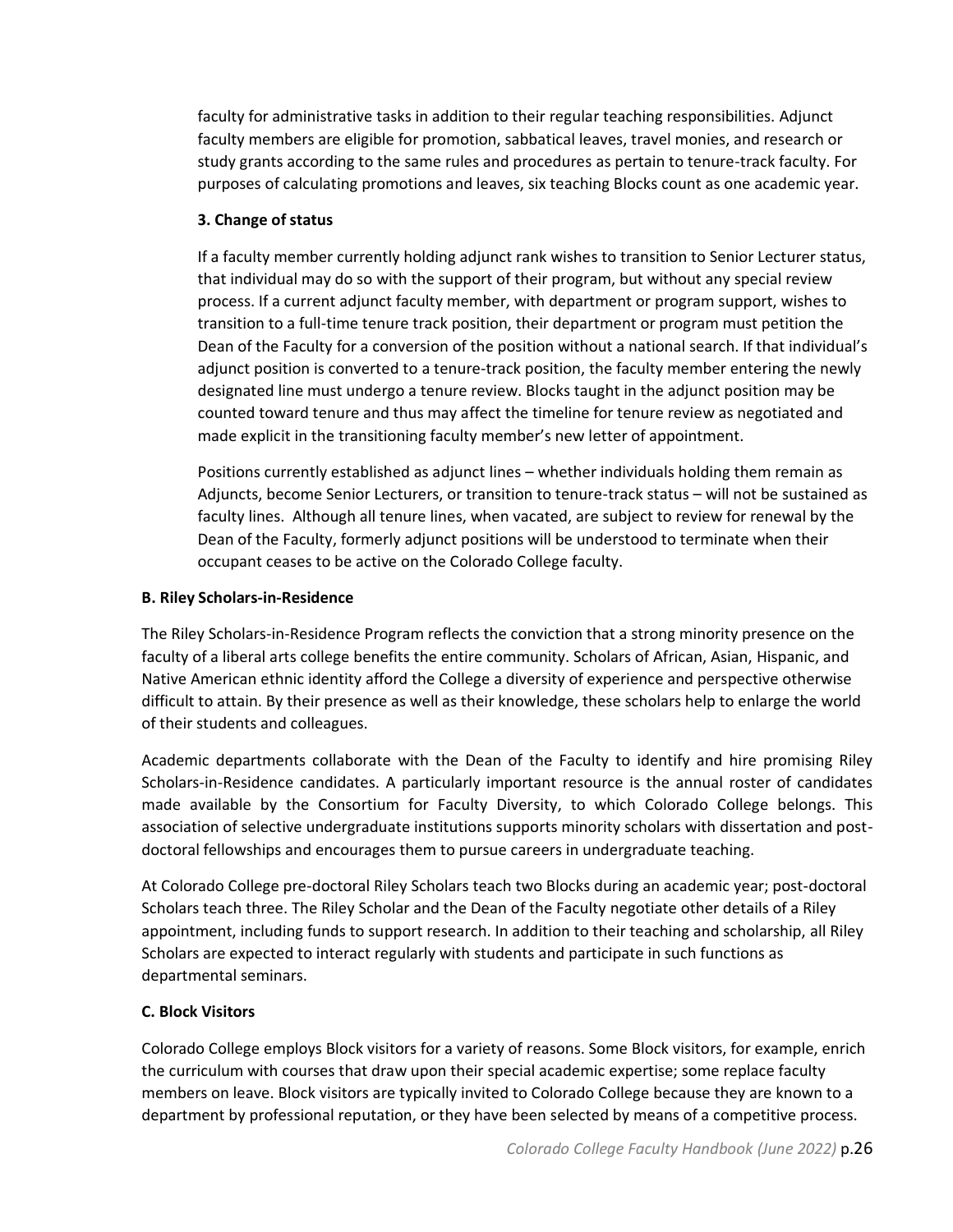faculty for administrative tasks in addition to their regular teaching responsibilities. Adjunct faculty members are eligible for promotion, sabbatical leaves, travel monies, and research or study grants according to the same rules and procedures as pertain to tenure-track faculty. For purposes of calculating promotions and leaves, six teaching Blocks count as one academic year.

## **3. Change of status**

If a faculty member currently holding adjunct rank wishes to transition to Senior Lecturer status, that individual may do so with the support of their program, but without any special review process. If a current adjunct faculty member, with department or program support, wishes to transition to a full-time tenure track position, their department or program must petition the Dean of the Faculty for a conversion of the position without a national search. If that individual's adjunct position is converted to a tenure-track position, the faculty member entering the newly designated line must undergo a tenure review. Blocks taught in the adjunct position may be counted toward tenure and thus may affect the timeline for tenure review as negotiated and made explicit in the transitioning faculty member's new letter of appointment.

Positions currently established as adjunct lines – whether individuals holding them remain as Adjuncts, become Senior Lecturers, or transition to tenure-track status – will not be sustained as faculty lines. Although all tenure lines, when vacated, are subject to review for renewal by the Dean of the Faculty, formerly adjunct positions will be understood to terminate when their occupant ceases to be active on the Colorado College faculty.

## <span id="page-25-0"></span>**B. Riley Scholars-in-Residence**

The Riley Scholars-in-Residence Program reflects the conviction that a strong minority presence on the faculty of a liberal arts college benefits the entire community. Scholars of African, Asian, Hispanic, and Native American ethnic identity afford the College a diversity of experience and perspective otherwise difficult to attain. By their presence as well as their knowledge, these scholars help to enlarge the world of their students and colleagues.

Academic departments collaborate with the Dean of the Faculty to identify and hire promising Riley Scholars-in-Residence candidates. A particularly important resource is the annual roster of candidates made available by the Consortium for Faculty Diversity, to which Colorado College belongs. This association of selective undergraduate institutions supports minority scholars with dissertation and postdoctoral fellowships and encourages them to pursue careers in undergraduate teaching.

At Colorado College pre-doctoral Riley Scholars teach two Blocks during an academic year; post-doctoral Scholars teach three. The Riley Scholar and the Dean of the Faculty negotiate other details of a Riley appointment, including funds to support research. In addition to their teaching and scholarship, all Riley Scholars are expected to interact regularly with students and participate in such functions as departmental seminars.

## <span id="page-25-1"></span>**C. Block Visitors**

Colorado College employs Block visitors for a variety of reasons. Some Block visitors, for example, enrich the curriculum with courses that draw upon their special academic expertise; some replace faculty members on leave. Block visitors are typically invited to Colorado College because they are known to a department by professional reputation, or they have been selected by means of a competitive process.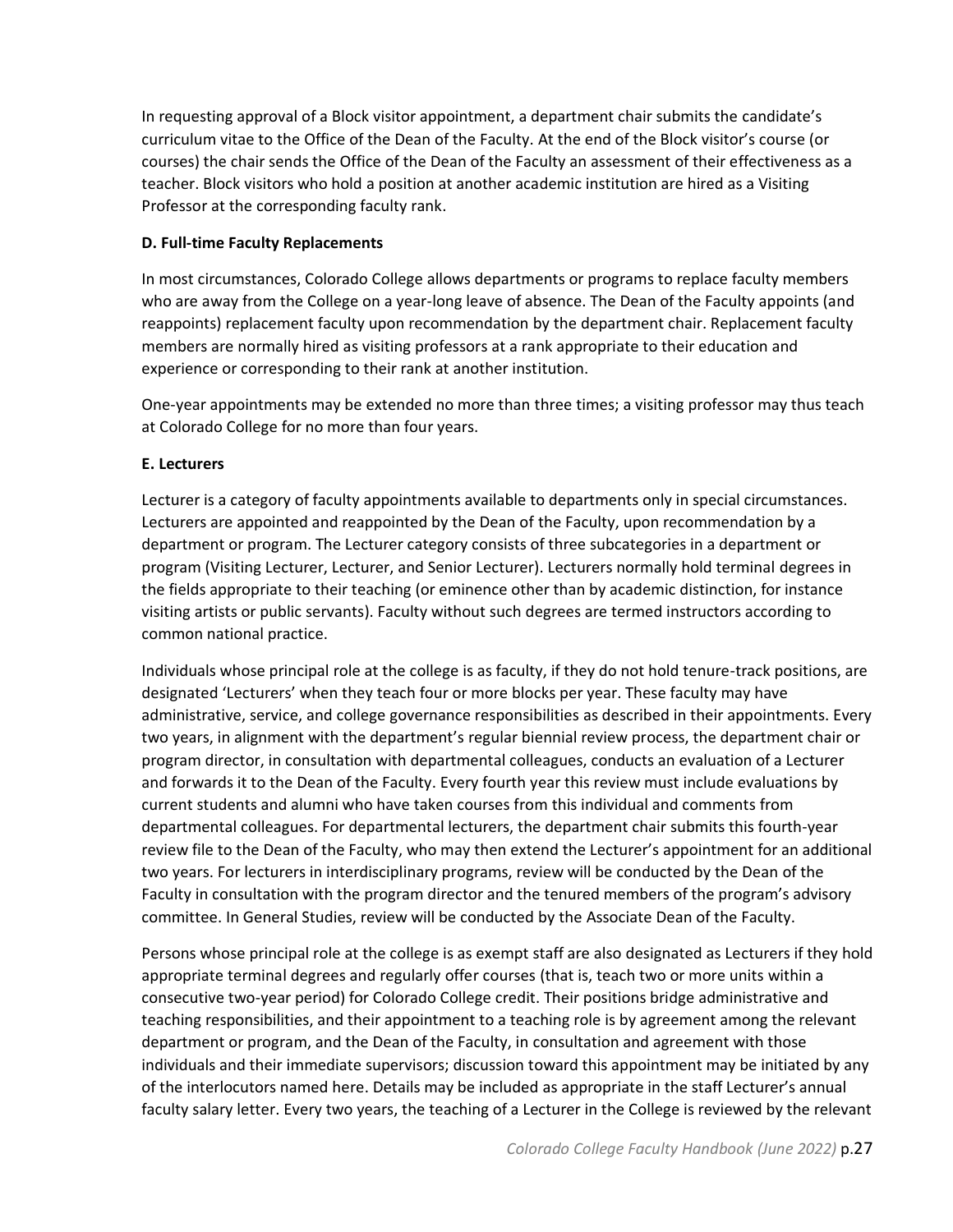In requesting approval of a Block visitor appointment, a department chair submits the candidate's curriculum vitae to the Office of the Dean of the Faculty. At the end of the Block visitor's course (or courses) the chair sends the Office of the Dean of the Faculty an assessment of their effectiveness as a teacher. Block visitors who hold a position at another academic institution are hired as a Visiting Professor at the corresponding faculty rank.

## <span id="page-26-0"></span>**D. Full-time Faculty Replacements**

In most circumstances, Colorado College allows departments or programs to replace faculty members who are away from the College on a year-long leave of absence. The Dean of the Faculty appoints (and reappoints) replacement faculty upon recommendation by the department chair. Replacement faculty members are normally hired as visiting professors at a rank appropriate to their education and experience or corresponding to their rank at another institution.

One-year appointments may be extended no more than three times; a visiting professor may thus teach at Colorado College for no more than four years.

## <span id="page-26-1"></span>**E. Lecturers**

Lecturer is a category of faculty appointments available to departments only in special circumstances. Lecturers are appointed and reappointed by the Dean of the Faculty, upon recommendation by a department or program. The Lecturer category consists of three subcategories in a department or program (Visiting Lecturer, Lecturer, and Senior Lecturer). Lecturers normally hold terminal degrees in the fields appropriate to their teaching (or eminence other than by academic distinction, for instance visiting artists or public servants). Faculty without such degrees are termed instructors according to common national practice.

Individuals whose principal role at the college is as faculty, if they do not hold tenure-track positions, are designated 'Lecturers' when they teach four or more blocks per year. These faculty may have administrative, service, and college governance responsibilities as described in their appointments. Every two years, in alignment with the department's regular biennial review process, the department chair or program director, in consultation with departmental colleagues, conducts an evaluation of a Lecturer and forwards it to the Dean of the Faculty. Every fourth year this review must include evaluations by current students and alumni who have taken courses from this individual and comments from departmental colleagues. For departmental lecturers, the department chair submits this fourth-year review file to the Dean of the Faculty, who may then extend the Lecturer's appointment for an additional two years. For lecturers in interdisciplinary programs, review will be conducted by the Dean of the Faculty in consultation with the program director and the tenured members of the program's advisory committee. In General Studies, review will be conducted by the Associate Dean of the Faculty.

Persons whose principal role at the college is as exempt staff are also designated as Lecturers if they hold appropriate terminal degrees and regularly offer courses (that is, teach two or more units within a consecutive two-year period) for Colorado College credit. Their positions bridge administrative and teaching responsibilities, and their appointment to a teaching role is by agreement among the relevant department or program, and the Dean of the Faculty, in consultation and agreement with those individuals and their immediate supervisors; discussion toward this appointment may be initiated by any of the interlocutors named here. Details may be included as appropriate in the staff Lecturer's annual faculty salary letter. Every two years, the teaching of a Lecturer in the College is reviewed by the relevant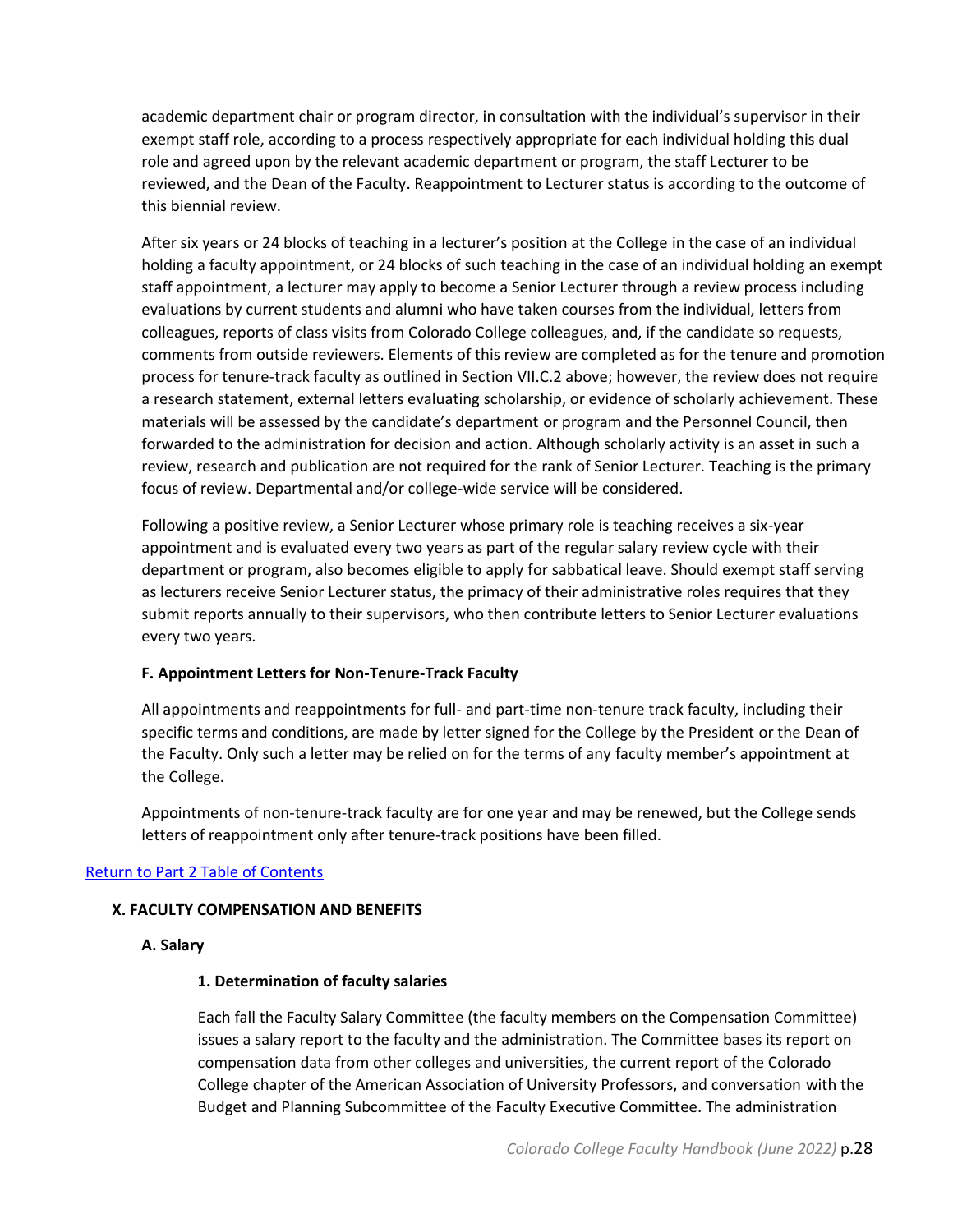academic department chair or program director, in consultation with the individual's supervisor in their exempt staff role, according to a process respectively appropriate for each individual holding this dual role and agreed upon by the relevant academic department or program, the staff Lecturer to be reviewed, and the Dean of the Faculty. Reappointment to Lecturer status is according to the outcome of this biennial review.

After six years or 24 blocks of teaching in a lecturer's position at the College in the case of an individual holding a faculty appointment, or 24 blocks of such teaching in the case of an individual holding an exempt staff appointment, a lecturer may apply to become a Senior Lecturer through a review process including evaluations by current students and alumni who have taken courses from the individual, letters from colleagues, reports of class visits from Colorado College colleagues, and, if the candidate so requests, comments from outside reviewers. Elements of this review are completed as for the tenure and promotion process for tenure-track faculty as outlined in Section VII.C.2 above; however, the review does not require a research statement, external letters evaluating scholarship, or evidence of scholarly achievement. These materials will be assessed by the candidate's department or program and the Personnel Council, then forwarded to the administration for decision and action. Although scholarly activity is an asset in such a review, research and publication are not required for the rank of Senior Lecturer. Teaching is the primary focus of review. Departmental and/or college-wide service will be considered.

Following a positive review, a Senior Lecturer whose primary role is teaching receives a six-year appointment and is evaluated every two years as part of the regular salary review cycle with their department or program, also becomes eligible to apply for sabbatical leave. Should exempt staff serving as lecturers receive Senior Lecturer status, the primacy of their administrative roles requires that they submit reports annually to their supervisors, who then contribute letters to Senior Lecturer evaluations every two years.

## <span id="page-27-0"></span>**F. Appointment Letters for Non-Tenure-Track Faculty**

All appointments and reappointments for full- and part-time non-tenure track faculty, including their specific terms and conditions, are made by letter signed for the College by the President or the Dean of the Faculty. Only such a letter may be relied on for the terms of any faculty member's appointment at the College.

Appointments of non-tenure-track faculty are for one year and may be renewed, but the College sends letters of reappointment only after tenure-track positions have been filled.

## <span id="page-27-1"></span>[Return to Part 2 Table of Contents](#page-8-0)

## <span id="page-27-2"></span>**X. FACULTY COMPENSATION AND BENEFITS**

## **A. Salary**

## **1. Determination of faculty salaries**

Each fall the Faculty Salary Committee (the faculty members on the Compensation Committee) issues a salary report to the faculty and the administration. The Committee bases its report on compensation data from other colleges and universities, the current report of the Colorado College chapter of the American Association of University Professors, and conversation with the Budget and Planning Subcommittee of the Faculty Executive Committee. The administration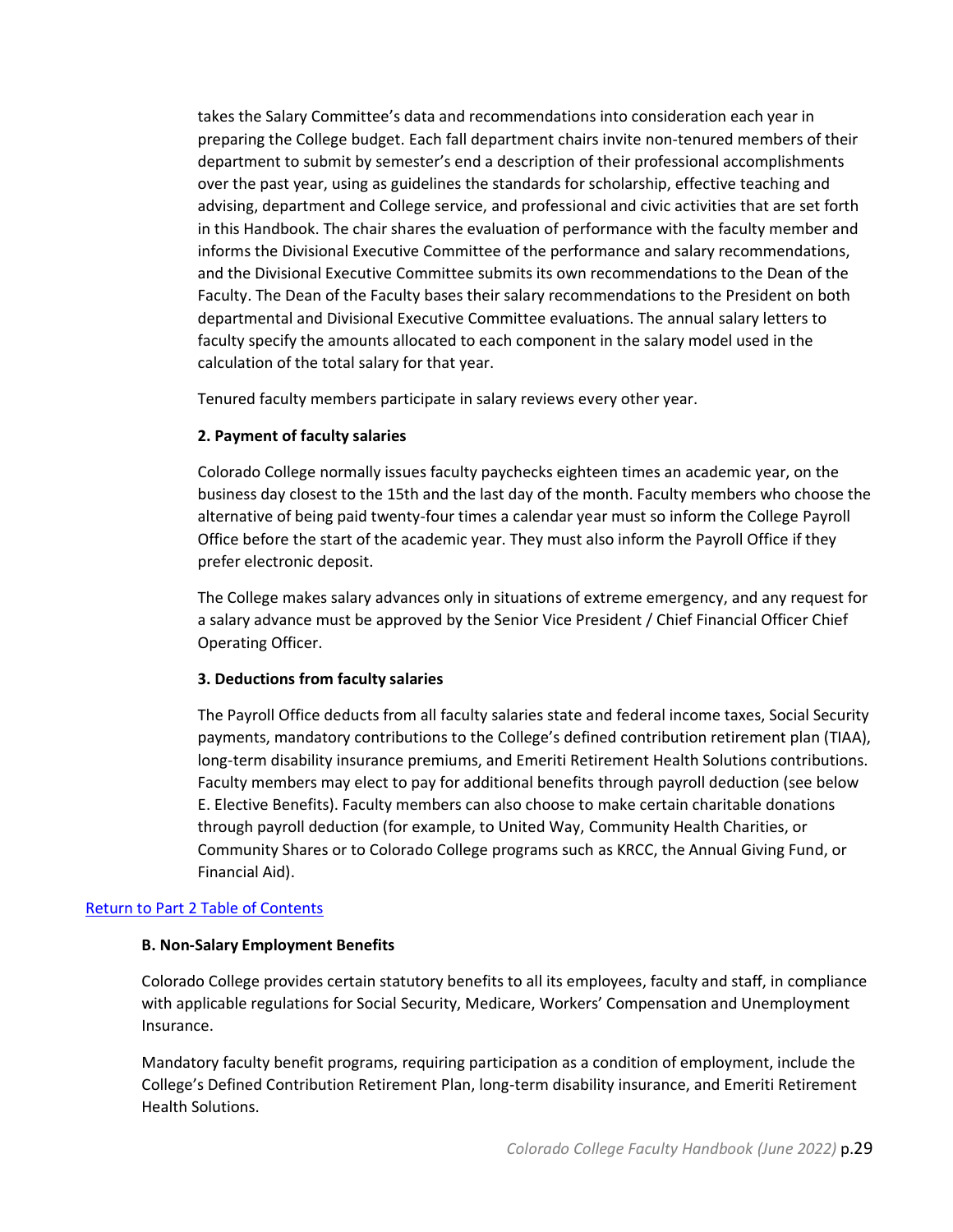takes the Salary Committee's data and recommendations into consideration each year in preparing the College budget. Each fall department chairs invite non-tenured members of their department to submit by semester's end a description of their professional accomplishments over the past year, using as guidelines the standards for scholarship, effective teaching and advising, department and College service, and professional and civic activities that are set forth in this Handbook. The chair shares the evaluation of performance with the faculty member and informs the Divisional Executive Committee of the performance and salary recommendations, and the Divisional Executive Committee submits its own recommendations to the Dean of the Faculty. The Dean of the Faculty bases their salary recommendations to the President on both departmental and Divisional Executive Committee evaluations. The annual salary letters to faculty specify the amounts allocated to each component in the salary model used in the calculation of the total salary for that year.

Tenured faculty members participate in salary reviews every other year.

## **2. Payment of faculty salaries**

Colorado College normally issues faculty paychecks eighteen times an academic year, on the business day closest to the 15th and the last day of the month. Faculty members who choose the alternative of being paid twenty-four times a calendar year must so inform the College Payroll Office before the start of the academic year. They must also inform the Payroll Office if they prefer electronic deposit.

The College makes salary advances only in situations of extreme emergency, and any request for a salary advance must be approved by the Senior Vice President / Chief Financial Officer Chief Operating Officer.

## **3. Deductions from faculty salaries**

The Payroll Office deducts from all faculty salaries state and federal income taxes, Social Security payments, mandatory contributions to the College's defined contribution retirement plan (TIAA), long-term disability insurance premiums, and Emeriti Retirement Health Solutions contributions. Faculty members may elect to pay for additional benefits through payroll deduction (see below E. Elective Benefits). Faculty members can also choose to make certain charitable donations through payroll deduction (for example, to United Way, Community Health Charities, or Community Shares or to Colorado College programs such as KRCC, the Annual Giving Fund, or Financial Aid).

## <span id="page-28-0"></span>[Return to Part 2 Table of Contents](#page-8-0)

## **B. Non-Salary Employment Benefits**

Colorado College provides certain statutory benefits to all its employees, faculty and staff, in compliance with applicable regulations for Social Security, Medicare, Workers' Compensation and Unemployment Insurance.

Mandatory faculty benefit programs, requiring participation as a condition of employment, include the College's Defined Contribution Retirement Plan, long-term disability insurance, and Emeriti Retirement Health Solutions.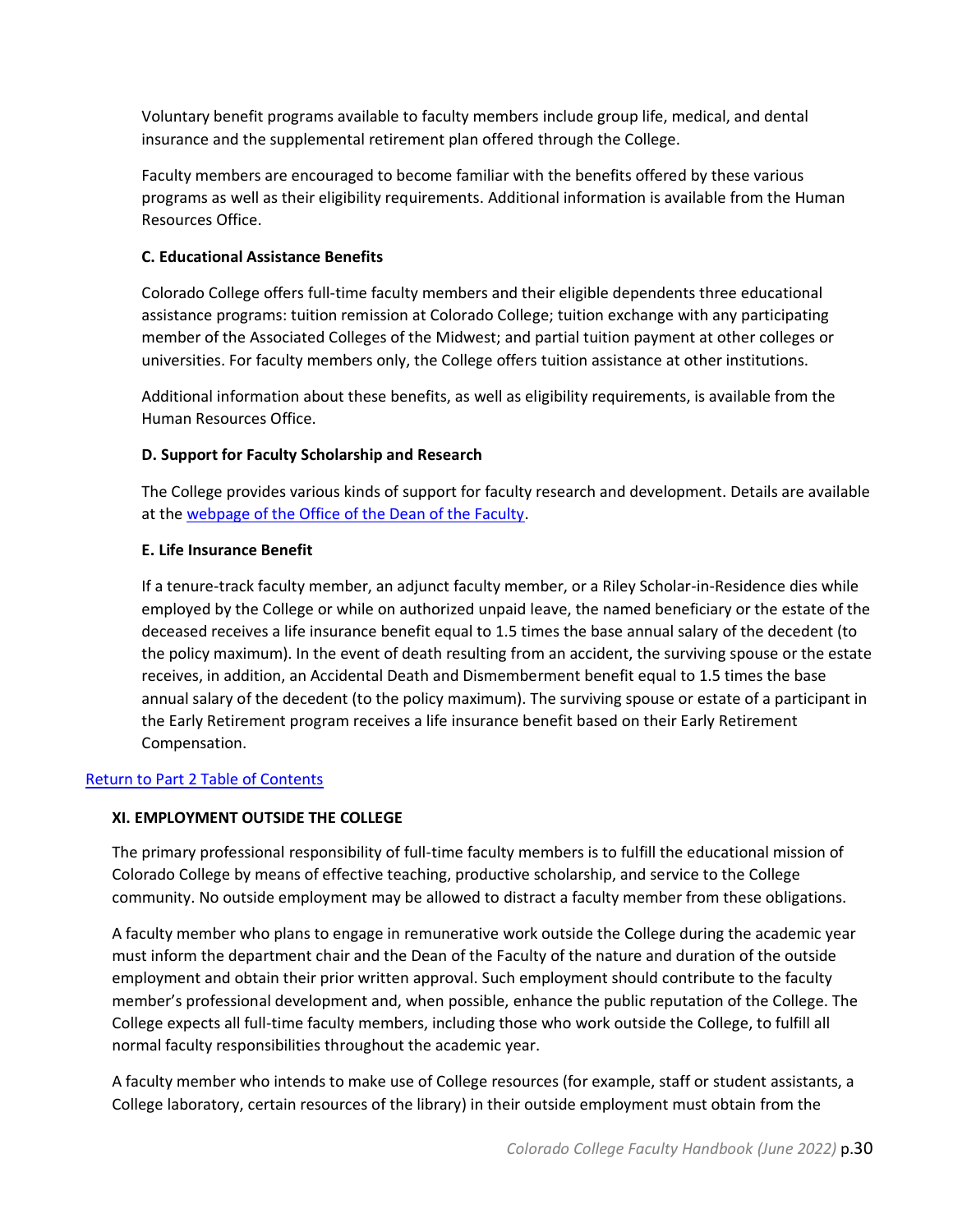Voluntary benefit programs available to faculty members include group life, medical, and dental insurance and the supplemental retirement plan offered through the College.

Faculty members are encouraged to become familiar with the benefits offered by these various programs as well as their eligibility requirements. Additional information is available from the Human Resources Office.

## <span id="page-29-0"></span>**C. Educational Assistance Benefits**

Colorado College offers full-time faculty members and their eligible dependents three educational assistance programs: tuition remission at Colorado College; tuition exchange with any participating member of the Associated Colleges of the Midwest; and partial tuition payment at other colleges or universities. For faculty members only, the College offers tuition assistance at other institutions.

Additional information about these benefits, as well as eligibility requirements, is available from the Human Resources Office.

## <span id="page-29-1"></span>**D. Support for Faculty Scholarship and Research**

The College provides various kinds of support for faculty research and development. Details are available at the [webpage of the Office of the Dean of the Faculty.](https://www.coloradocollege.edu/offices/dean-faculty/faculty/grants)

## <span id="page-29-2"></span>**E. Life Insurance Benefit**

If a tenure-track faculty member, an adjunct faculty member, or a Riley Scholar-in-Residence dies while employed by the College or while on authorized unpaid leave, the named beneficiary or the estate of the deceased receives a life insurance benefit equal to 1.5 times the base annual salary of the decedent (to the policy maximum). In the event of death resulting from an accident, the surviving spouse or the estate receives, in addition, an Accidental Death and Dismemberment benefit equal to 1.5 times the base annual salary of the decedent (to the policy maximum). The surviving spouse or estate of a participant in the Early Retirement program receives a life insurance benefit based on their Early Retirement Compensation.

## <span id="page-29-3"></span>[Return to Part 2 Table of Contents](#page-8-0)

## **XI. EMPLOYMENT OUTSIDE THE COLLEGE**

The primary professional responsibility of full-time faculty members is to fulfill the educational mission of Colorado College by means of effective teaching, productive scholarship, and service to the College community. No outside employment may be allowed to distract a faculty member from these obligations.

A faculty member who plans to engage in remunerative work outside the College during the academic year must inform the department chair and the Dean of the Faculty of the nature and duration of the outside employment and obtain their prior written approval. Such employment should contribute to the faculty member's professional development and, when possible, enhance the public reputation of the College. The College expects all full-time faculty members, including those who work outside the College, to fulfill all normal faculty responsibilities throughout the academic year.

A faculty member who intends to make use of College resources (for example, staff or student assistants, a College laboratory, certain resources of the library) in their outside employment must obtain from the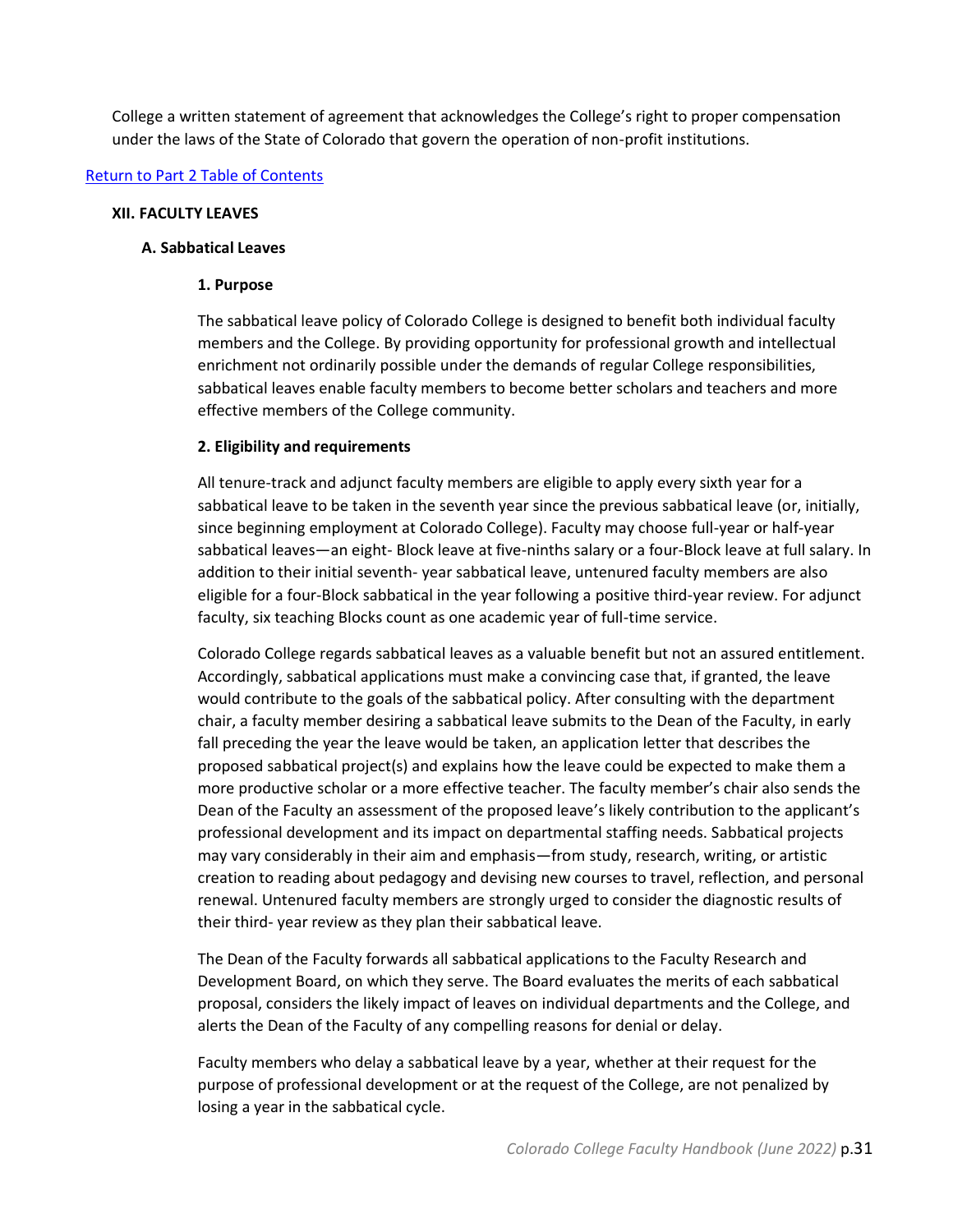College a written statement of agreement that acknowledges the College's right to proper compensation under the laws of the State of Colorado that govern the operation of non-profit institutions.

#### <span id="page-30-0"></span>[Return to Part 2 Table of Contents](#page-8-0)

#### <span id="page-30-1"></span>**XII. FACULTY LEAVES**

#### **A. Sabbatical Leaves**

#### **1. Purpose**

The sabbatical leave policy of Colorado College is designed to benefit both individual faculty members and the College. By providing opportunity for professional growth and intellectual enrichment not ordinarily possible under the demands of regular College responsibilities, sabbatical leaves enable faculty members to become better scholars and teachers and more effective members of the College community.

#### **2. Eligibility and requirements**

All tenure-track and adjunct faculty members are eligible to apply every sixth year for a sabbatical leave to be taken in the seventh year since the previous sabbatical leave (or, initially, since beginning employment at Colorado College). Faculty may choose full-year or half-year sabbatical leaves—an eight- Block leave at five-ninths salary or a four-Block leave at full salary. In addition to their initial seventh- year sabbatical leave, untenured faculty members are also eligible for a four-Block sabbatical in the year following a positive third-year review. For adjunct faculty, six teaching Blocks count as one academic year of full-time service.

Colorado College regards sabbatical leaves as a valuable benefit but not an assured entitlement. Accordingly, sabbatical applications must make a convincing case that, if granted, the leave would contribute to the goals of the sabbatical policy. After consulting with the department chair, a faculty member desiring a sabbatical leave submits to the Dean of the Faculty, in early fall preceding the year the leave would be taken, an application letter that describes the proposed sabbatical project(s) and explains how the leave could be expected to make them a more productive scholar or a more effective teacher. The faculty member's chair also sends the Dean of the Faculty an assessment of the proposed leave's likely contribution to the applicant's professional development and its impact on departmental staffing needs. Sabbatical projects may vary considerably in their aim and emphasis—from study, research, writing, or artistic creation to reading about pedagogy and devising new courses to travel, reflection, and personal renewal. Untenured faculty members are strongly urged to consider the diagnostic results of their third- year review as they plan their sabbatical leave.

The Dean of the Faculty forwards all sabbatical applications to the Faculty Research and Development Board, on which they serve. The Board evaluates the merits of each sabbatical proposal, considers the likely impact of leaves on individual departments and the College, and alerts the Dean of the Faculty of any compelling reasons for denial or delay.

Faculty members who delay a sabbatical leave by a year, whether at their request for the purpose of professional development or at the request of the College, are not penalized by losing a year in the sabbatical cycle.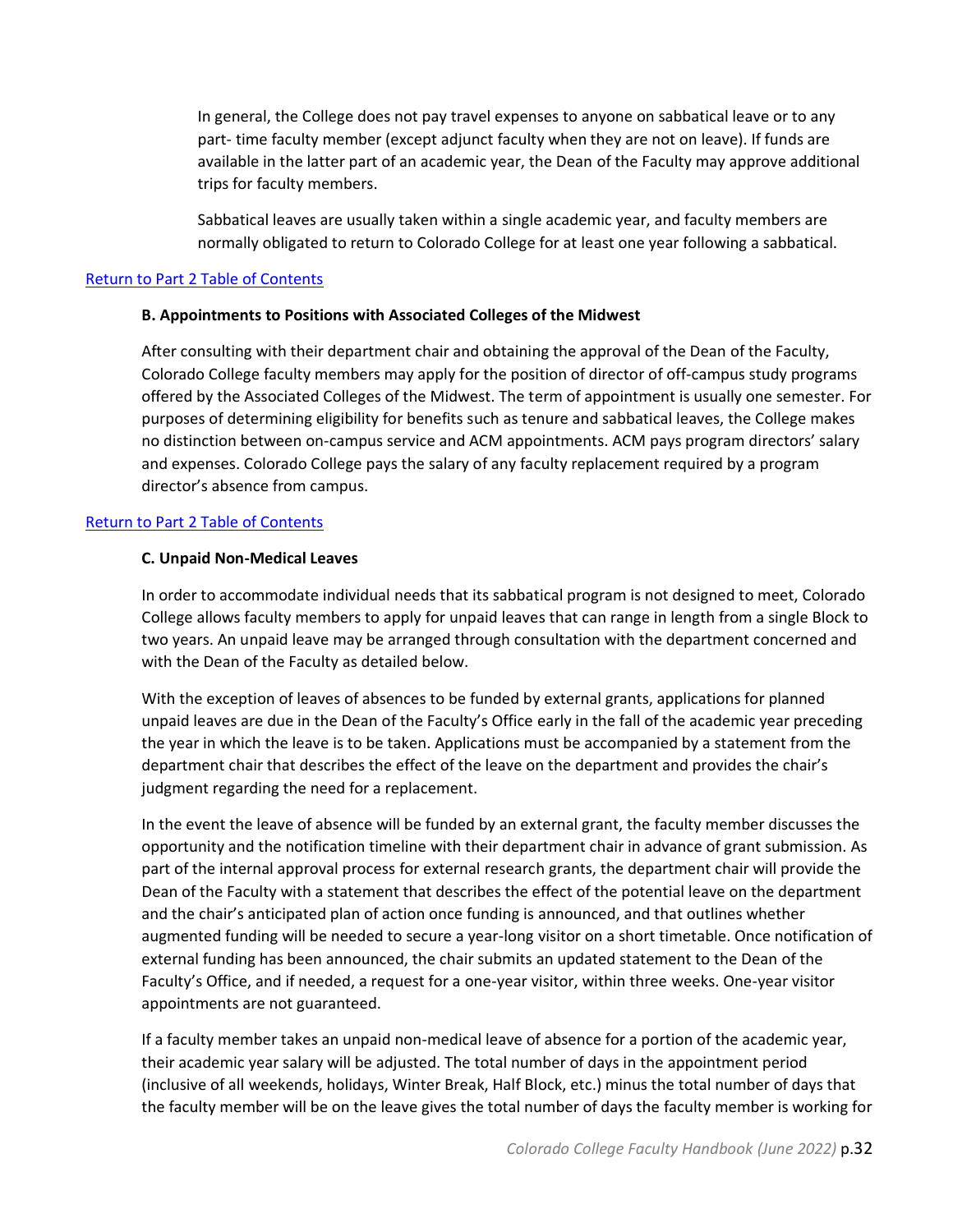In general, the College does not pay travel expenses to anyone on sabbatical leave or to any part- time faculty member (except adjunct faculty when they are not on leave). If funds are available in the latter part of an academic year, the Dean of the Faculty may approve additional trips for faculty members.

Sabbatical leaves are usually taken within a single academic year, and faculty members are normally obligated to return to Colorado College for at least one year following a sabbatical.

#### <span id="page-31-0"></span>[Return to Part 2 Table of Contents](#page-8-0)

#### **B. Appointments to Positions with Associated Colleges of the Midwest**

After consulting with their department chair and obtaining the approval of the Dean of the Faculty, Colorado College faculty members may apply for the position of director of off-campus study programs offered by the Associated Colleges of the Midwest. The term of appointment is usually one semester. For purposes of determining eligibility for benefits such as tenure and sabbatical leaves, the College makes no distinction between on-campus service and ACM appointments. ACM pays program directors' salary and expenses. Colorado College pays the salary of any faculty replacement required by a program director's absence from campus.

## <span id="page-31-1"></span>[Return to Part 2 Table of Contents](#page-8-0)

#### **C. Unpaid Non-Medical Leaves**

In order to accommodate individual needs that its sabbatical program is not designed to meet, Colorado College allows faculty members to apply for unpaid leaves that can range in length from a single Block to two years. An unpaid leave may be arranged through consultation with the department concerned and with the Dean of the Faculty as detailed below.

With the exception of leaves of absences to be funded by external grants, applications for planned unpaid leaves are due in the Dean of the Faculty's Office early in the fall of the academic year preceding the year in which the leave is to be taken. Applications must be accompanied by a statement from the department chair that describes the effect of the leave on the department and provides the chair's judgment regarding the need for a replacement.

In the event the leave of absence will be funded by an external grant, the faculty member discusses the opportunity and the notification timeline with their department chair in advance of grant submission. As part of the internal approval process for external research grants, the department chair will provide the Dean of the Faculty with a statement that describes the effect of the potential leave on the department and the chair's anticipated plan of action once funding is announced, and that outlines whether augmented funding will be needed to secure a year-long visitor on a short timetable. Once notification of external funding has been announced, the chair submits an updated statement to the Dean of the Faculty's Office, and if needed, a request for a one-year visitor, within three weeks. One-year visitor appointments are not guaranteed.

If a faculty member takes an unpaid non-medical leave of absence for a portion of the academic year, their academic year salary will be adjusted. The total number of days in the appointment period (inclusive of all weekends, holidays, Winter Break, Half Block, etc.) minus the total number of days that the faculty member will be on the leave gives the total number of days the faculty member is working for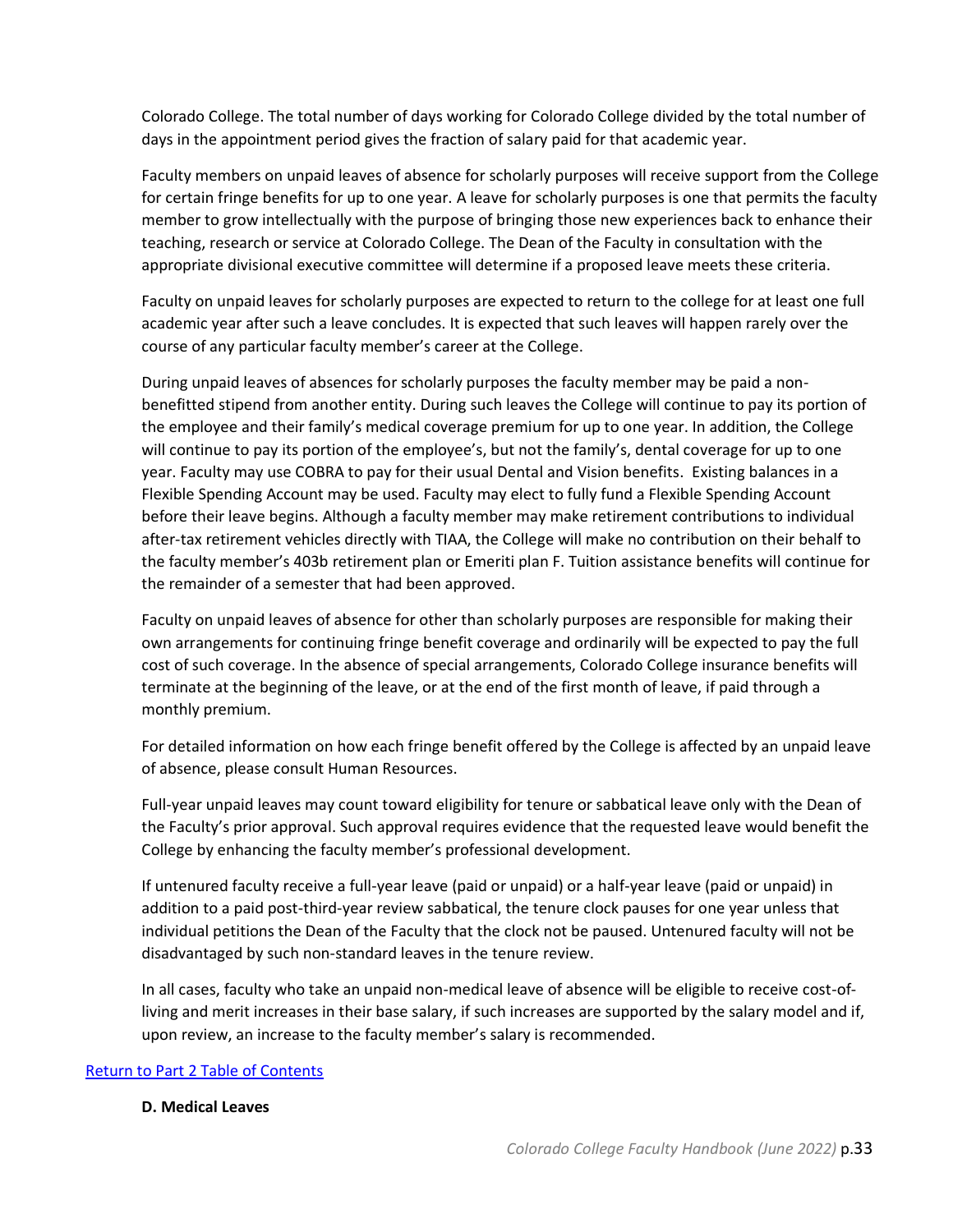Colorado College. The total number of days working for Colorado College divided by the total number of days in the appointment period gives the fraction of salary paid for that academic year.

Faculty members on unpaid leaves of absence for scholarly purposes will receive support from the College for certain fringe benefits for up to one year. A leave for scholarly purposes is one that permits the faculty member to grow intellectually with the purpose of bringing those new experiences back to enhance their teaching, research or service at Colorado College. The Dean of the Faculty in consultation with the appropriate divisional executive committee will determine if a proposed leave meets these criteria.

Faculty on unpaid leaves for scholarly purposes are expected to return to the college for at least one full academic year after such a leave concludes. It is expected that such leaves will happen rarely over the course of any particular faculty member's career at the College.

During unpaid leaves of absences for scholarly purposes the faculty member may be paid a nonbenefitted stipend from another entity. During such leaves the College will continue to pay its portion of the employee and their family's medical coverage premium for up to one year. In addition, the College will continue to pay its portion of the employee's, but not the family's, dental coverage for up to one year. Faculty may use COBRA to pay for their usual Dental and Vision benefits. Existing balances in a Flexible Spending Account may be used. Faculty may elect to fully fund a Flexible Spending Account before their leave begins. Although a faculty member may make retirement contributions to individual after-tax retirement vehicles directly with TIAA, the College will make no contribution on their behalf to the faculty member's 403b retirement plan or Emeriti plan F. Tuition assistance benefits will continue for the remainder of a semester that had been approved.

Faculty on unpaid leaves of absence for other than scholarly purposes are responsible for making their own arrangements for continuing fringe benefit coverage and ordinarily will be expected to pay the full cost of such coverage. In the absence of special arrangements, Colorado College insurance benefits will terminate at the beginning of the leave, or at the end of the first month of leave, if paid through a monthly premium.

For detailed information on how each fringe benefit offered by the College is affected by an unpaid leave of absence, please consult Human Resources.

Full-year unpaid leaves may count toward eligibility for tenure or sabbatical leave only with the Dean of the Faculty's prior approval. Such approval requires evidence that the requested leave would benefit the College by enhancing the faculty member's professional development.

If untenured faculty receive a full-year leave (paid or unpaid) or a half-year leave (paid or unpaid) in addition to a paid post-third-year review sabbatical, the tenure clock pauses for one year unless that individual petitions the Dean of the Faculty that the clock not be paused. Untenured faculty will not be disadvantaged by such non-standard leaves in the tenure review.

In all cases, faculty who take an unpaid non-medical leave of absence will be eligible to receive cost-ofliving and merit increases in their base salary, if such increases are supported by the salary model and if, upon review, an increase to the faculty member's salary is recommended.

## <span id="page-32-0"></span>[Return to Part 2 Table of Contents](#page-8-0)

#### **D. Medical Leaves**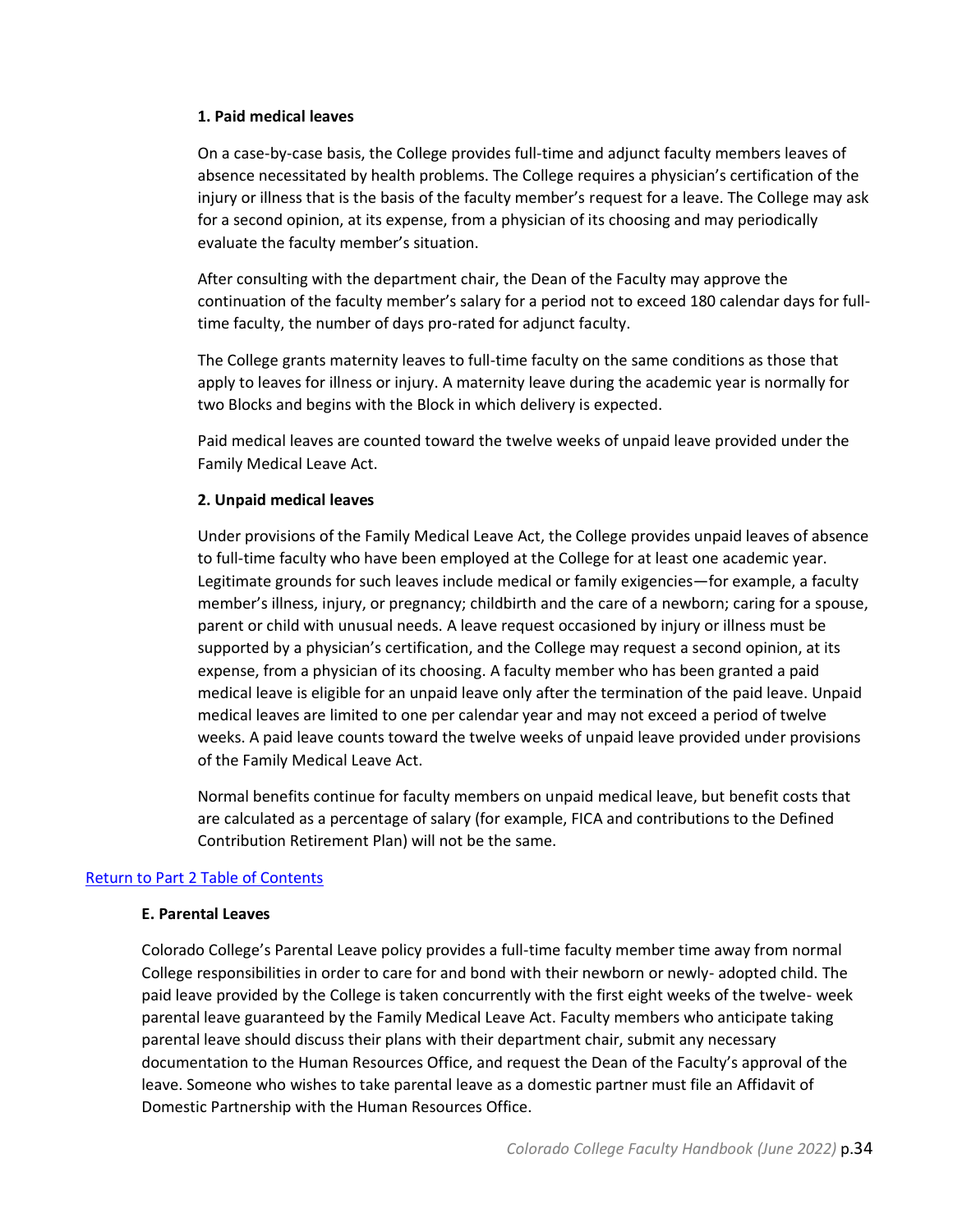#### **1. Paid medical leaves**

On a case-by-case basis, the College provides full-time and adjunct faculty members leaves of absence necessitated by health problems. The College requires a physician's certification of the injury or illness that is the basis of the faculty member's request for a leave. The College may ask for a second opinion, at its expense, from a physician of its choosing and may periodically evaluate the faculty member's situation.

After consulting with the department chair, the Dean of the Faculty may approve the continuation of the faculty member's salary for a period not to exceed 180 calendar days for fulltime faculty, the number of days pro-rated for adjunct faculty.

The College grants maternity leaves to full-time faculty on the same conditions as those that apply to leaves for illness or injury. A maternity leave during the academic year is normally for two Blocks and begins with the Block in which delivery is expected.

Paid medical leaves are counted toward the twelve weeks of unpaid leave provided under the Family Medical Leave Act.

#### **2. Unpaid medical leaves**

Under provisions of the Family Medical Leave Act, the College provides unpaid leaves of absence to full-time faculty who have been employed at the College for at least one academic year. Legitimate grounds for such leaves include medical or family exigencies—for example, a faculty member's illness, injury, or pregnancy; childbirth and the care of a newborn; caring for a spouse, parent or child with unusual needs. A leave request occasioned by injury or illness must be supported by a physician's certification, and the College may request a second opinion, at its expense, from a physician of its choosing. A faculty member who has been granted a paid medical leave is eligible for an unpaid leave only after the termination of the paid leave. Unpaid medical leaves are limited to one per calendar year and may not exceed a period of twelve weeks. A paid leave counts toward the twelve weeks of unpaid leave provided under provisions of the Family Medical Leave Act.

Normal benefits continue for faculty members on unpaid medical leave, but benefit costs that are calculated as a percentage of salary (for example, FICA and contributions to the Defined Contribution Retirement Plan) will not be the same.

#### <span id="page-33-0"></span>[Return to Part 2 Table of Contents](#page-8-0)

#### **E. Parental Leaves**

Colorado College's Parental Leave policy provides a full-time faculty member time away from normal College responsibilities in order to care for and bond with their newborn or newly- adopted child. The paid leave provided by the College is taken concurrently with the first eight weeks of the twelve- week parental leave guaranteed by the Family Medical Leave Act. Faculty members who anticipate taking parental leave should discuss their plans with their department chair, submit any necessary documentation to the Human Resources Office, and request the Dean of the Faculty's approval of the leave. Someone who wishes to take parental leave as a domestic partner must file an Affidavit of Domestic Partnership with the Human Resources Office.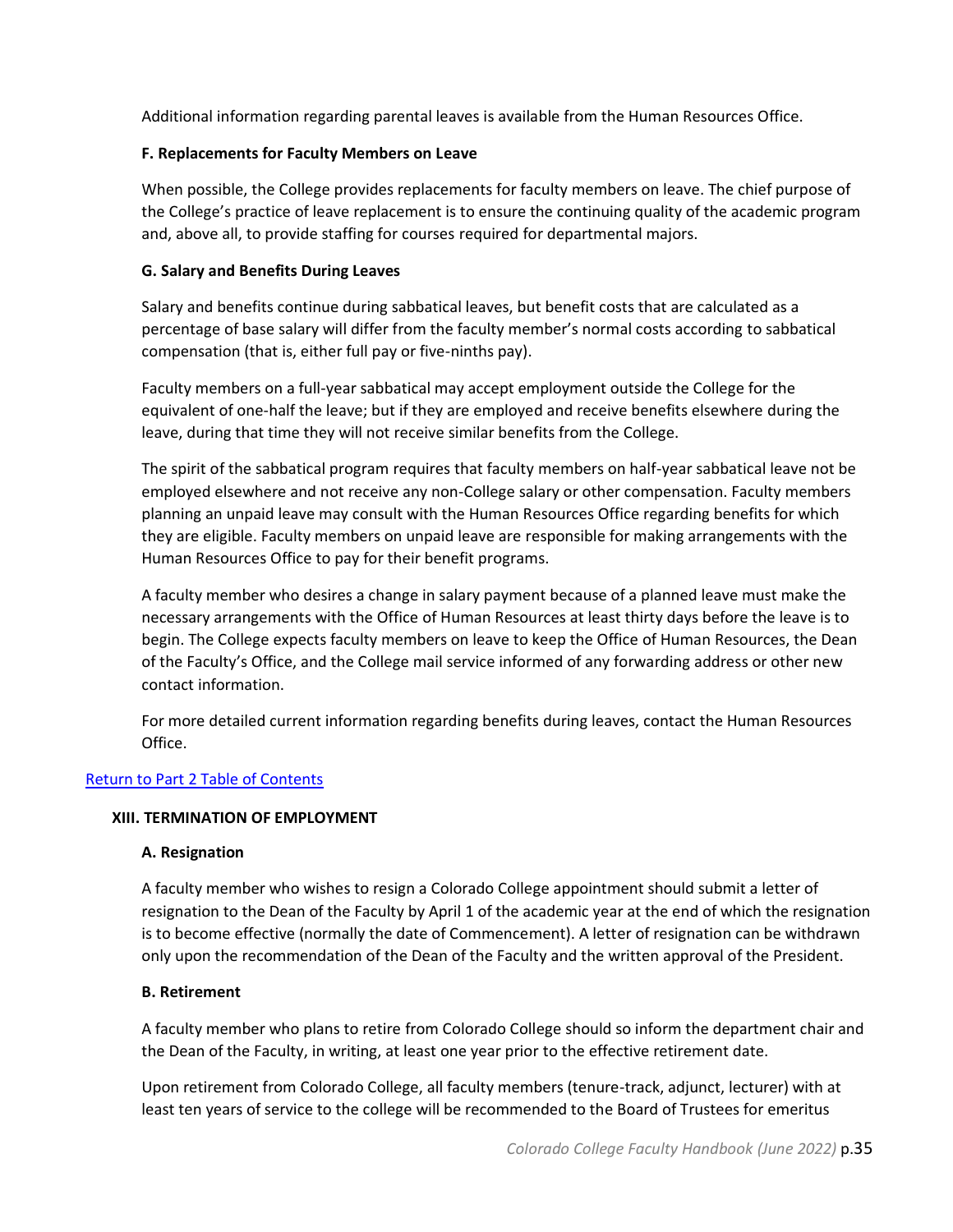Additional information regarding parental leaves is available from the Human Resources Office.

## <span id="page-34-0"></span>**F. Replacements for Faculty Members on Leave**

When possible, the College provides replacements for faculty members on leave. The chief purpose of the College's practice of leave replacement is to ensure the continuing quality of the academic program and, above all, to provide staffing for courses required for departmental majors.

## <span id="page-34-1"></span>**G. Salary and Benefits During Leaves**

Salary and benefits continue during sabbatical leaves, but benefit costs that are calculated as a percentage of base salary will differ from the faculty member's normal costs according to sabbatical compensation (that is, either full pay or five-ninths pay).

Faculty members on a full-year sabbatical may accept employment outside the College for the equivalent of one-half the leave; but if they are employed and receive benefits elsewhere during the leave, during that time they will not receive similar benefits from the College.

The spirit of the sabbatical program requires that faculty members on half-year sabbatical leave not be employed elsewhere and not receive any non-College salary or other compensation. Faculty members planning an unpaid leave may consult with the Human Resources Office regarding benefits for which they are eligible. Faculty members on unpaid leave are responsible for making arrangements with the Human Resources Office to pay for their benefit programs.

A faculty member who desires a change in salary payment because of a planned leave must make the necessary arrangements with the Office of Human Resources at least thirty days before the leave is to begin. The College expects faculty members on leave to keep the Office of Human Resources, the Dean of the Faculty's Office, and the College mail service informed of any forwarding address or other new contact information.

For more detailed current information regarding benefits during leaves, contact the Human Resources Office.

## <span id="page-34-2"></span>[Return to Part 2 Table of Contents](#page-8-0)

## <span id="page-34-3"></span>**XIII. TERMINATION OF EMPLOYMENT**

## **A. Resignation**

A faculty member who wishes to resign a Colorado College appointment should submit a letter of resignation to the Dean of the Faculty by April 1 of the academic year at the end of which the resignation is to become effective (normally the date of Commencement). A letter of resignation can be withdrawn only upon the recommendation of the Dean of the Faculty and the written approval of the President.

## <span id="page-34-4"></span>**B. Retirement**

A faculty member who plans to retire from Colorado College should so inform the department chair and the Dean of the Faculty, in writing, at least one year prior to the effective retirement date.

Upon retirement from Colorado College, all faculty members (tenure-track, adjunct, lecturer) with at least ten years of service to the college will be recommended to the Board of Trustees for emeritus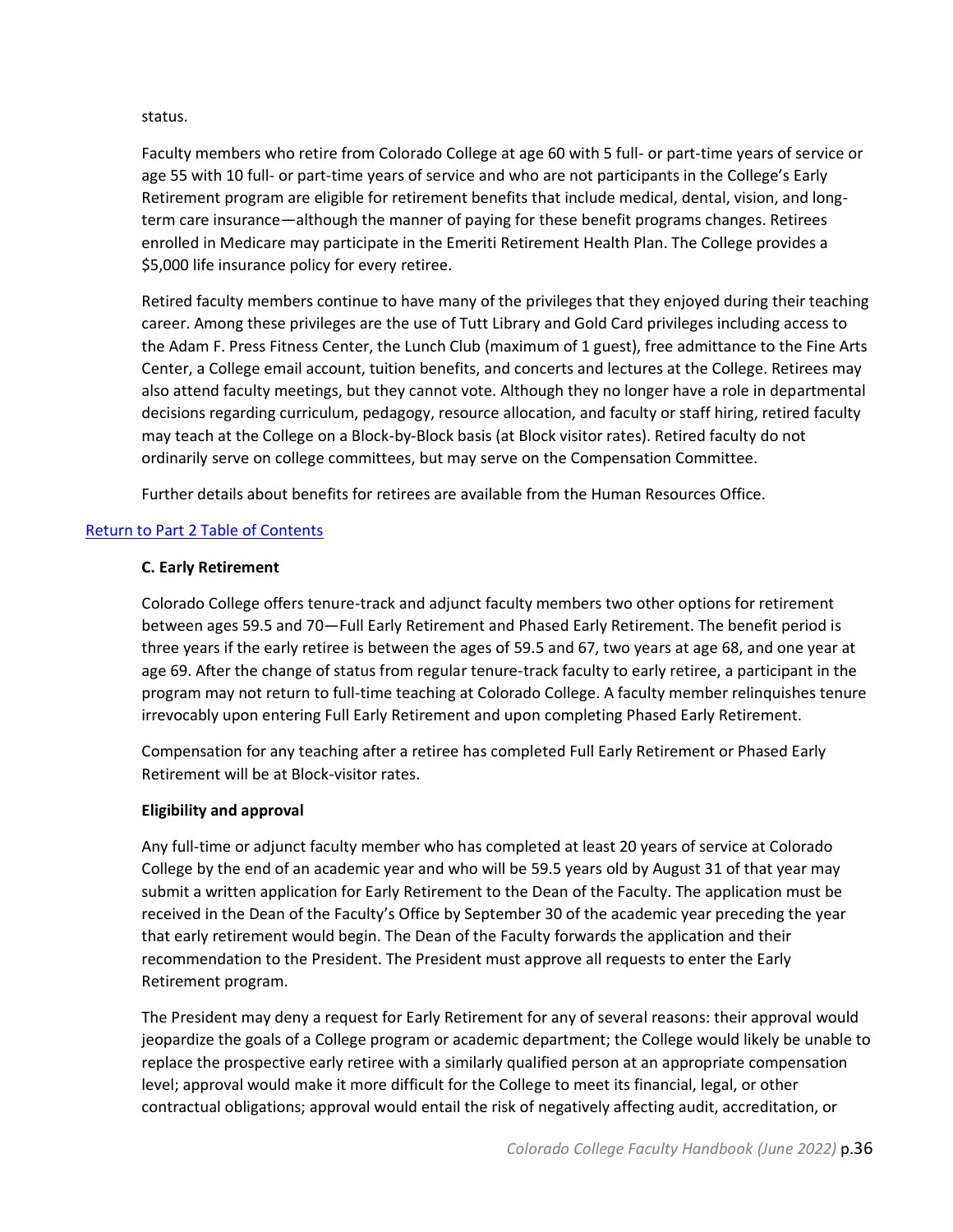status.

Faculty members who retire from Colorado College at age 60 with 5 full- or part-time years of service or age 55 with 10 full- or part-time years of service and who are not participants in the College's Early Retirement program are eligible for retirement benefits that include medical, dental, vision, and longterm care insurance—although the manner of paying for these benefit programs changes. Retirees enrolled in Medicare may participate in the Emeriti Retirement Health Plan. The College provides a \$5,000 life insurance policy for every retiree.

Retired faculty members continue to have many of the privileges that they enjoyed during their teaching career. Among these privileges are the use of Tutt Library and Gold Card privileges including access to the Adam F. Press Fitness Center, the Lunch Club (maximum of 1 guest), free admittance to the Fine Arts Center, a College email account, tuition benefits, and concerts and lectures at the College. Retirees may also attend faculty meetings, but they cannot vote. Although they no longer have a role in departmental decisions regarding curriculum, pedagogy, resource allocation, and faculty or staff hiring, retired faculty may teach at the College on a Block-by-Block basis (at Block visitor rates). Retired faculty do not ordinarily serve on college committees, but may serve on the Compensation Committee.

Further details about benefits for retirees are available from the Human Resources Office.

## <span id="page-35-0"></span>[Return to Part 2 Table of Contents](#page-8-0)

## **C. Early Retirement**

Colorado College offers tenure-track and adjunct faculty members two other options for retirement between ages 59.5 and 70—Full Early Retirement and Phased Early Retirement. The benefit period is three years if the early retiree is between the ages of 59.5 and 67, two years at age 68, and one year at age 69. After the change of status from regular tenure-track faculty to early retiree, a participant in the program may not return to full-time teaching at Colorado College. A faculty member relinquishes tenure irrevocably upon entering Full Early Retirement and upon completing Phased Early Retirement.

Compensation for any teaching after a retiree has completed Full Early Retirement or Phased Early Retirement will be at Block-visitor rates.

## **Eligibility and approval**

Any full-time or adjunct faculty member who has completed at least 20 years of service at Colorado College by the end of an academic year and who will be 59.5 years old by August 31 of that year may submit a written application for Early Retirement to the Dean of the Faculty. The application must be received in the Dean of the Faculty's Office by September 30 of the academic year preceding the year that early retirement would begin. The Dean of the Faculty forwards the application and their recommendation to the President. The President must approve all requests to enter the Early Retirement program.

The President may deny a request for Early Retirement for any of several reasons: their approval would jeopardize the goals of a College program or academic department; the College would likely be unable to replace the prospective early retiree with a similarly qualified person at an appropriate compensation level; approval would make it more difficult for the College to meet its financial, legal, or other contractual obligations; approval would entail the risk of negatively affecting audit, accreditation, or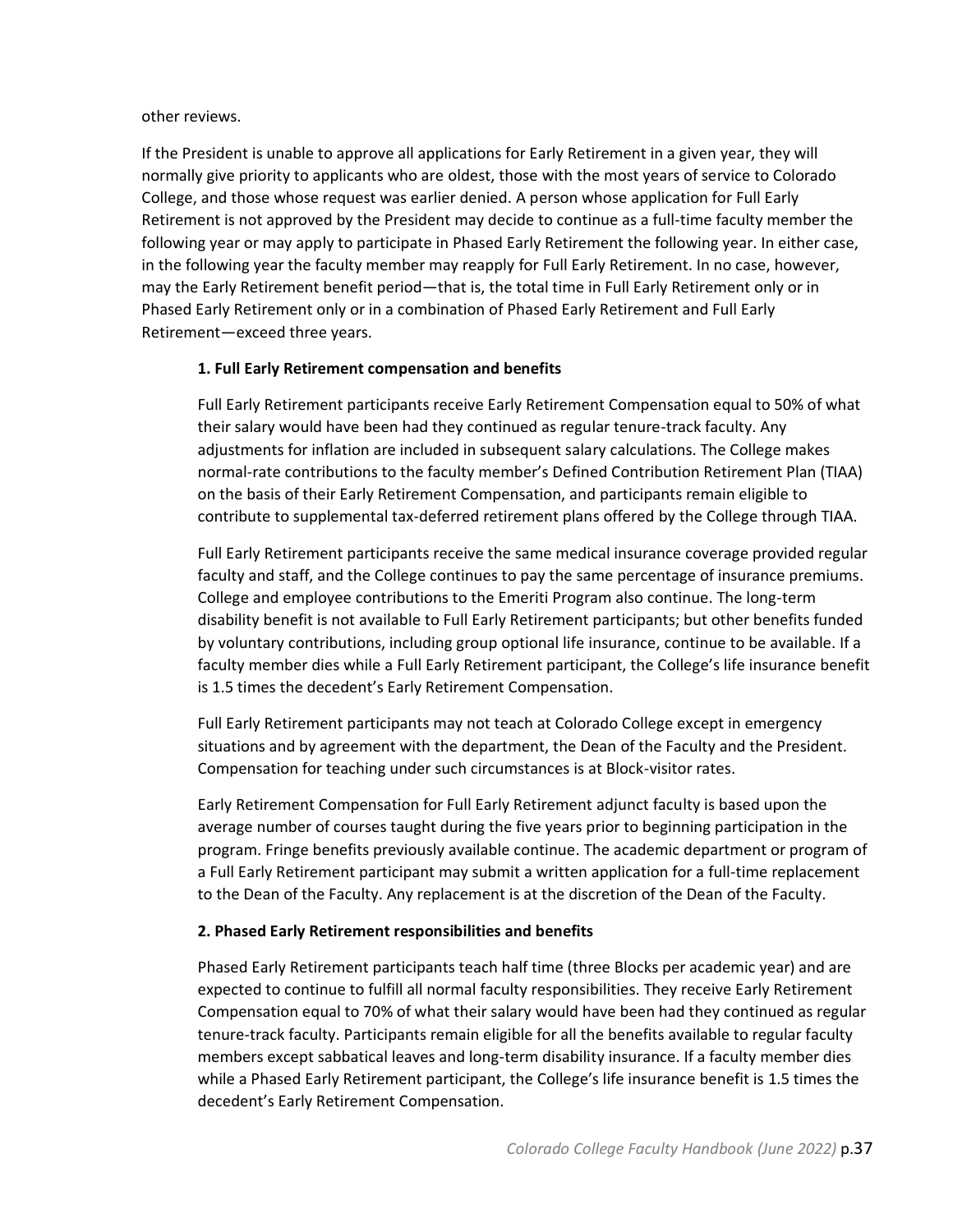#### other reviews.

If the President is unable to approve all applications for Early Retirement in a given year, they will normally give priority to applicants who are oldest, those with the most years of service to Colorado College, and those whose request was earlier denied. A person whose application for Full Early Retirement is not approved by the President may decide to continue as a full-time faculty member the following year or may apply to participate in Phased Early Retirement the following year. In either case, in the following year the faculty member may reapply for Full Early Retirement. In no case, however, may the Early Retirement benefit period—that is, the total time in Full Early Retirement only or in Phased Early Retirement only or in a combination of Phased Early Retirement and Full Early Retirement—exceed three years.

## **1. Full Early Retirement compensation and benefits**

Full Early Retirement participants receive Early Retirement Compensation equal to 50% of what their salary would have been had they continued as regular tenure-track faculty. Any adjustments for inflation are included in subsequent salary calculations. The College makes normal-rate contributions to the faculty member's Defined Contribution Retirement Plan (TIAA) on the basis of their Early Retirement Compensation, and participants remain eligible to contribute to supplemental tax-deferred retirement plans offered by the College through TIAA.

Full Early Retirement participants receive the same medical insurance coverage provided regular faculty and staff, and the College continues to pay the same percentage of insurance premiums. College and employee contributions to the Emeriti Program also continue. The long-term disability benefit is not available to Full Early Retirement participants; but other benefits funded by voluntary contributions, including group optional life insurance, continue to be available. If a faculty member dies while a Full Early Retirement participant, the College's life insurance benefit is 1.5 times the decedent's Early Retirement Compensation.

Full Early Retirement participants may not teach at Colorado College except in emergency situations and by agreement with the department, the Dean of the Faculty and the President. Compensation for teaching under such circumstances is at Block-visitor rates.

Early Retirement Compensation for Full Early Retirement adjunct faculty is based upon the average number of courses taught during the five years prior to beginning participation in the program. Fringe benefits previously available continue. The academic department or program of a Full Early Retirement participant may submit a written application for a full-time replacement to the Dean of the Faculty. Any replacement is at the discretion of the Dean of the Faculty.

## **2. Phased Early Retirement responsibilities and benefits**

Phased Early Retirement participants teach half time (three Blocks per academic year) and are expected to continue to fulfill all normal faculty responsibilities. They receive Early Retirement Compensation equal to 70% of what their salary would have been had they continued as regular tenure-track faculty. Participants remain eligible for all the benefits available to regular faculty members except sabbatical leaves and long-term disability insurance. If a faculty member dies while a Phased Early Retirement participant, the College's life insurance benefit is 1.5 times the decedent's Early Retirement Compensation.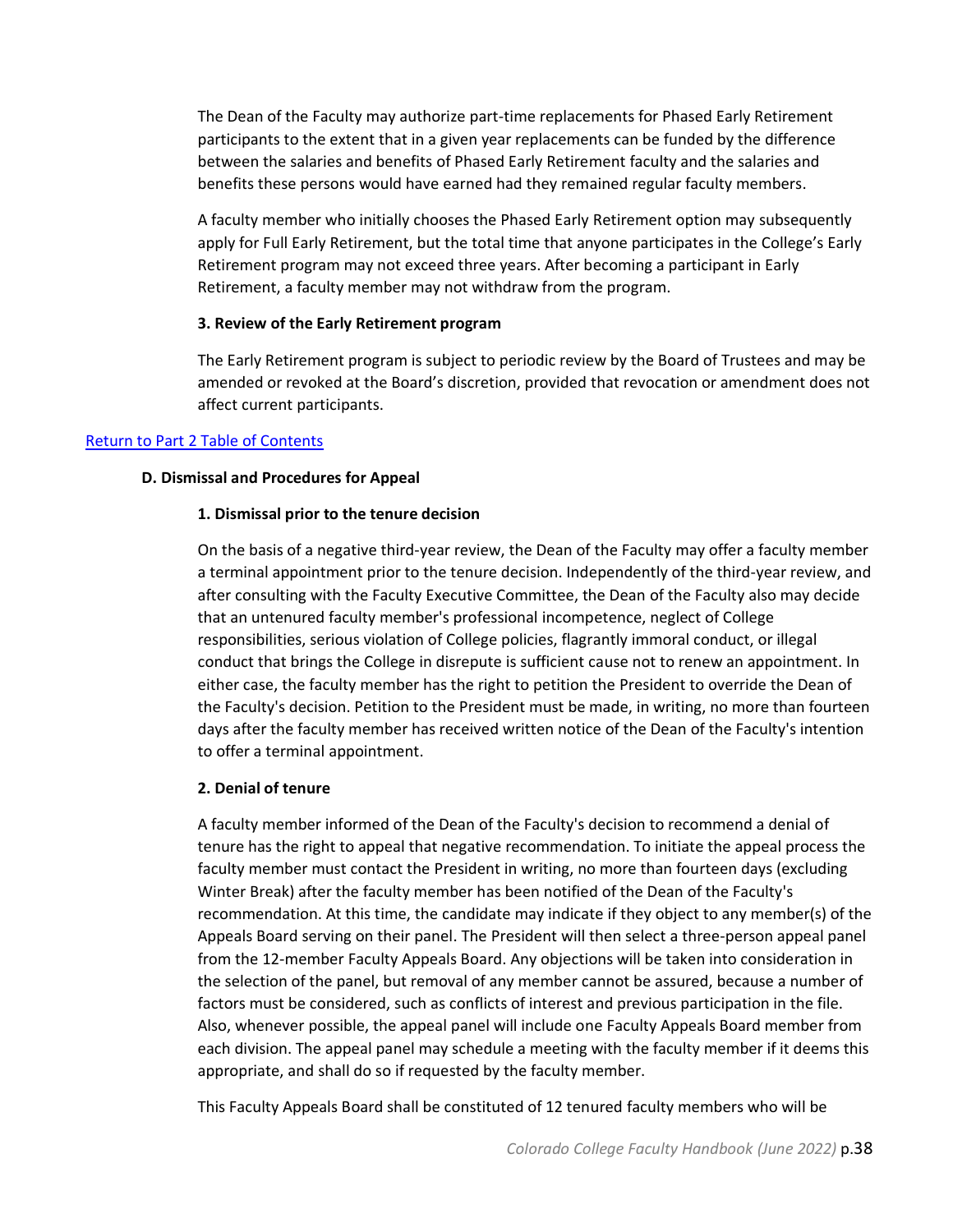The Dean of the Faculty may authorize part-time replacements for Phased Early Retirement participants to the extent that in a given year replacements can be funded by the difference between the salaries and benefits of Phased Early Retirement faculty and the salaries and benefits these persons would have earned had they remained regular faculty members.

A faculty member who initially chooses the Phased Early Retirement option may subsequently apply for Full Early Retirement, but the total time that anyone participates in the College's Early Retirement program may not exceed three years. After becoming a participant in Early Retirement, a faculty member may not withdraw from the program.

#### **3. Review of the Early Retirement program**

The Early Retirement program is subject to periodic review by the Board of Trustees and may be amended or revoked at the Board's discretion, provided that revocation or amendment does not affect current participants.

#### <span id="page-37-0"></span>[Return to Part 2 Table of Contents](#page-8-0)

#### **D. Dismissal and Procedures for Appeal**

#### **1. Dismissal prior to the tenure decision**

On the basis of a negative third-year review, the Dean of the Faculty may offer a faculty member a terminal appointment prior to the tenure decision. Independently of the third-year review, and after consulting with the Faculty Executive Committee, the Dean of the Faculty also may decide that an untenured faculty member's professional incompetence, neglect of College responsibilities, serious violation of College policies, flagrantly immoral conduct, or illegal conduct that brings the College in disrepute is sufficient cause not to renew an appointment. In either case, the faculty member has the right to petition the President to override the Dean of the Faculty's decision. Petition to the President must be made, in writing, no more than fourteen days after the faculty member has received written notice of the Dean of the Faculty's intention to offer a terminal appointment.

#### **2. Denial of tenure**

A faculty member informed of the Dean of the Faculty's decision to recommend a denial of tenure has the right to appeal that negative recommendation. To initiate the appeal process the faculty member must contact the President in writing, no more than fourteen days (excluding Winter Break) after the faculty member has been notified of the Dean of the Faculty's recommendation. At this time, the candidate may indicate if they object to any member(s) of the Appeals Board serving on their panel. The President will then select a three-person appeal panel from the 12-member Faculty Appeals Board. Any objections will be taken into consideration in the selection of the panel, but removal of any member cannot be assured, because a number of factors must be considered, such as conflicts of interest and previous participation in the file. Also, whenever possible, the appeal panel will include one Faculty Appeals Board member from each division. The appeal panel may schedule a meeting with the faculty member if it deems this appropriate, and shall do so if requested by the faculty member.

This Faculty Appeals Board shall be constituted of 12 tenured faculty members who will be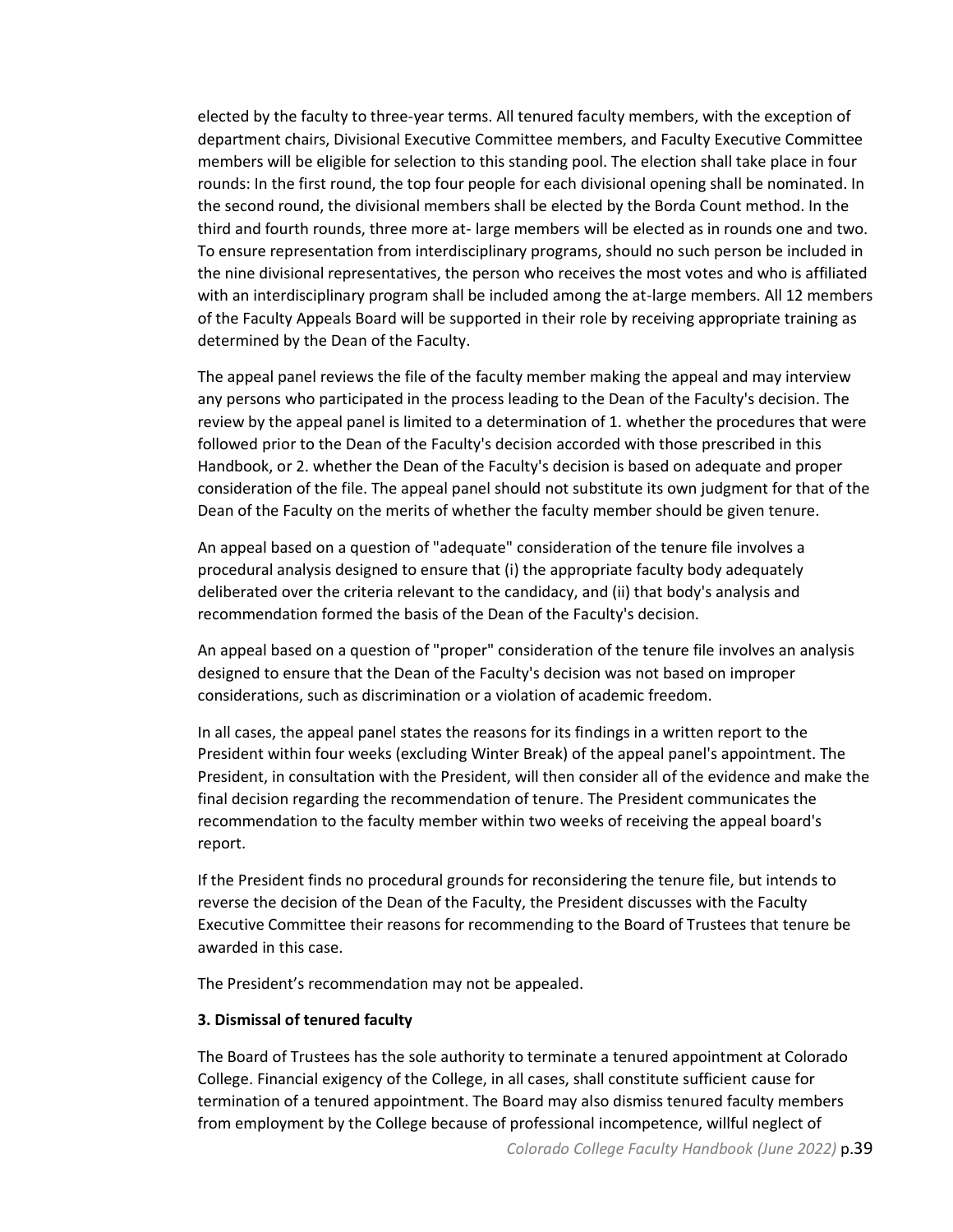elected by the faculty to three-year terms. All tenured faculty members, with the exception of department chairs, Divisional Executive Committee members, and Faculty Executive Committee members will be eligible for selection to this standing pool. The election shall take place in four rounds: In the first round, the top four people for each divisional opening shall be nominated. In the second round, the divisional members shall be elected by the Borda Count method. In the third and fourth rounds, three more at- large members will be elected as in rounds one and two. To ensure representation from interdisciplinary programs, should no such person be included in the nine divisional representatives, the person who receives the most votes and who is affiliated with an interdisciplinary program shall be included among the at-large members. All 12 members of the Faculty Appeals Board will be supported in their role by receiving appropriate training as determined by the Dean of the Faculty.

The appeal panel reviews the file of the faculty member making the appeal and may interview any persons who participated in the process leading to the Dean of the Faculty's decision. The review by the appeal panel is limited to a determination of 1. whether the procedures that were followed prior to the Dean of the Faculty's decision accorded with those prescribed in this Handbook, or 2. whether the Dean of the Faculty's decision is based on adequate and proper consideration of the file. The appeal panel should not substitute its own judgment for that of the Dean of the Faculty on the merits of whether the faculty member should be given tenure.

An appeal based on a question of "adequate" consideration of the tenure file involves a procedural analysis designed to ensure that (i) the appropriate faculty body adequately deliberated over the criteria relevant to the candidacy, and (ii) that body's analysis and recommendation formed the basis of the Dean of the Faculty's decision.

An appeal based on a question of "proper" consideration of the tenure file involves an analysis designed to ensure that the Dean of the Faculty's decision was not based on improper considerations, such as discrimination or a violation of academic freedom.

In all cases, the appeal panel states the reasons for its findings in a written report to the President within four weeks (excluding Winter Break) of the appeal panel's appointment. The President, in consultation with the President, will then consider all of the evidence and make the final decision regarding the recommendation of tenure. The President communicates the recommendation to the faculty member within two weeks of receiving the appeal board's report.

If the President finds no procedural grounds for reconsidering the tenure file, but intends to reverse the decision of the Dean of the Faculty, the President discusses with the Faculty Executive Committee their reasons for recommending to the Board of Trustees that tenure be awarded in this case.

The President's recommendation may not be appealed.

## **3. Dismissal of tenured faculty**

The Board of Trustees has the sole authority to terminate a tenured appointment at Colorado College. Financial exigency of the College, in all cases, shall constitute sufficient cause for termination of a tenured appointment. The Board may also dismiss tenured faculty members from employment by the College because of professional incompetence, willful neglect of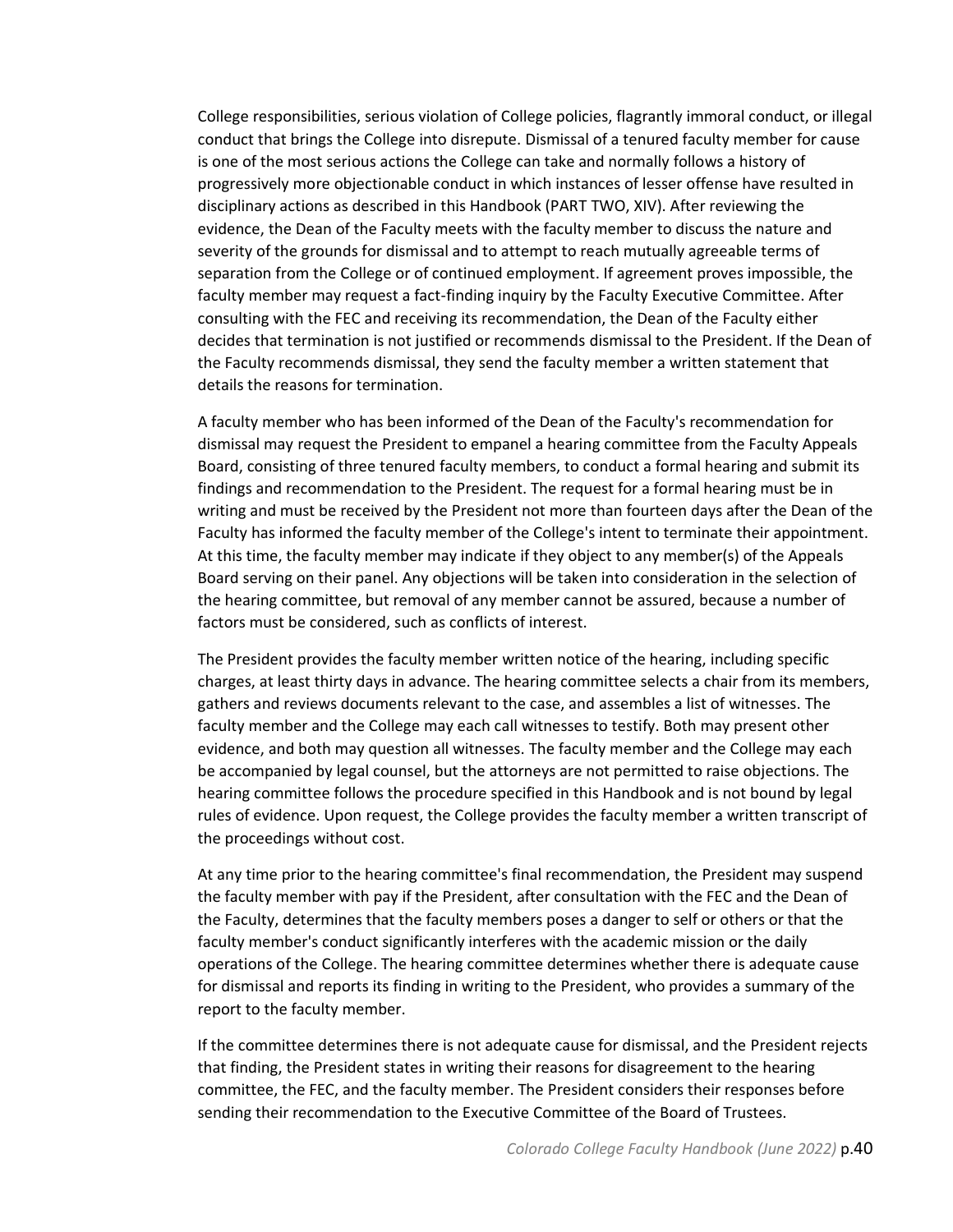College responsibilities, serious violation of College policies, flagrantly immoral conduct, or illegal conduct that brings the College into disrepute. Dismissal of a tenured faculty member for cause is one of the most serious actions the College can take and normally follows a history of progressively more objectionable conduct in which instances of lesser offense have resulted in disciplinary actions as described in this Handbook (PART TWO, XIV). After reviewing the evidence, the Dean of the Faculty meets with the faculty member to discuss the nature and severity of the grounds for dismissal and to attempt to reach mutually agreeable terms of separation from the College or of continued employment. If agreement proves impossible, the faculty member may request a fact-finding inquiry by the Faculty Executive Committee. After consulting with the FEC and receiving its recommendation, the Dean of the Faculty either decides that termination is not justified or recommends dismissal to the President. If the Dean of the Faculty recommends dismissal, they send the faculty member a written statement that details the reasons for termination.

A faculty member who has been informed of the Dean of the Faculty's recommendation for dismissal may request the President to empanel a hearing committee from the Faculty Appeals Board, consisting of three tenured faculty members, to conduct a formal hearing and submit its findings and recommendation to the President. The request for a formal hearing must be in writing and must be received by the President not more than fourteen days after the Dean of the Faculty has informed the faculty member of the College's intent to terminate their appointment. At this time, the faculty member may indicate if they object to any member(s) of the Appeals Board serving on their panel. Any objections will be taken into consideration in the selection of the hearing committee, but removal of any member cannot be assured, because a number of factors must be considered, such as conflicts of interest.

The President provides the faculty member written notice of the hearing, including specific charges, at least thirty days in advance. The hearing committee selects a chair from its members, gathers and reviews documents relevant to the case, and assembles a list of witnesses. The faculty member and the College may each call witnesses to testify. Both may present other evidence, and both may question all witnesses. The faculty member and the College may each be accompanied by legal counsel, but the attorneys are not permitted to raise objections. The hearing committee follows the procedure specified in this Handbook and is not bound by legal rules of evidence. Upon request, the College provides the faculty member a written transcript of the proceedings without cost.

At any time prior to the hearing committee's final recommendation, the President may suspend the faculty member with pay if the President, after consultation with the FEC and the Dean of the Faculty, determines that the faculty members poses a danger to self or others or that the faculty member's conduct significantly interferes with the academic mission or the daily operations of the College. The hearing committee determines whether there is adequate cause for dismissal and reports its finding in writing to the President, who provides a summary of the report to the faculty member.

If the committee determines there is not adequate cause for dismissal, and the President rejects that finding, the President states in writing their reasons for disagreement to the hearing committee, the FEC, and the faculty member. The President considers their responses before sending their recommendation to the Executive Committee of the Board of Trustees.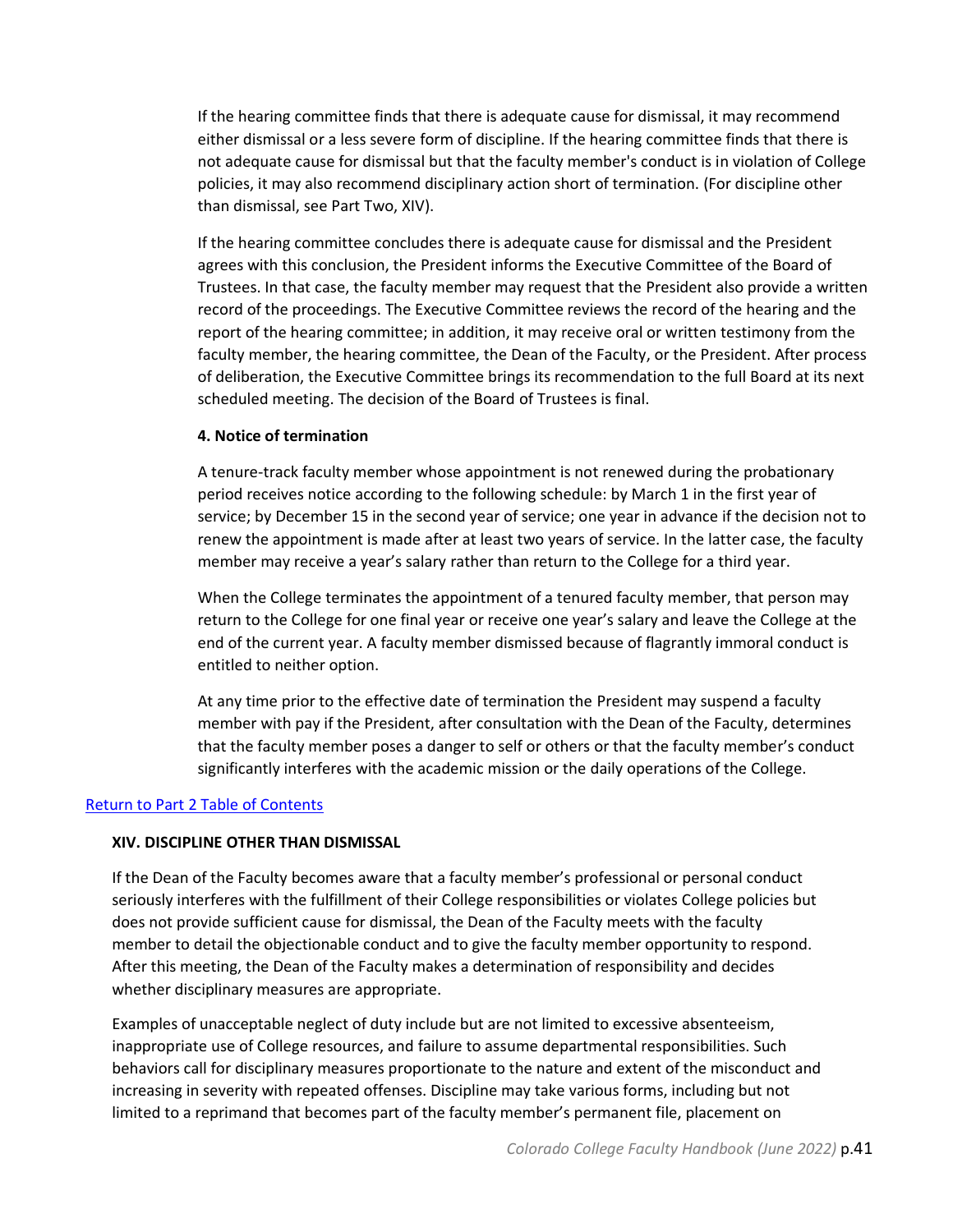If the hearing committee finds that there is adequate cause for dismissal, it may recommend either dismissal or a less severe form of discipline. If the hearing committee finds that there is not adequate cause for dismissal but that the faculty member's conduct is in violation of College policies, it may also recommend disciplinary action short of termination. (For discipline other than dismissal, see Part Two, XIV).

If the hearing committee concludes there is adequate cause for dismissal and the President agrees with this conclusion, the President informs the Executive Committee of the Board of Trustees. In that case, the faculty member may request that the President also provide a written record of the proceedings. The Executive Committee reviews the record of the hearing and the report of the hearing committee; in addition, it may receive oral or written testimony from the faculty member, the hearing committee, the Dean of the Faculty, or the President. After process of deliberation, the Executive Committee brings its recommendation to the full Board at its next scheduled meeting. The decision of the Board of Trustees is final.

#### **4. Notice of termination**

A tenure-track faculty member whose appointment is not renewed during the probationary period receives notice according to the following schedule: by March 1 in the first year of service; by December 15 in the second year of service; one year in advance if the decision not to renew the appointment is made after at least two years of service. In the latter case, the faculty member may receive a year's salary rather than return to the College for a third year.

When the College terminates the appointment of a tenured faculty member, that person may return to the College for one final year or receive one year's salary and leave the College at the end of the current year. A faculty member dismissed because of flagrantly immoral conduct is entitled to neither option.

At any time prior to the effective date of termination the President may suspend a faculty member with pay if the President, after consultation with the Dean of the Faculty, determines that the faculty member poses a danger to self or others or that the faculty member's conduct significantly interferes with the academic mission or the daily operations of the College.

#### <span id="page-40-0"></span>[Return to Part 2 Table of Contents](#page-8-0)

#### **XIV. DISCIPLINE OTHER THAN DISMISSAL**

If the Dean of the Faculty becomes aware that a faculty member's professional or personal conduct seriously interferes with the fulfillment of their College responsibilities or violates College policies but does not provide sufficient cause for dismissal, the Dean of the Faculty meets with the faculty member to detail the objectionable conduct and to give the faculty member opportunity to respond. After this meeting, the Dean of the Faculty makes a determination of responsibility and decides whether disciplinary measures are appropriate.

Examples of unacceptable neglect of duty include but are not limited to excessive absenteeism, inappropriate use of College resources, and failure to assume departmental responsibilities. Such behaviors call for disciplinary measures proportionate to the nature and extent of the misconduct and increasing in severity with repeated offenses. Discipline may take various forms, including but not limited to a reprimand that becomes part of the faculty member's permanent file, placement on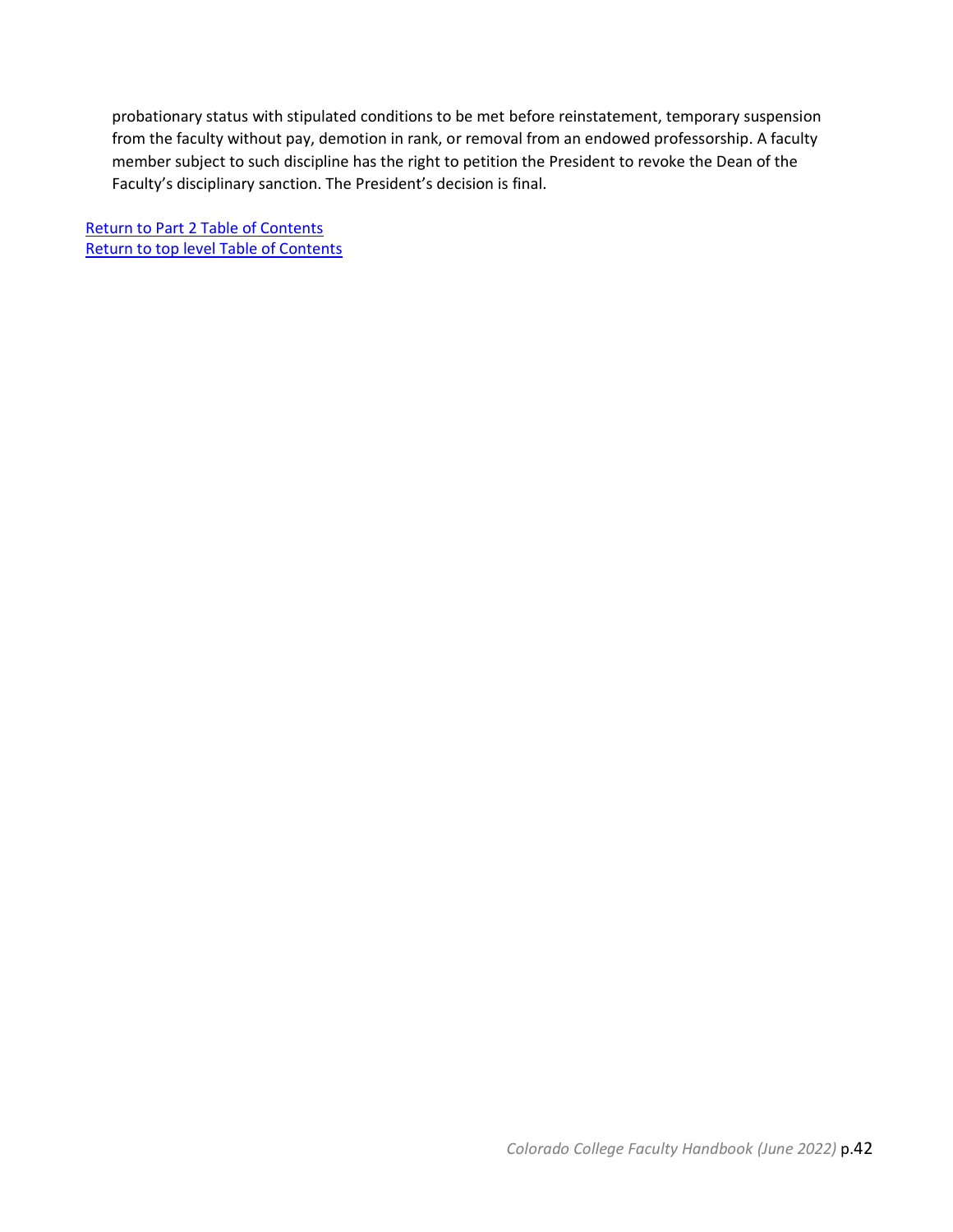probationary status with stipulated conditions to be met before reinstatement, temporary suspension from the faculty without pay, demotion in rank, or removal from an endowed professorship. A faculty member subject to such discipline has the right to petition the President to revoke the Dean of the Faculty's disciplinary sanction. The President's decision is final.

[Return to Part 2 Table of Contents](#page-8-0) [Return to top level Table of Contents](#page-2-1)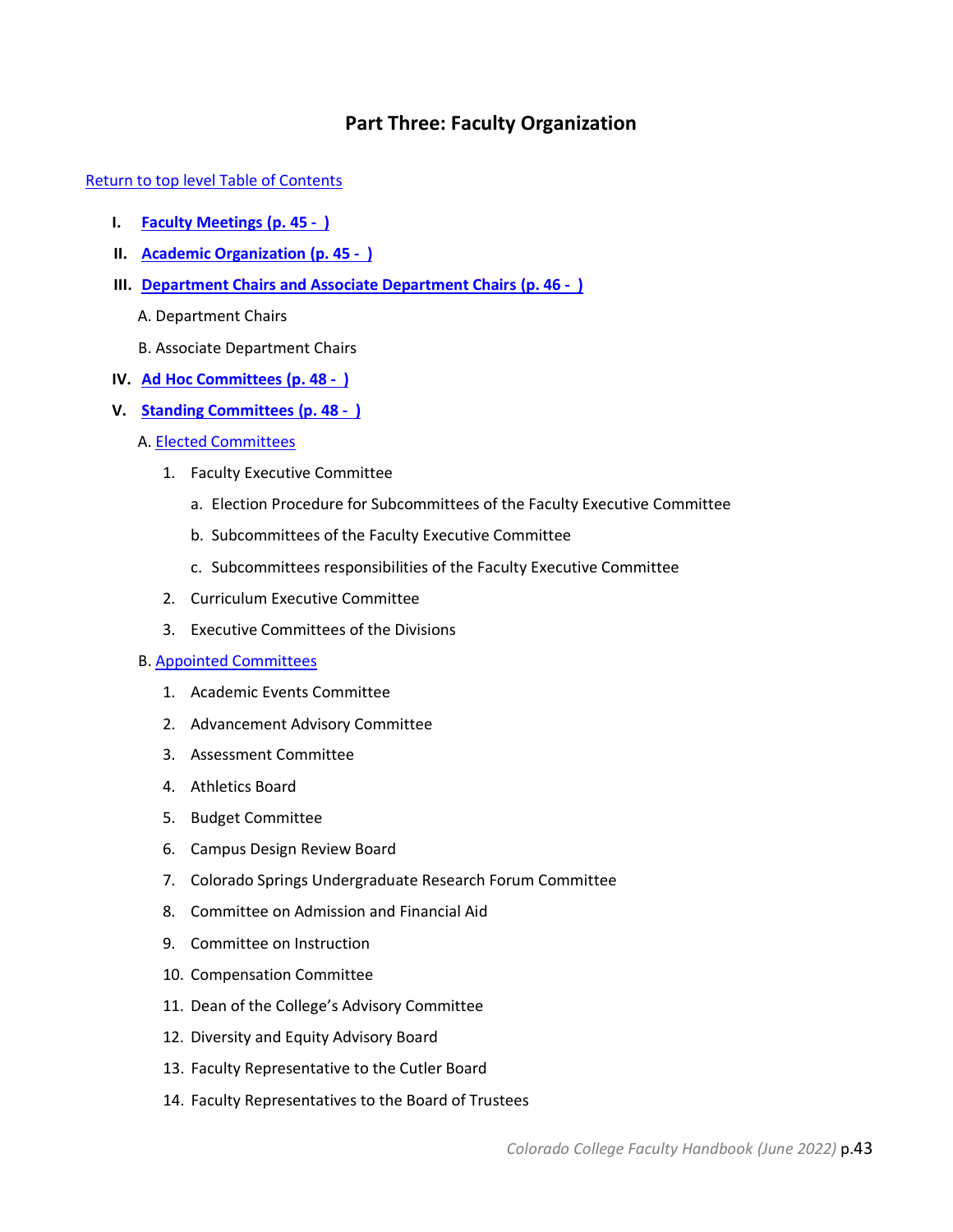## **Part Three: Faculty Organization**

<span id="page-42-0"></span>[Return to top level Table of Contents](#page-2-1)

- **I. [Faculty Meetings](#page-44-0) (p. 45 )**
- **II. [Academic Organization](#page-44-1) (p. 45 )**
- **III. [Department Chairs and Associate Department Chairs](#page-45-0) (p. 46 )**
	- A. Department Chairs
	- B. Associate Department Chairs
- **IV. Ad Hoc [Committees](#page-47-0) (p. 48 )**
- **V. [Standing Committees](#page-47-1) (p. 48 )**
	- A. [Elected Committees](#page-47-2)
		- 1. Faculty Executive Committee
			- a. Election Procedure for Subcommittees of the Faculty Executive Committee
			- b. Subcommittees of the Faculty Executive Committee
			- c. Subcommittees responsibilities of the Faculty Executive Committee
		- 2. Curriculum Executive Committee
		- 3. Executive Committees of the Divisions

## B. [Appointed Committees](#page-51-0)

- 1. Academic Events Committee
- 2. Advancement Advisory Committee
- 3. Assessment Committee
- 4. Athletics Board
- 5. Budget Committee
- 6. Campus Design Review Board
- 7. Colorado Springs Undergraduate Research Forum Committee
- 8. Committee on Admission and Financial Aid
- 9. Committee on Instruction
- 10. Compensation Committee
- 11. Dean of the College's Advisory Committee
- 12. Diversity and Equity Advisory Board
- 13. Faculty Representative to the Cutler Board
- 14. Faculty Representatives to the Board of Trustees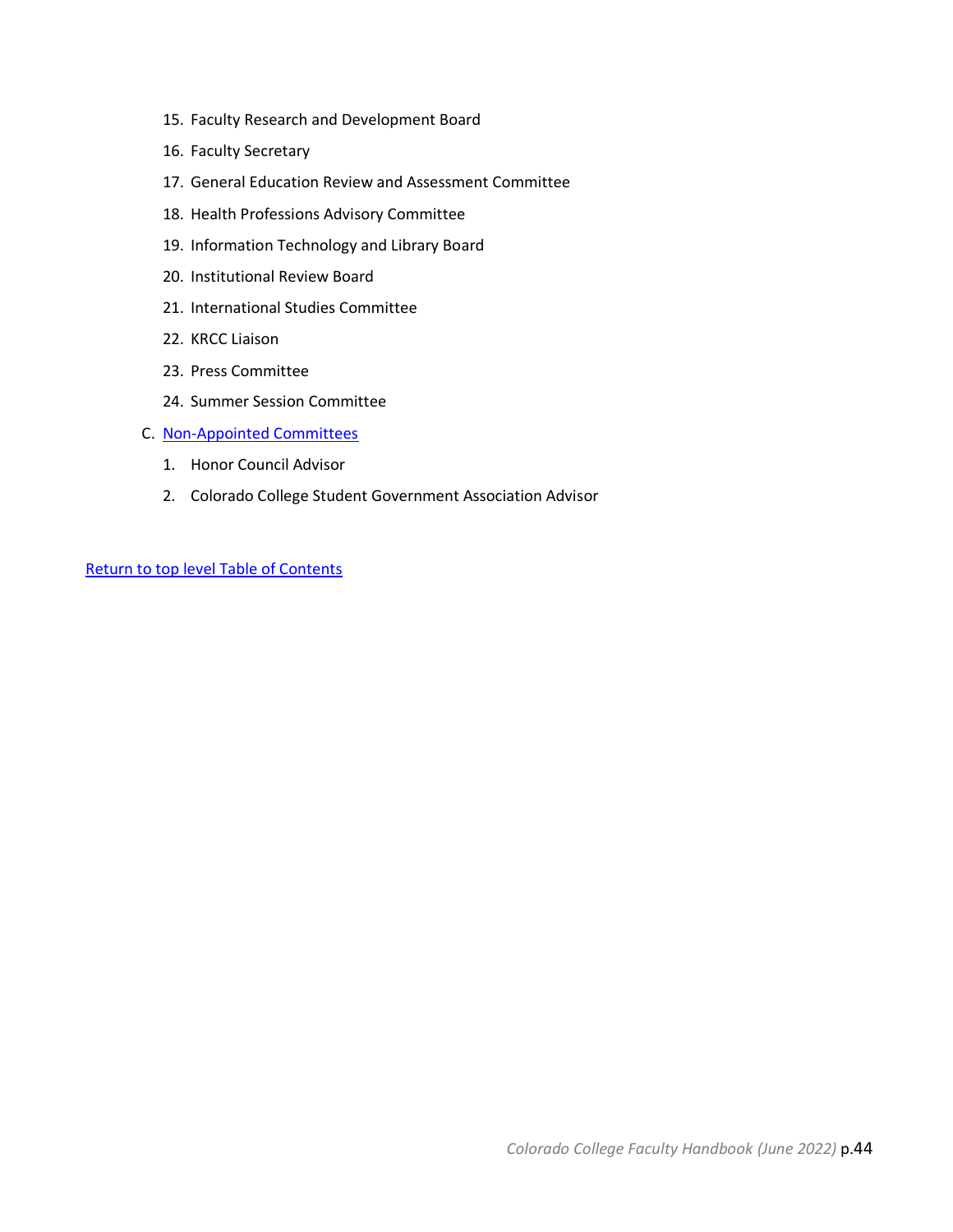- 15. Faculty Research and Development Board
- 16. Faculty Secretary
- 17. General Education Review and Assessment Committee
- 18. Health Professions Advisory Committee
- 19. Information Technology and Library Board
- 20. Institutional Review Board
- 21. International Studies Committee
- 22. KRCC Liaison
- 23. Press Committee
- 24. Summer Session Committee
- C. [Non-Appointed Committees](#page-62-0)
	- 1. Honor Council Advisor
	- 2. Colorado College Student Government Association Advisor

[Return to top level Table of Contents](#page-2-1)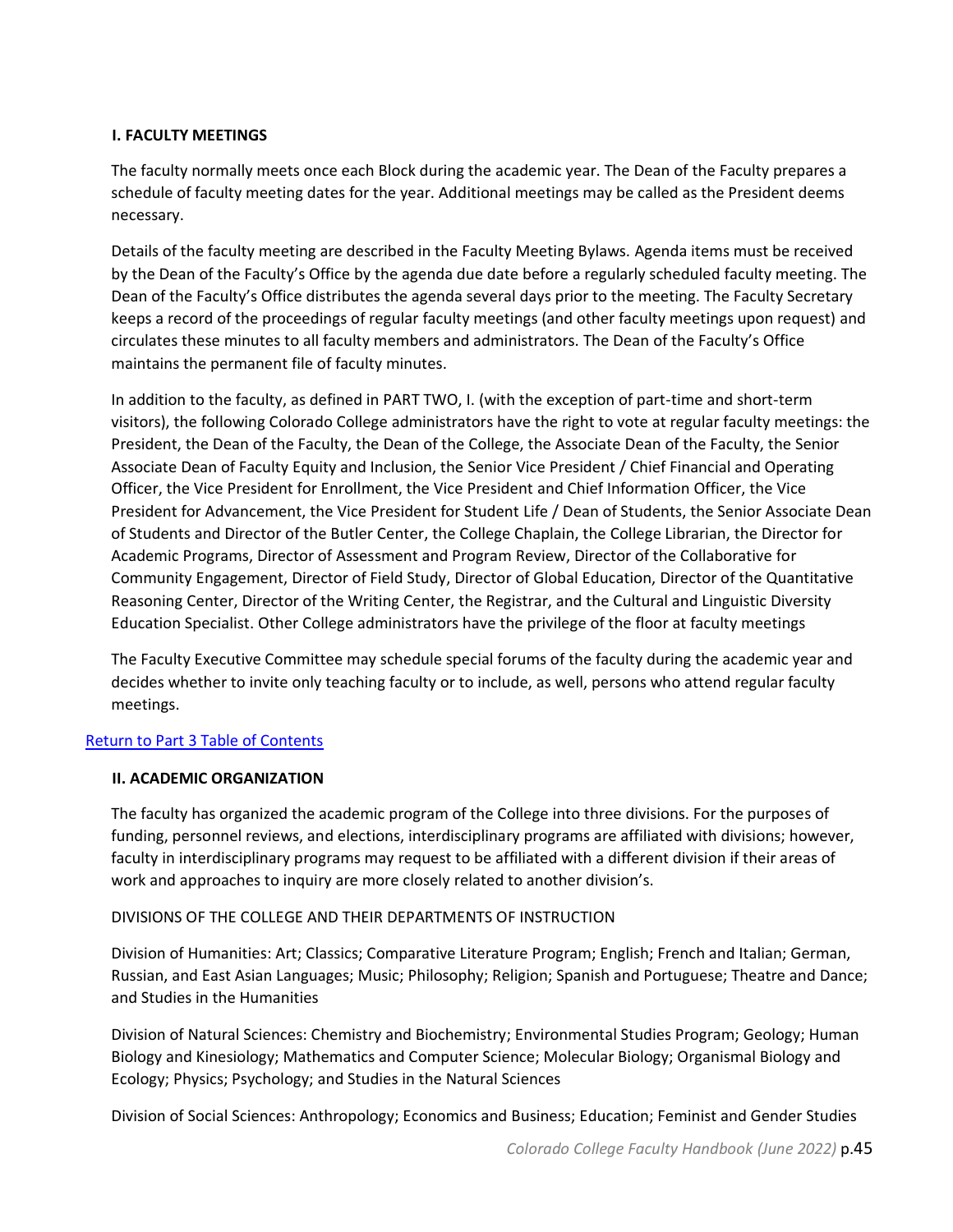## <span id="page-44-0"></span>**I. FACULTY MEETINGS**

The faculty normally meets once each Block during the academic year. The Dean of the Faculty prepares a schedule of faculty meeting dates for the year. Additional meetings may be called as the President deems necessary.

Details of the faculty meeting are described in the Faculty Meeting Bylaws. Agenda items must be received by the Dean of the Faculty's Office by the agenda due date before a regularly scheduled faculty meeting. The Dean of the Faculty's Office distributes the agenda several days prior to the meeting. The Faculty Secretary keeps a record of the proceedings of regular faculty meetings (and other faculty meetings upon request) and circulates these minutes to all faculty members and administrators. The Dean of the Faculty's Office maintains the permanent file of faculty minutes.

In addition to the faculty, as defined in PART TWO, I. (with the exception of part-time and short-term visitors), the following Colorado College administrators have the right to vote at regular faculty meetings: the President, the Dean of the Faculty, the Dean of the College, the Associate Dean of the Faculty, the Senior Associate Dean of Faculty Equity and Inclusion, the Senior Vice President / Chief Financial and Operating Officer, the Vice President for Enrollment, the Vice President and Chief Information Officer, the Vice President for Advancement, the Vice President for Student Life / Dean of Students, the Senior Associate Dean of Students and Director of the Butler Center, the College Chaplain, the College Librarian, the Director for Academic Programs, Director of Assessment and Program Review, Director of the Collaborative for Community Engagement, Director of Field Study, Director of Global Education, Director of the Quantitative Reasoning Center, Director of the Writing Center, the Registrar, and the Cultural and Linguistic Diversity Education Specialist. Other College administrators have the privilege of the floor at faculty meetings

The Faculty Executive Committee may schedule special forums of the faculty during the academic year and decides whether to invite only teaching faculty or to include, as well, persons who attend regular faculty meetings.

## <span id="page-44-1"></span>[Return to Part 3 Table of Contents](#page-42-0)

## **II. ACADEMIC ORGANIZATION**

The faculty has organized the academic program of the College into three divisions. For the purposes of funding, personnel reviews, and elections, interdisciplinary programs are affiliated with divisions; however, faculty in interdisciplinary programs may request to be affiliated with a different division if their areas of work and approaches to inquiry are more closely related to another division's.

## DIVISIONS OF THE COLLEGE AND THEIR DEPARTMENTS OF INSTRUCTION

Division of Humanities: Art; Classics; Comparative Literature Program; English; French and Italian; German, Russian, and East Asian Languages; Music; Philosophy; Religion; Spanish and Portuguese; Theatre and Dance; and Studies in the Humanities

Division of Natural Sciences: Chemistry and Biochemistry; Environmental Studies Program; Geology; Human Biology and Kinesiology; Mathematics and Computer Science; Molecular Biology; Organismal Biology and Ecology; Physics; Psychology; and Studies in the Natural Sciences

Division of Social Sciences: Anthropology; Economics and Business; Education; Feminist and Gender Studies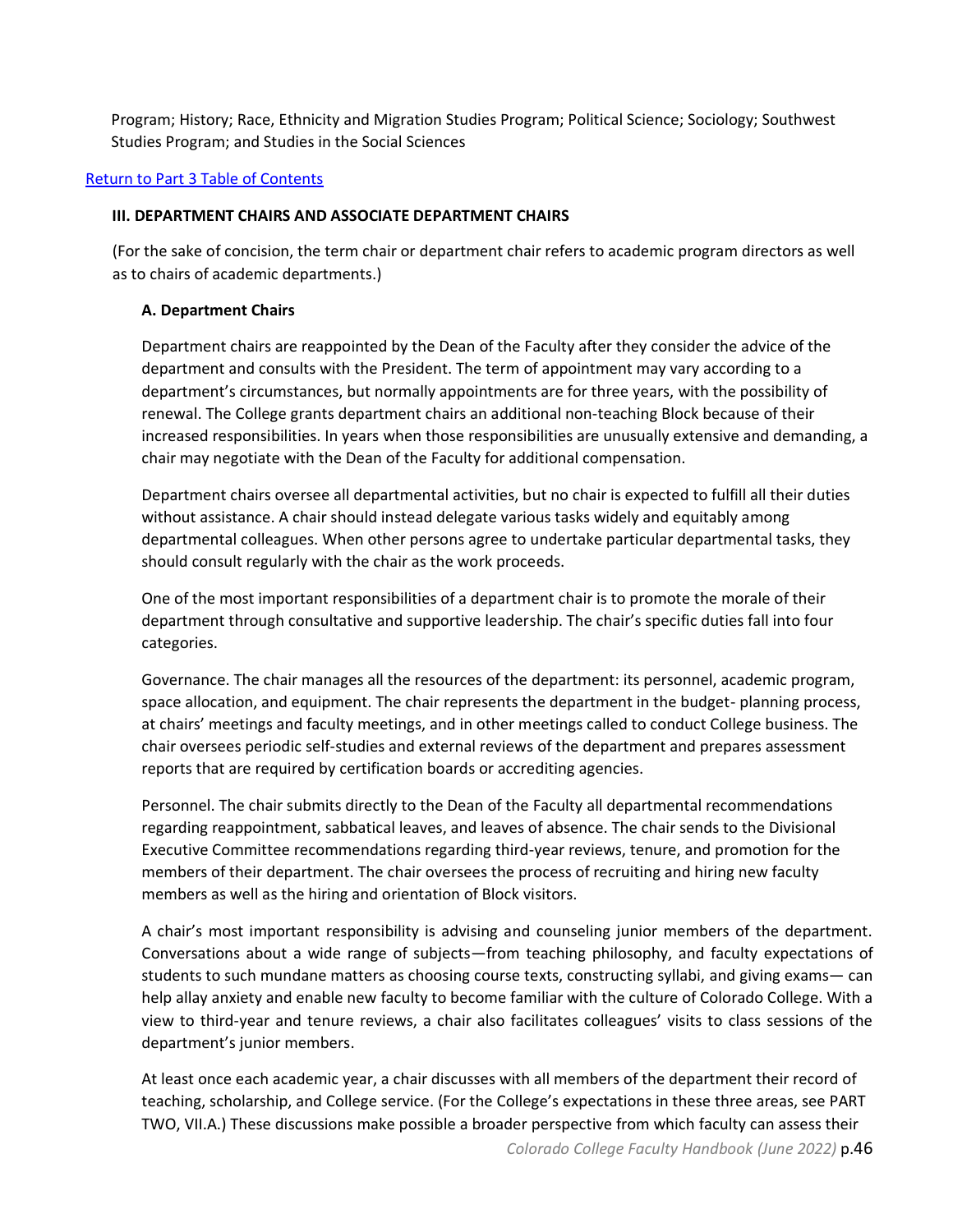Program; History; Race, Ethnicity and Migration Studies Program; Political Science; Sociology; Southwest Studies Program; and Studies in the Social Sciences

## <span id="page-45-0"></span>[Return to Part 3 Table of Contents](#page-42-0)

#### **III. DEPARTMENT CHAIRS AND ASSOCIATE DEPARTMENT CHAIRS**

(For the sake of concision, the term chair or department chair refers to academic program directors as well as to chairs of academic departments.)

## **A. Department Chairs**

Department chairs are reappointed by the Dean of the Faculty after they consider the advice of the department and consults with the President. The term of appointment may vary according to a department's circumstances, but normally appointments are for three years, with the possibility of renewal. The College grants department chairs an additional non-teaching Block because of their increased responsibilities. In years when those responsibilities are unusually extensive and demanding, a chair may negotiate with the Dean of the Faculty for additional compensation.

Department chairs oversee all departmental activities, but no chair is expected to fulfill all their duties without assistance. A chair should instead delegate various tasks widely and equitably among departmental colleagues. When other persons agree to undertake particular departmental tasks, they should consult regularly with the chair as the work proceeds.

One of the most important responsibilities of a department chair is to promote the morale of their department through consultative and supportive leadership. The chair's specific duties fall into four categories.

Governance. The chair manages all the resources of the department: its personnel, academic program, space allocation, and equipment. The chair represents the department in the budget- planning process, at chairs' meetings and faculty meetings, and in other meetings called to conduct College business. The chair oversees periodic self-studies and external reviews of the department and prepares assessment reports that are required by certification boards or accrediting agencies.

Personnel. The chair submits directly to the Dean of the Faculty all departmental recommendations regarding reappointment, sabbatical leaves, and leaves of absence. The chair sends to the Divisional Executive Committee recommendations regarding third-year reviews, tenure, and promotion for the members of their department. The chair oversees the process of recruiting and hiring new faculty members as well as the hiring and orientation of Block visitors.

A chair's most important responsibility is advising and counseling junior members of the department. Conversations about a wide range of subjects—from teaching philosophy, and faculty expectations of students to such mundane matters as choosing course texts, constructing syllabi, and giving exams— can help allay anxiety and enable new faculty to become familiar with the culture of Colorado College. With a view to third-year and tenure reviews, a chair also facilitates colleagues' visits to class sessions of the department's junior members.

At least once each academic year, a chair discusses with all members of the department their record of teaching, scholarship, and College service. (For the College's expectations in these three areas, see PART TWO, VII.A.) These discussions make possible a broader perspective from which faculty can assess their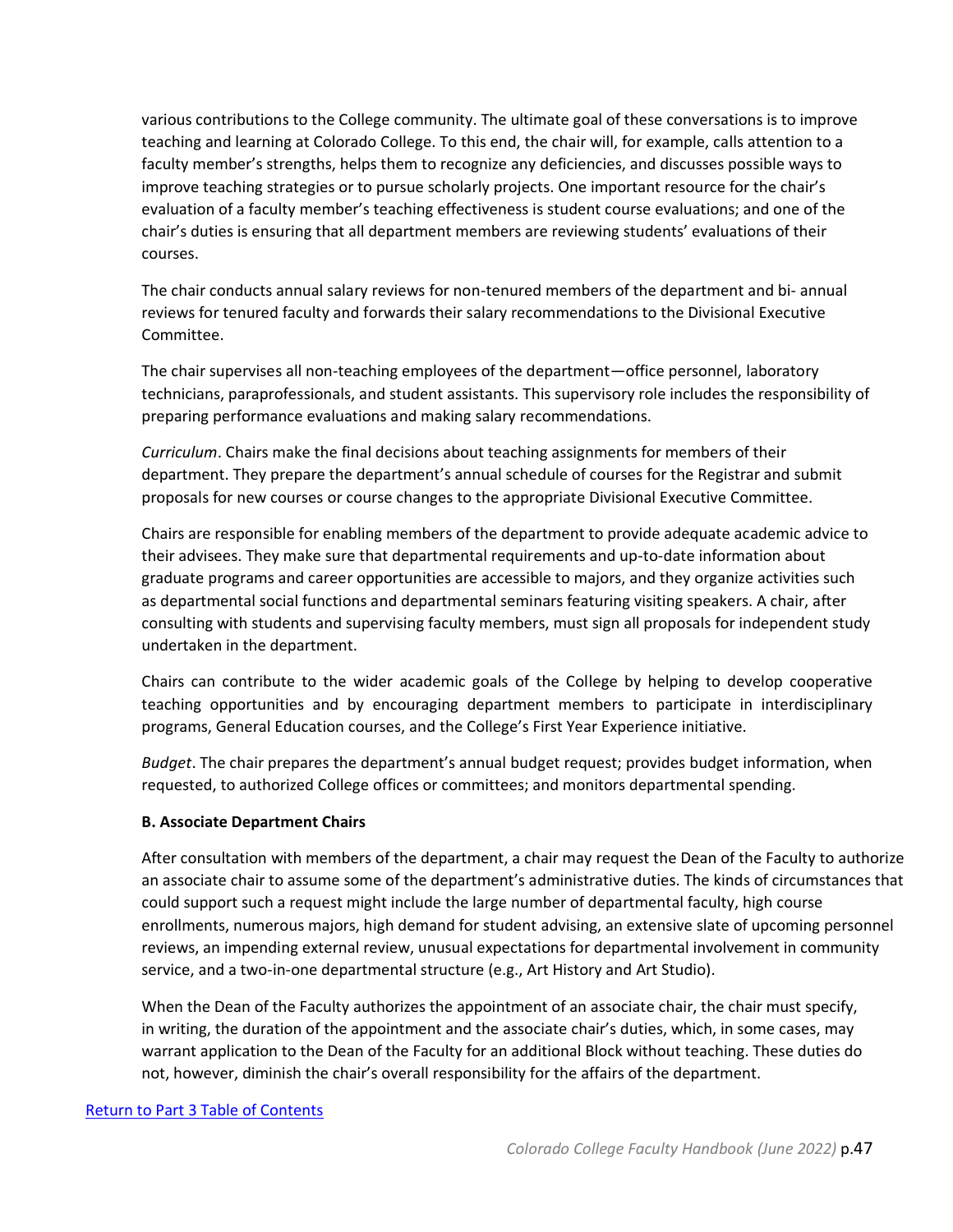various contributions to the College community. The ultimate goal of these conversations is to improve teaching and learning at Colorado College. To this end, the chair will, for example, calls attention to a faculty member's strengths, helps them to recognize any deficiencies, and discusses possible ways to improve teaching strategies or to pursue scholarly projects. One important resource for the chair's evaluation of a faculty member's teaching effectiveness is student course evaluations; and one of the chair's duties is ensuring that all department members are reviewing students' evaluations of their courses.

The chair conducts annual salary reviews for non-tenured members of the department and bi- annual reviews for tenured faculty and forwards their salary recommendations to the Divisional Executive Committee.

The chair supervises all non-teaching employees of the department—office personnel, laboratory technicians, paraprofessionals, and student assistants. This supervisory role includes the responsibility of preparing performance evaluations and making salary recommendations.

*Curriculum*. Chairs make the final decisions about teaching assignments for members of their department. They prepare the department's annual schedule of courses for the Registrar and submit proposals for new courses or course changes to the appropriate Divisional Executive Committee.

Chairs are responsible for enabling members of the department to provide adequate academic advice to their advisees. They make sure that departmental requirements and up-to-date information about graduate programs and career opportunities are accessible to majors, and they organize activities such as departmental social functions and departmental seminars featuring visiting speakers. A chair, after consulting with students and supervising faculty members, must sign all proposals for independent study undertaken in the department.

Chairs can contribute to the wider academic goals of the College by helping to develop cooperative teaching opportunities and by encouraging department members to participate in interdisciplinary programs, General Education courses, and the College's First Year Experience initiative.

*Budget*. The chair prepares the department's annual budget request; provides budget information, when requested, to authorized College offices or committees; and monitors departmental spending.

## **B. Associate Department Chairs**

After consultation with members of the department, a chair may request the Dean of the Faculty to authorize an associate chair to assume some of the department's administrative duties. The kinds of circumstances that could support such a request might include the large number of departmental faculty, high course enrollments, numerous majors, high demand for student advising, an extensive slate of upcoming personnel reviews, an impending external review, unusual expectations for departmental involvement in community service, and a two-in-one departmental structure (e.g., Art History and Art Studio).

When the Dean of the Faculty authorizes the appointment of an associate chair, the chair must specify, in writing, the duration of the appointment and the associate chair's duties, which, in some cases, may warrant application to the Dean of the Faculty for an additional Block without teaching. These duties do not, however, diminish the chair's overall responsibility for the affairs of the department.

## [Return to Part 3 Table of Contents](#page-42-0)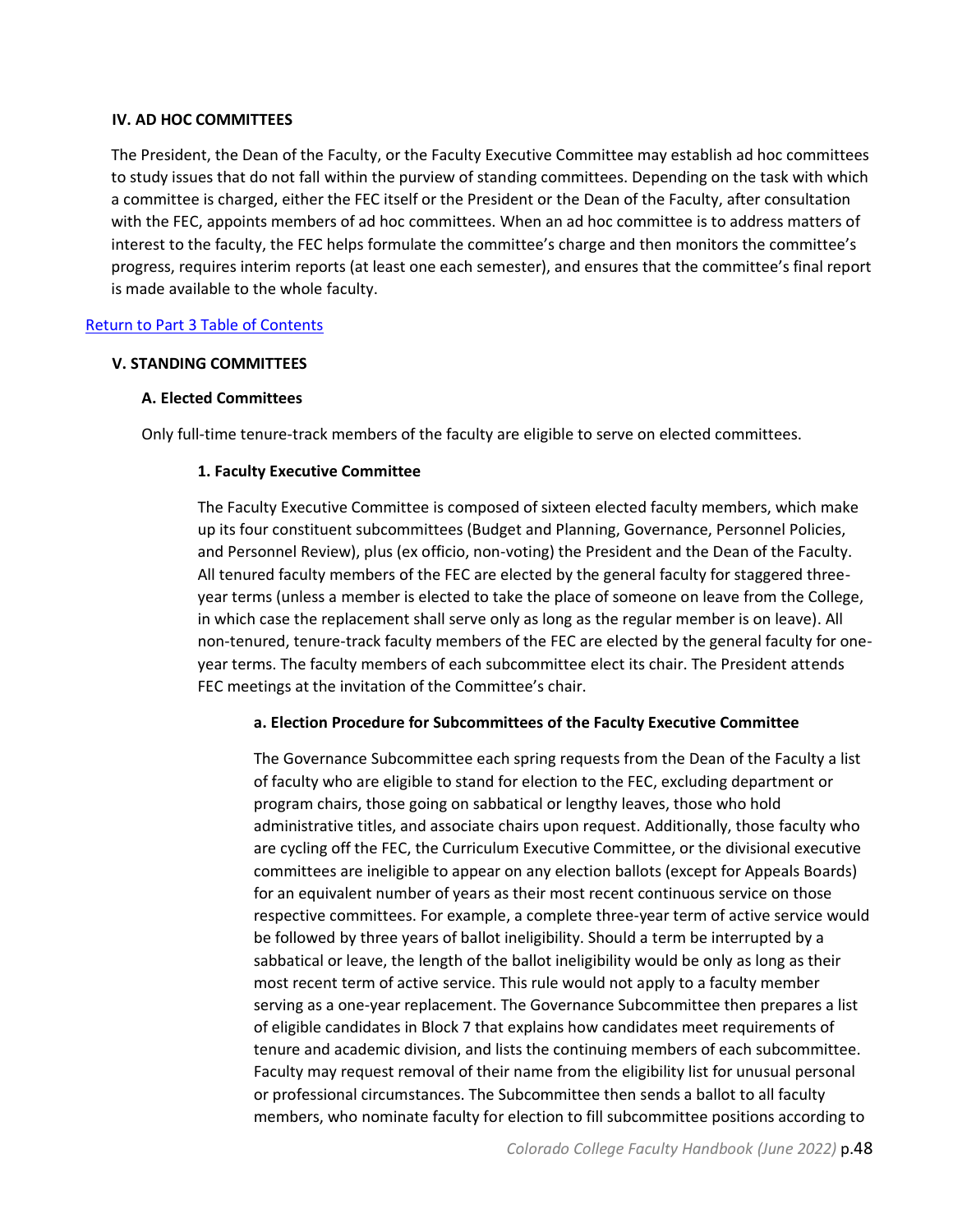#### <span id="page-47-0"></span>**IV. AD HOC COMMITTEES**

The President, the Dean of the Faculty, or the Faculty Executive Committee may establish ad hoc committees to study issues that do not fall within the purview of standing committees. Depending on the task with which a committee is charged, either the FEC itself or the President or the Dean of the Faculty, after consultation with the FEC, appoints members of ad hoc committees. When an ad hoc committee is to address matters of interest to the faculty, the FEC helps formulate the committee's charge and then monitors the committee's progress, requires interim reports (at least one each semester), and ensures that the committee's final report is made available to the whole faculty.

## <span id="page-47-1"></span>[Return to Part 3 Table of Contents](#page-42-0)

#### <span id="page-47-2"></span>**V. STANDING COMMITTEES**

#### **A. Elected Committees**

Only full-time tenure-track members of the faculty are eligible to serve on elected committees.

#### **1. Faculty Executive Committee**

The Faculty Executive Committee is composed of sixteen elected faculty members, which make up its four constituent subcommittees (Budget and Planning, Governance, Personnel Policies, and Personnel Review), plus (ex officio, non-voting) the President and the Dean of the Faculty. All tenured faculty members of the FEC are elected by the general faculty for staggered threeyear terms (unless a member is elected to take the place of someone on leave from the College, in which case the replacement shall serve only as long as the regular member is on leave). All non-tenured, tenure-track faculty members of the FEC are elected by the general faculty for oneyear terms. The faculty members of each subcommittee elect its chair. The President attends FEC meetings at the invitation of the Committee's chair.

## **a. Election Procedure for Subcommittees of the Faculty Executive Committee**

The Governance Subcommittee each spring requests from the Dean of the Faculty a list of faculty who are eligible to stand for election to the FEC, excluding department or program chairs, those going on sabbatical or lengthy leaves, those who hold administrative titles, and associate chairs upon request. Additionally, those faculty who are cycling off the FEC, the Curriculum Executive Committee, or the divisional executive committees are ineligible to appear on any election ballots (except for Appeals Boards) for an equivalent number of years as their most recent continuous service on those respective committees. For example, a complete three-year term of active service would be followed by three years of ballot ineligibility. Should a term be interrupted by a sabbatical or leave, the length of the ballot ineligibility would be only as long as their most recent term of active service. This rule would not apply to a faculty member serving as a one-year replacement. The Governance Subcommittee then prepares a list of eligible candidates in Block 7 that explains how candidates meet requirements of tenure and academic division, and lists the continuing members of each subcommittee. Faculty may request removal of their name from the eligibility list for unusual personal or professional circumstances. The Subcommittee then sends a ballot to all faculty members, who nominate faculty for election to fill subcommittee positions according to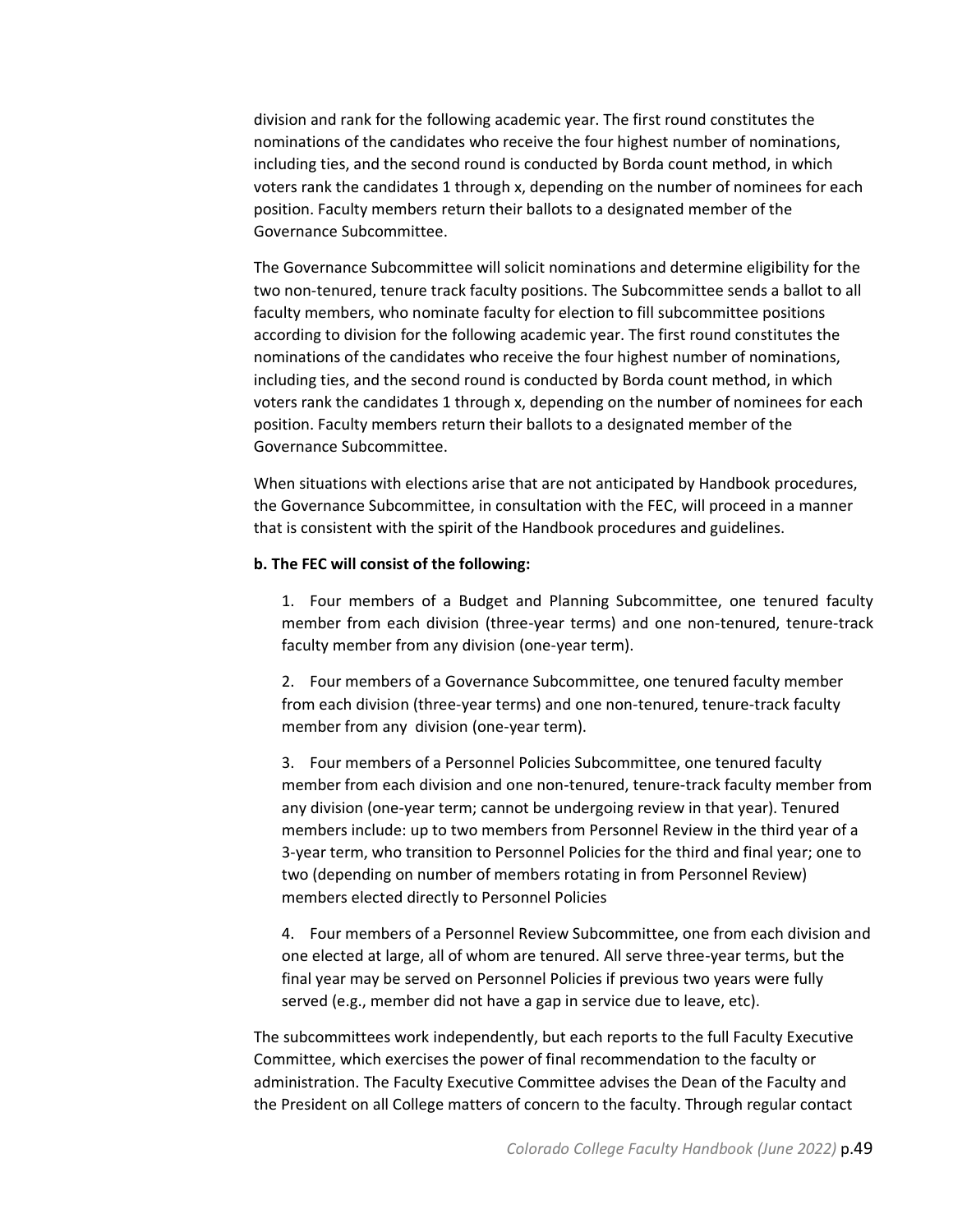division and rank for the following academic year. The first round constitutes the nominations of the candidates who receive the four highest number of nominations, including ties, and the second round is conducted by Borda count method, in which voters rank the candidates 1 through x, depending on the number of nominees for each position. Faculty members return their ballots to a designated member of the Governance Subcommittee.

The Governance Subcommittee will solicit nominations and determine eligibility for the two non-tenured, tenure track faculty positions. The Subcommittee sends a ballot to all faculty members, who nominate faculty for election to fill subcommittee positions according to division for the following academic year. The first round constitutes the nominations of the candidates who receive the four highest number of nominations, including ties, and the second round is conducted by Borda count method, in which voters rank the candidates 1 through x, depending on the number of nominees for each position. Faculty members return their ballots to a designated member of the Governance Subcommittee.

When situations with elections arise that are not anticipated by Handbook procedures, the Governance Subcommittee, in consultation with the FEC, will proceed in a manner that is consistent with the spirit of the Handbook procedures and guidelines.

#### **b. The FEC will consist of the following:**

1. Four members of a Budget and Planning Subcommittee, one tenured faculty member from each division (three-year terms) and one non-tenured, tenure-track faculty member from any division (one-year term).

2. Four members of a Governance Subcommittee, one tenured faculty member from each division (three-year terms) and one non-tenured, tenure-track faculty member from any division (one-year term).

3. Four members of a Personnel Policies Subcommittee, one tenured faculty member from each division and one non-tenured, tenure-track faculty member from any division (one-year term; cannot be undergoing review in that year). Tenured members include: up to two members from Personnel Review in the third year of a 3-year term, who transition to Personnel Policies for the third and final year; one to two (depending on number of members rotating in from Personnel Review) members elected directly to Personnel Policies

4. Four members of a Personnel Review Subcommittee, one from each division and one elected at large, all of whom are tenured. All serve three-year terms, but the final year may be served on Personnel Policies if previous two years were fully served (e.g., member did not have a gap in service due to leave, etc).

The subcommittees work independently, but each reports to the full Faculty Executive Committee, which exercises the power of final recommendation to the faculty or administration. The Faculty Executive Committee advises the Dean of the Faculty and the President on all College matters of concern to the faculty. Through regular contact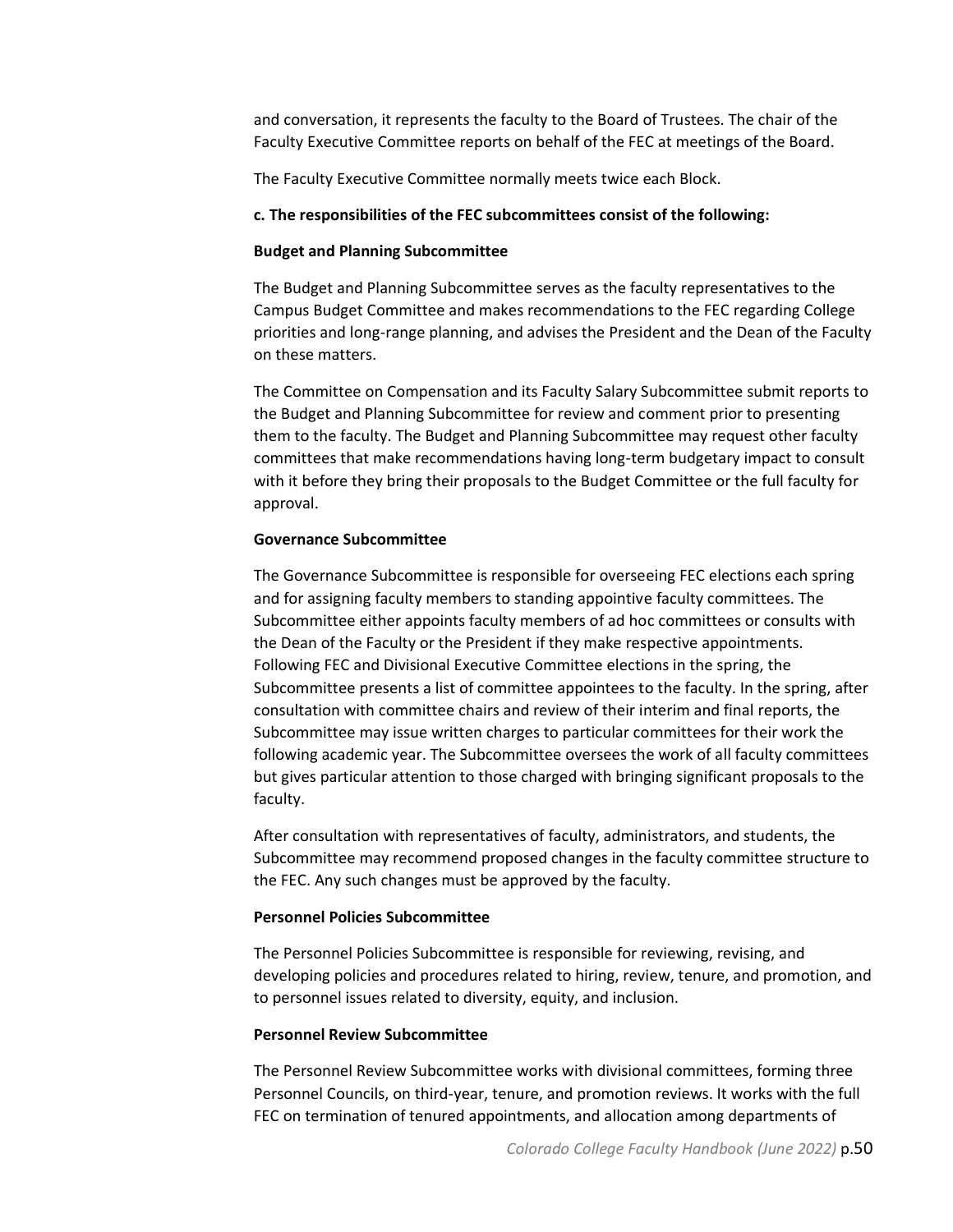and conversation, it represents the faculty to the Board of Trustees. The chair of the Faculty Executive Committee reports on behalf of the FEC at meetings of the Board.

The Faculty Executive Committee normally meets twice each Block.

#### **c. The responsibilities of the FEC subcommittees consist of the following:**

#### **Budget and Planning Subcommittee**

The Budget and Planning Subcommittee serves as the faculty representatives to the Campus Budget Committee and makes recommendations to the FEC regarding College priorities and long-range planning, and advises the President and the Dean of the Faculty on these matters.

The Committee on Compensation and its Faculty Salary Subcommittee submit reports to the Budget and Planning Subcommittee for review and comment prior to presenting them to the faculty. The Budget and Planning Subcommittee may request other faculty committees that make recommendations having long-term budgetary impact to consult with it before they bring their proposals to the Budget Committee or the full faculty for approval.

#### **Governance Subcommittee**

The Governance Subcommittee is responsible for overseeing FEC elections each spring and for assigning faculty members to standing appointive faculty committees. The Subcommittee either appoints faculty members of ad hoc committees or consults with the Dean of the Faculty or the President if they make respective appointments. Following FEC and Divisional Executive Committee elections in the spring, the Subcommittee presents a list of committee appointees to the faculty. In the spring, after consultation with committee chairs and review of their interim and final reports, the Subcommittee may issue written charges to particular committees for their work the following academic year. The Subcommittee oversees the work of all faculty committees but gives particular attention to those charged with bringing significant proposals to the faculty.

After consultation with representatives of faculty, administrators, and students, the Subcommittee may recommend proposed changes in the faculty committee structure to the FEC. Any such changes must be approved by the faculty.

## **Personnel Policies Subcommittee**

The Personnel Policies Subcommittee is responsible for reviewing, revising, and developing policies and procedures related to hiring, review, tenure, and promotion, and to personnel issues related to diversity, equity, and inclusion.

#### **Personnel Review Subcommittee**

The Personnel Review Subcommittee works with divisional committees, forming three Personnel Councils, on third-year, tenure, and promotion reviews. It works with the full FEC on termination of tenured appointments, and allocation among departments of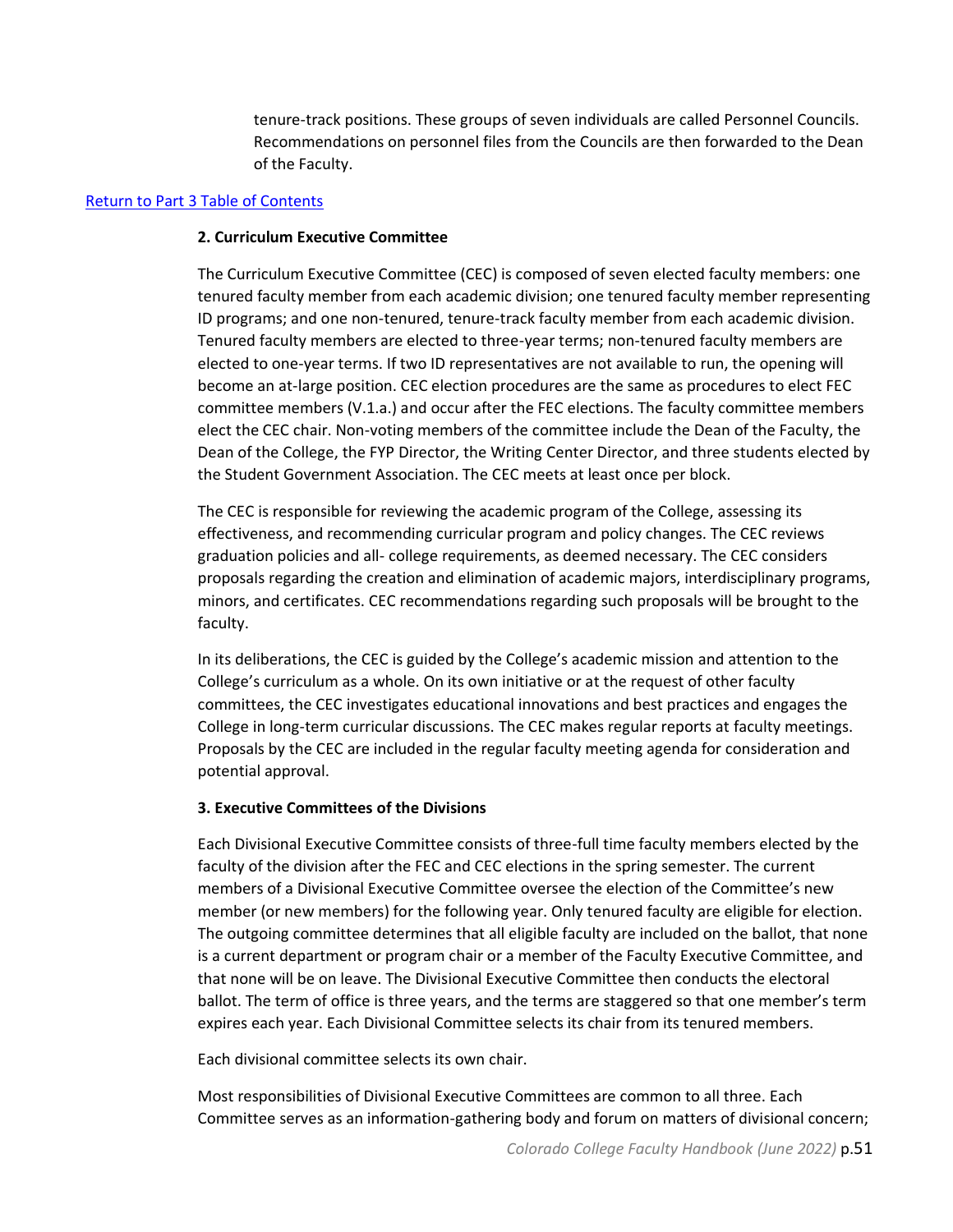tenure-track positions. These groups of seven individuals are called Personnel Councils. Recommendations on personnel files from the Councils are then forwarded to the Dean of the Faculty.

#### [Return to Part 3 Table of Contents](#page-42-0)

#### **2. Curriculum Executive Committee**

The Curriculum Executive Committee (CEC) is composed of seven elected faculty members: one tenured faculty member from each academic division; one tenured faculty member representing ID programs; and one non-tenured, tenure-track faculty member from each academic division. Tenured faculty members are elected to three-year terms; non-tenured faculty members are elected to one-year terms. If two ID representatives are not available to run, the opening will become an at-large position. CEC election procedures are the same as procedures to elect FEC committee members (V.1.a.) and occur after the FEC elections. The faculty committee members elect the CEC chair. Non-voting members of the committee include the Dean of the Faculty, the Dean of the College, the FYP Director, the Writing Center Director, and three students elected by the Student Government Association. The CEC meets at least once per block.

The CEC is responsible for reviewing the academic program of the College, assessing its effectiveness, and recommending curricular program and policy changes. The CEC reviews graduation policies and all- college requirements, as deemed necessary. The CEC considers proposals regarding the creation and elimination of academic majors, interdisciplinary programs, minors, and certificates. CEC recommendations regarding such proposals will be brought to the faculty.

In its deliberations, the CEC is guided by the College's academic mission and attention to the College's curriculum as a whole. On its own initiative or at the request of other faculty committees, the CEC investigates educational innovations and best practices and engages the College in long-term curricular discussions. The CEC makes regular reports at faculty meetings. Proposals by the CEC are included in the regular faculty meeting agenda for consideration and potential approval.

## **3. Executive Committees of the Divisions**

Each Divisional Executive Committee consists of three-full time faculty members elected by the faculty of the division after the FEC and CEC elections in the spring semester. The current members of a Divisional Executive Committee oversee the election of the Committee's new member (or new members) for the following year. Only tenured faculty are eligible for election. The outgoing committee determines that all eligible faculty are included on the ballot, that none is a current department or program chair or a member of the Faculty Executive Committee, and that none will be on leave. The Divisional Executive Committee then conducts the electoral ballot. The term of office is three years, and the terms are staggered so that one member's term expires each year. Each Divisional Committee selects its chair from its tenured members.

Each divisional committee selects its own chair.

Most responsibilities of Divisional Executive Committees are common to all three. Each Committee serves as an information-gathering body and forum on matters of divisional concern;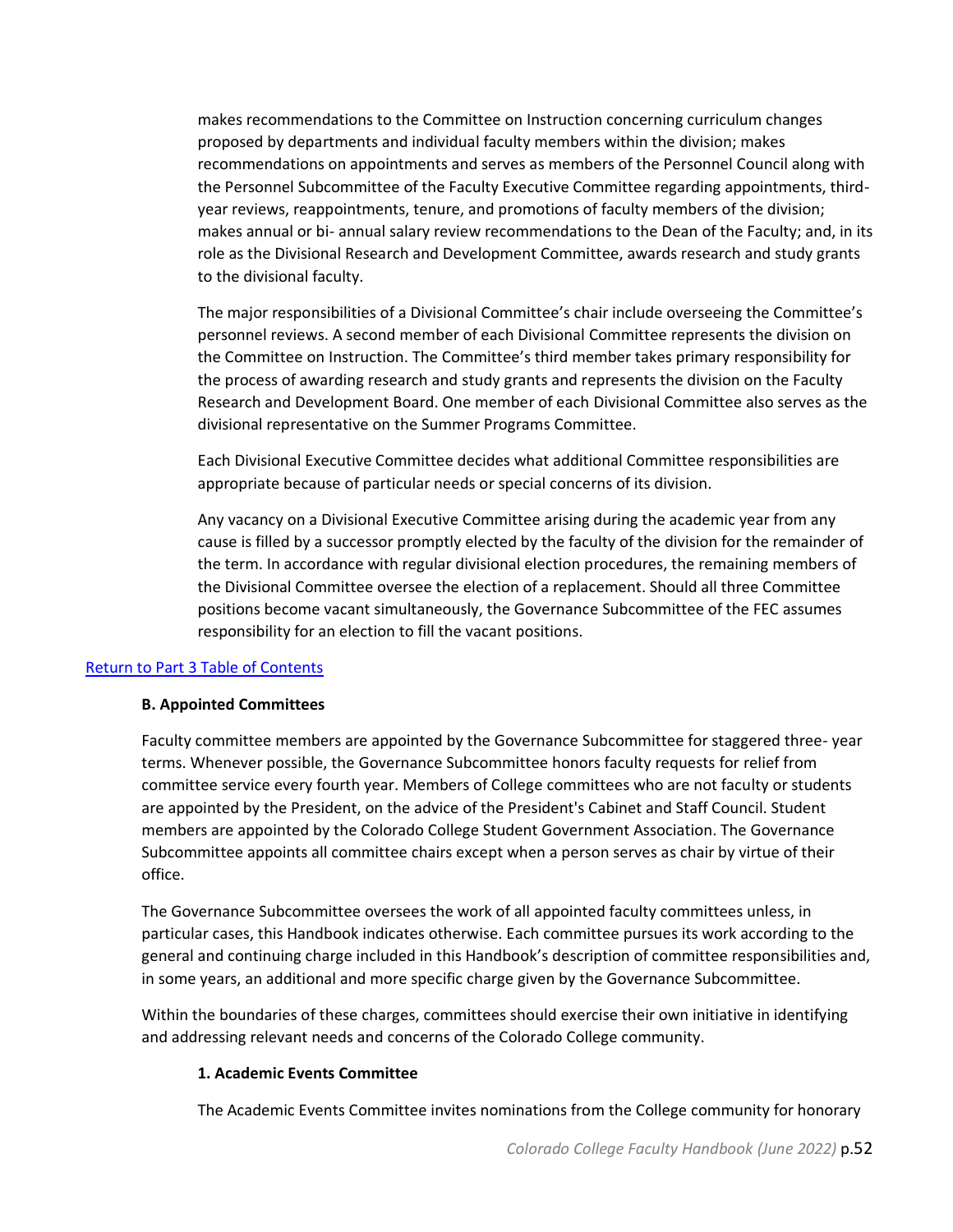makes recommendations to the Committee on Instruction concerning curriculum changes proposed by departments and individual faculty members within the division; makes recommendations on appointments and serves as members of the Personnel Council along with the Personnel Subcommittee of the Faculty Executive Committee regarding appointments, thirdyear reviews, reappointments, tenure, and promotions of faculty members of the division; makes annual or bi- annual salary review recommendations to the Dean of the Faculty; and, in its role as the Divisional Research and Development Committee, awards research and study grants to the divisional faculty.

The major responsibilities of a Divisional Committee's chair include overseeing the Committee's personnel reviews. A second member of each Divisional Committee represents the division on the Committee on Instruction. The Committee's third member takes primary responsibility for the process of awarding research and study grants and represents the division on the Faculty Research and Development Board. One member of each Divisional Committee also serves as the divisional representative on the Summer Programs Committee.

Each Divisional Executive Committee decides what additional Committee responsibilities are appropriate because of particular needs or special concerns of its division.

Any vacancy on a Divisional Executive Committee arising during the academic year from any cause is filled by a successor promptly elected by the faculty of the division for the remainder of the term. In accordance with regular divisional election procedures, the remaining members of the Divisional Committee oversee the election of a replacement. Should all three Committee positions become vacant simultaneously, the Governance Subcommittee of the FEC assumes responsibility for an election to fill the vacant positions.

## <span id="page-51-0"></span>[Return to Part 3 Table of Contents](#page-42-0)

#### **B. Appointed Committees**

Faculty committee members are appointed by the Governance Subcommittee for staggered three- year terms. Whenever possible, the Governance Subcommittee honors faculty requests for relief from committee service every fourth year. Members of College committees who are not faculty or students are appointed by the President, on the advice of the President's Cabinet and Staff Council. Student members are appointed by the Colorado College Student Government Association. The Governance Subcommittee appoints all committee chairs except when a person serves as chair by virtue of their office.

The Governance Subcommittee oversees the work of all appointed faculty committees unless, in particular cases, this Handbook indicates otherwise. Each committee pursues its work according to the general and continuing charge included in this Handbook's description of committee responsibilities and, in some years, an additional and more specific charge given by the Governance Subcommittee.

Within the boundaries of these charges, committees should exercise their own initiative in identifying and addressing relevant needs and concerns of the Colorado College community.

#### **1. Academic Events Committee**

The Academic Events Committee invites nominations from the College community for honorary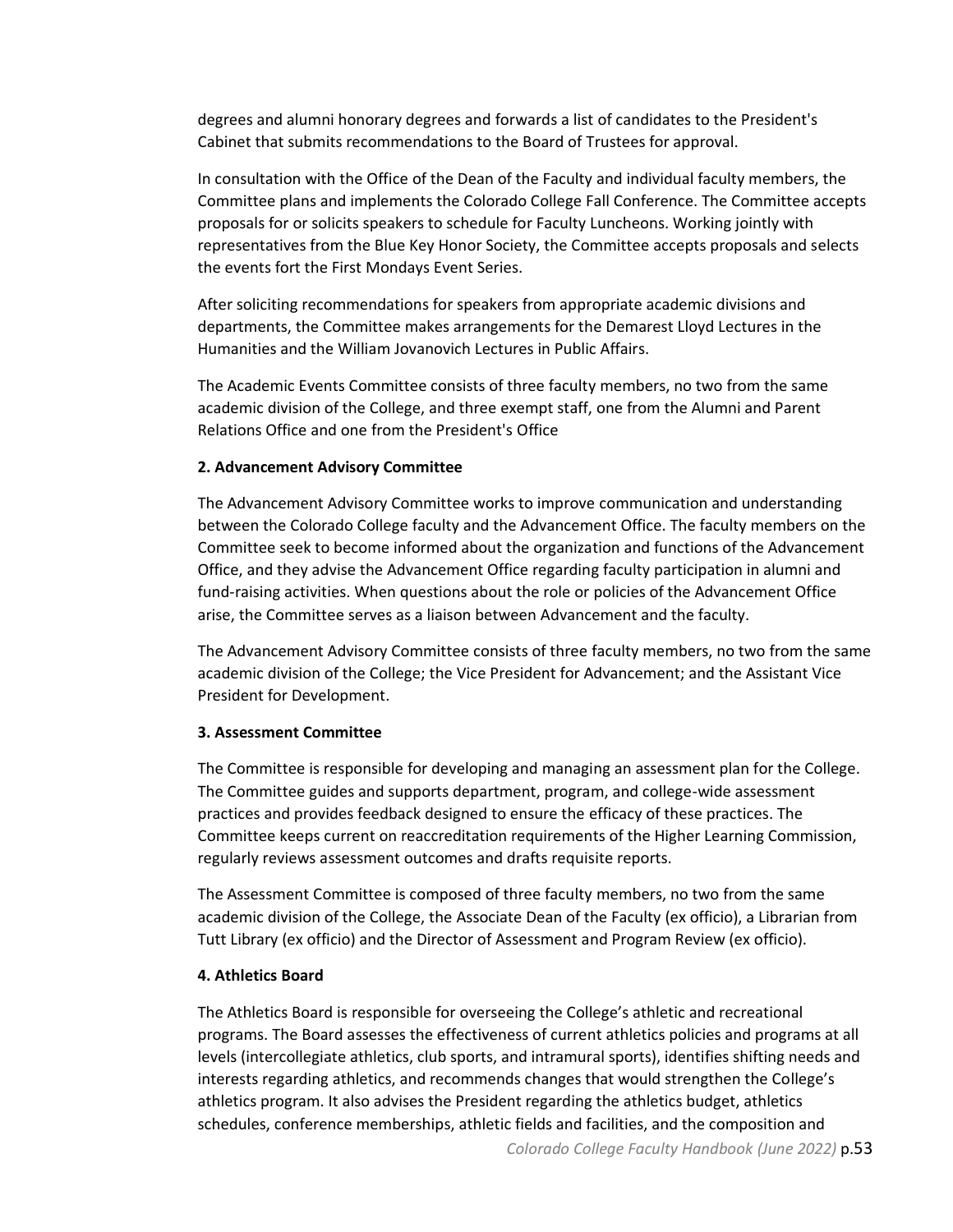degrees and alumni honorary degrees and forwards a list of candidates to the President's Cabinet that submits recommendations to the Board of Trustees for approval.

In consultation with the Office of the Dean of the Faculty and individual faculty members, the Committee plans and implements the Colorado College Fall Conference. The Committee accepts proposals for or solicits speakers to schedule for Faculty Luncheons. Working jointly with representatives from the Blue Key Honor Society, the Committee accepts proposals and selects the events fort the First Mondays Event Series.

After soliciting recommendations for speakers from appropriate academic divisions and departments, the Committee makes arrangements for the Demarest Lloyd Lectures in the Humanities and the William Jovanovich Lectures in Public Affairs.

The Academic Events Committee consists of three faculty members, no two from the same academic division of the College, and three exempt staff, one from the Alumni and Parent Relations Office and one from the President's Office

## **2. Advancement Advisory Committee**

The Advancement Advisory Committee works to improve communication and understanding between the Colorado College faculty and the Advancement Office. The faculty members on the Committee seek to become informed about the organization and functions of the Advancement Office, and they advise the Advancement Office regarding faculty participation in alumni and fund-raising activities. When questions about the role or policies of the Advancement Office arise, the Committee serves as a liaison between Advancement and the faculty.

The Advancement Advisory Committee consists of three faculty members, no two from the same academic division of the College; the Vice President for Advancement; and the Assistant Vice President for Development.

## **3. Assessment Committee**

The Committee is responsible for developing and managing an assessment plan for the College. The Committee guides and supports department, program, and college-wide assessment practices and provides feedback designed to ensure the efficacy of these practices. The Committee keeps current on reaccreditation requirements of the Higher Learning Commission, regularly reviews assessment outcomes and drafts requisite reports.

The Assessment Committee is composed of three faculty members, no two from the same academic division of the College, the Associate Dean of the Faculty (ex officio), a Librarian from Tutt Library (ex officio) and the Director of Assessment and Program Review (ex officio).

## **4. Athletics Board**

The Athletics Board is responsible for overseeing the College's athletic and recreational programs. The Board assesses the effectiveness of current athletics policies and programs at all levels (intercollegiate athletics, club sports, and intramural sports), identifies shifting needs and interests regarding athletics, and recommends changes that would strengthen the College's athletics program. It also advises the President regarding the athletics budget, athletics schedules, conference memberships, athletic fields and facilities, and the composition and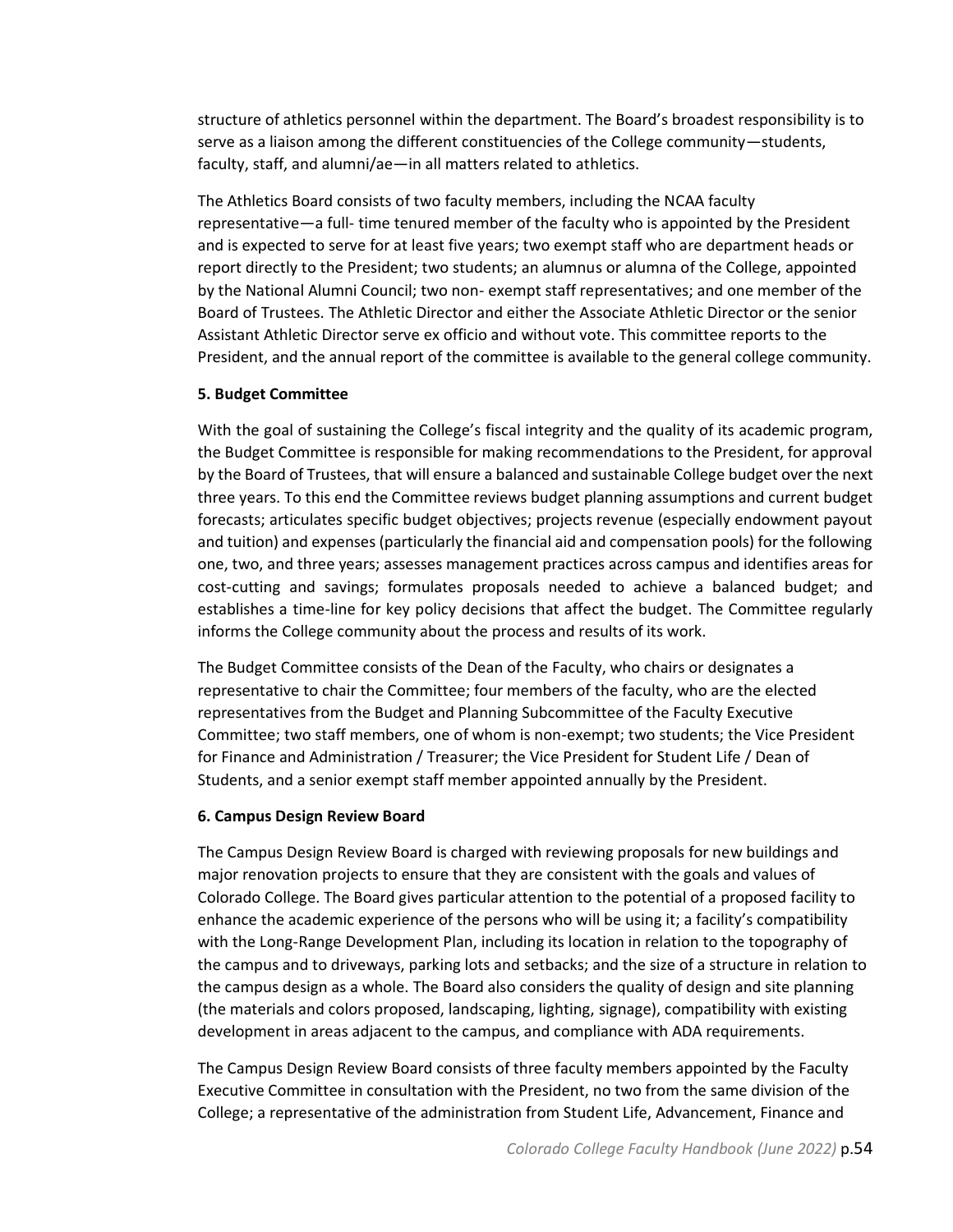structure of athletics personnel within the department. The Board's broadest responsibility is to serve as a liaison among the different constituencies of the College community—students, faculty, staff, and alumni/ae—in all matters related to athletics.

The Athletics Board consists of two faculty members, including the NCAA faculty representative—a full- time tenured member of the faculty who is appointed by the President and is expected to serve for at least five years; two exempt staff who are department heads or report directly to the President; two students; an alumnus or alumna of the College, appointed by the National Alumni Council; two non- exempt staff representatives; and one member of the Board of Trustees. The Athletic Director and either the Associate Athletic Director or the senior Assistant Athletic Director serve ex officio and without vote. This committee reports to the President, and the annual report of the committee is available to the general college community.

## **5. Budget Committee**

With the goal of sustaining the College's fiscal integrity and the quality of its academic program, the Budget Committee is responsible for making recommendations to the President, for approval by the Board of Trustees, that will ensure a balanced and sustainable College budget over the next three years. To this end the Committee reviews budget planning assumptions and current budget forecasts; articulates specific budget objectives; projects revenue (especially endowment payout and tuition) and expenses (particularly the financial aid and compensation pools) for the following one, two, and three years; assesses management practices across campus and identifies areas for cost-cutting and savings; formulates proposals needed to achieve a balanced budget; and establishes a time-line for key policy decisions that affect the budget. The Committee regularly informs the College community about the process and results of its work.

The Budget Committee consists of the Dean of the Faculty, who chairs or designates a representative to chair the Committee; four members of the faculty, who are the elected representatives from the Budget and Planning Subcommittee of the Faculty Executive Committee; two staff members, one of whom is non-exempt; two students; the Vice President for Finance and Administration / Treasurer; the Vice President for Student Life / Dean of Students, and a senior exempt staff member appointed annually by the President.

## **6. Campus Design Review Board**

The Campus Design Review Board is charged with reviewing proposals for new buildings and major renovation projects to ensure that they are consistent with the goals and values of Colorado College. The Board gives particular attention to the potential of a proposed facility to enhance the academic experience of the persons who will be using it; a facility's compatibility with the Long-Range Development Plan, including its location in relation to the topography of the campus and to driveways, parking lots and setbacks; and the size of a structure in relation to the campus design as a whole. The Board also considers the quality of design and site planning (the materials and colors proposed, landscaping, lighting, signage), compatibility with existing development in areas adjacent to the campus, and compliance with ADA requirements.

The Campus Design Review Board consists of three faculty members appointed by the Faculty Executive Committee in consultation with the President, no two from the same division of the College; a representative of the administration from Student Life, Advancement, Finance and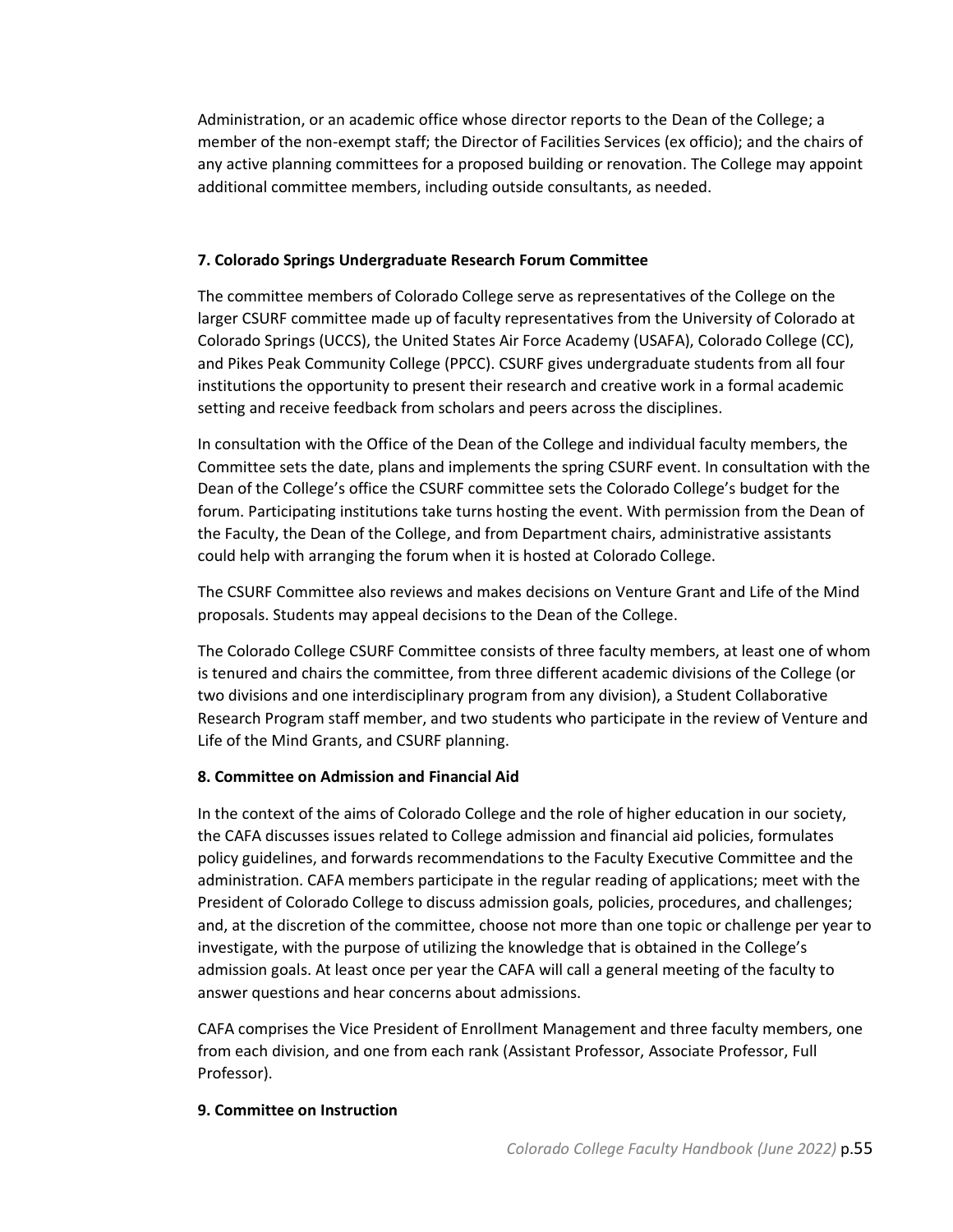Administration, or an academic office whose director reports to the Dean of the College; a member of the non-exempt staff; the Director of Facilities Services (ex officio); and the chairs of any active planning committees for a proposed building or renovation. The College may appoint additional committee members, including outside consultants, as needed.

## **7. Colorado Springs Undergraduate Research Forum Committee**

The committee members of Colorado College serve as representatives of the College on the larger CSURF committee made up of faculty representatives from the University of Colorado at Colorado Springs (UCCS), the United States Air Force Academy (USAFA), Colorado College (CC), and Pikes Peak Community College (PPCC). CSURF gives undergraduate students from all four institutions the opportunity to present their research and creative work in a formal academic setting and receive feedback from scholars and peers across the disciplines.

In consultation with the Office of the Dean of the College and individual faculty members, the Committee sets the date, plans and implements the spring CSURF event. In consultation with the Dean of the College's office the CSURF committee sets the Colorado College's budget for the forum. Participating institutions take turns hosting the event. With permission from the Dean of the Faculty, the Dean of the College, and from Department chairs, administrative assistants could help with arranging the forum when it is hosted at Colorado College.

The CSURF Committee also reviews and makes decisions on Venture Grant and Life of the Mind proposals. Students may appeal decisions to the Dean of the College.

The Colorado College CSURF Committee consists of three faculty members, at least one of whom is tenured and chairs the committee, from three different academic divisions of the College (or two divisions and one interdisciplinary program from any division), a Student Collaborative Research Program staff member, and two students who participate in the review of Venture and Life of the Mind Grants, and CSURF planning.

## **8. Committee on Admission and Financial Aid**

In the context of the aims of Colorado College and the role of higher education in our society, the CAFA discusses issues related to College admission and financial aid policies, formulates policy guidelines, and forwards recommendations to the Faculty Executive Committee and the administration. CAFA members participate in the regular reading of applications; meet with the President of Colorado College to discuss admission goals, policies, procedures, and challenges; and, at the discretion of the committee, choose not more than one topic or challenge per year to investigate, with the purpose of utilizing the knowledge that is obtained in the College's admission goals. At least once per year the CAFA will call a general meeting of the faculty to answer questions and hear concerns about admissions.

CAFA comprises the Vice President of Enrollment Management and three faculty members, one from each division, and one from each rank (Assistant Professor, Associate Professor, Full Professor).

## **9. Committee on Instruction**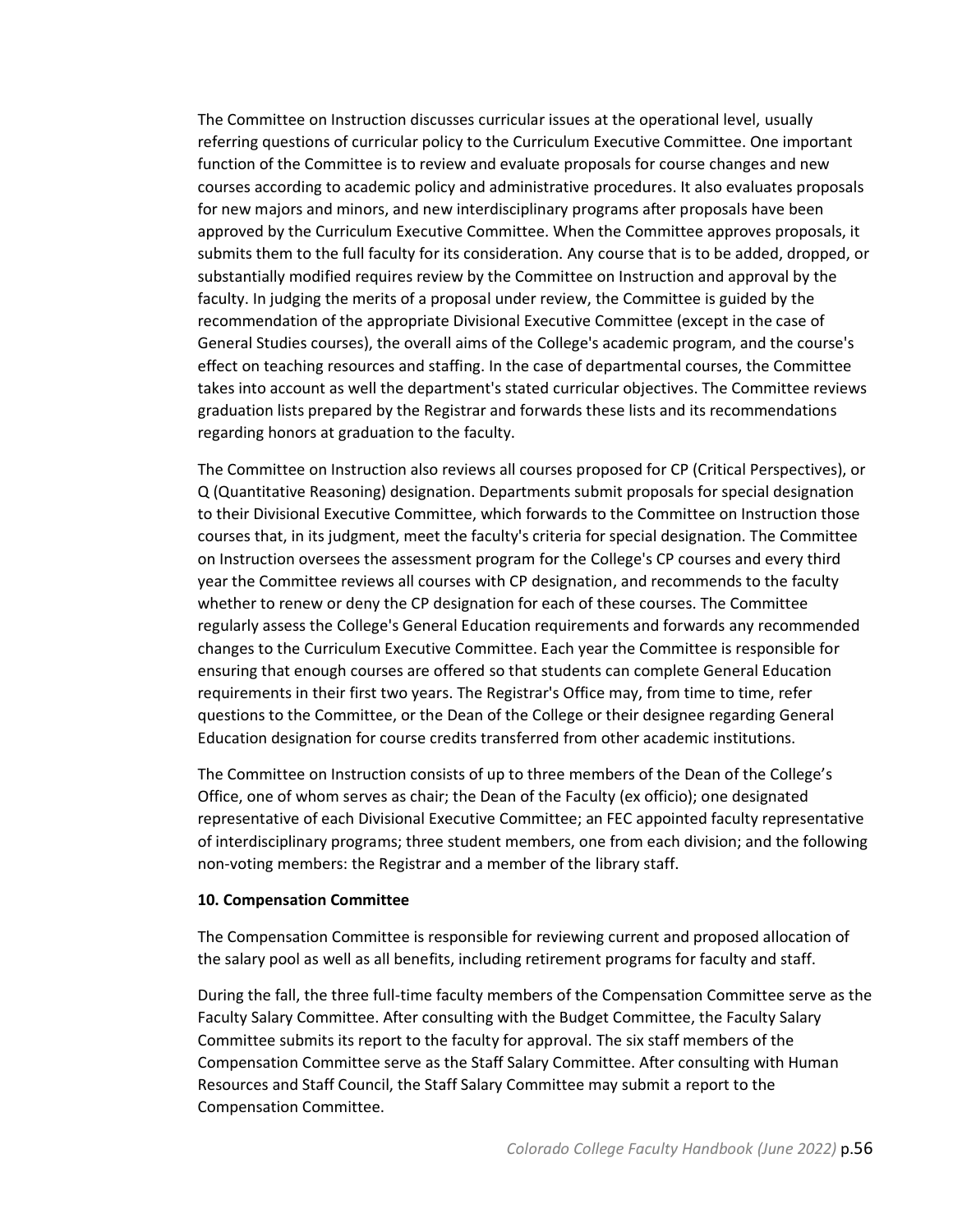The Committee on Instruction discusses curricular issues at the operational level, usually referring questions of curricular policy to the Curriculum Executive Committee. One important function of the Committee is to review and evaluate proposals for course changes and new courses according to academic policy and administrative procedures. It also evaluates proposals for new majors and minors, and new interdisciplinary programs after proposals have been approved by the Curriculum Executive Committee. When the Committee approves proposals, it submits them to the full faculty for its consideration. Any course that is to be added, dropped, or substantially modified requires review by the Committee on Instruction and approval by the faculty. In judging the merits of a proposal under review, the Committee is guided by the recommendation of the appropriate Divisional Executive Committee (except in the case of General Studies courses), the overall aims of the College's academic program, and the course's effect on teaching resources and staffing. In the case of departmental courses, the Committee takes into account as well the department's stated curricular objectives. The Committee reviews graduation lists prepared by the Registrar and forwards these lists and its recommendations regarding honors at graduation to the faculty.

The Committee on Instruction also reviews all courses proposed for CP (Critical Perspectives), or Q (Quantitative Reasoning) designation. Departments submit proposals for special designation to their Divisional Executive Committee, which forwards to the Committee on Instruction those courses that, in its judgment, meet the faculty's criteria for special designation. The Committee on Instruction oversees the assessment program for the College's CP courses and every third year the Committee reviews all courses with CP designation, and recommends to the faculty whether to renew or deny the CP designation for each of these courses. The Committee regularly assess the College's General Education requirements and forwards any recommended changes to the Curriculum Executive Committee. Each year the Committee is responsible for ensuring that enough courses are offered so that students can complete General Education requirements in their first two years. The Registrar's Office may, from time to time, refer questions to the Committee, or the Dean of the College or their designee regarding General Education designation for course credits transferred from other academic institutions.

The Committee on Instruction consists of up to three members of the Dean of the College's Office, one of whom serves as chair; the Dean of the Faculty (ex officio); one designated representative of each Divisional Executive Committee; an FEC appointed faculty representative of interdisciplinary programs; three student members, one from each division; and the following non-voting members: the Registrar and a member of the library staff.

#### **10. Compensation Committee**

The Compensation Committee is responsible for reviewing current and proposed allocation of the salary pool as well as all benefits, including retirement programs for faculty and staff.

During the fall, the three full-time faculty members of the Compensation Committee serve as the Faculty Salary Committee. After consulting with the Budget Committee, the Faculty Salary Committee submits its report to the faculty for approval. The six staff members of the Compensation Committee serve as the Staff Salary Committee. After consulting with Human Resources and Staff Council, the Staff Salary Committee may submit a report to the Compensation Committee.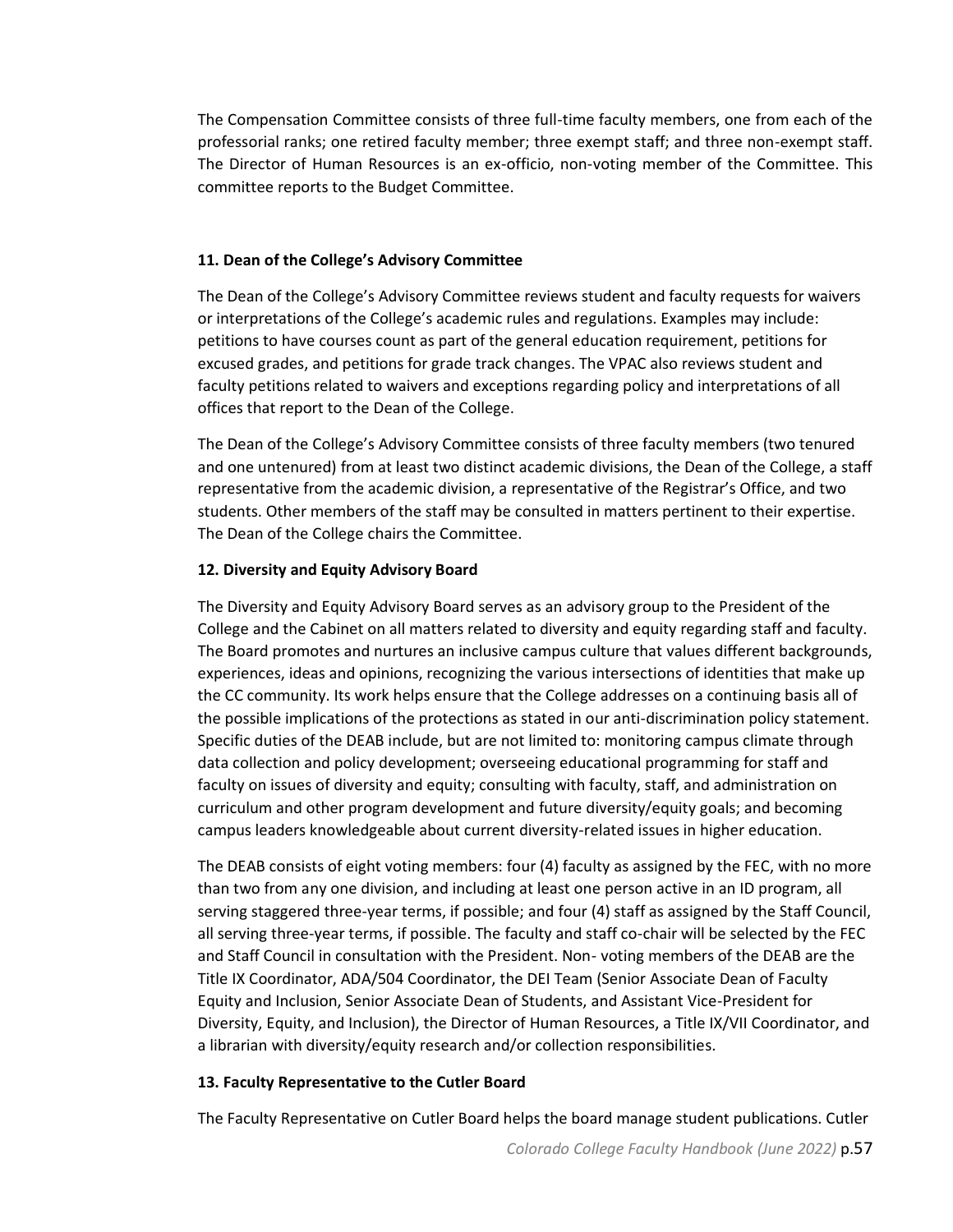The Compensation Committee consists of three full-time faculty members, one from each of the professorial ranks; one retired faculty member; three exempt staff; and three non-exempt staff. The Director of Human Resources is an ex-officio, non-voting member of the Committee. This committee reports to the Budget Committee.

## **11. Dean of the College's Advisory Committee**

The Dean of the College's Advisory Committee reviews student and faculty requests for waivers or interpretations of the College's academic rules and regulations. Examples may include: petitions to have courses count as part of the general education requirement, petitions for excused grades, and petitions for grade track changes. The VPAC also reviews student and faculty petitions related to waivers and exceptions regarding policy and interpretations of all offices that report to the Dean of the College.

The Dean of the College's Advisory Committee consists of three faculty members (two tenured and one untenured) from at least two distinct academic divisions, the Dean of the College, a staff representative from the academic division, a representative of the Registrar's Office, and two students. Other members of the staff may be consulted in matters pertinent to their expertise. The Dean of the College chairs the Committee.

## **12. Diversity and Equity Advisory Board**

The Diversity and Equity Advisory Board serves as an advisory group to the President of the College and the Cabinet on all matters related to diversity and equity regarding staff and faculty. The Board promotes and nurtures an inclusive campus culture that values different backgrounds, experiences, ideas and opinions, recognizing the various intersections of identities that make up the CC community. Its work helps ensure that the College addresses on a continuing basis all of the possible implications of the protections as stated in our anti-discrimination policy statement. Specific duties of the DEAB include, but are not limited to: monitoring campus climate through data collection and policy development; overseeing educational programming for staff and faculty on issues of diversity and equity; consulting with faculty, staff, and administration on curriculum and other program development and future diversity/equity goals; and becoming campus leaders knowledgeable about current diversity-related issues in higher education.

The DEAB consists of eight voting members: four (4) faculty as assigned by the FEC, with no more than two from any one division, and including at least one person active in an ID program, all serving staggered three-year terms, if possible; and four (4) staff as assigned by the Staff Council, all serving three-year terms, if possible. The faculty and staff co-chair will be selected by the FEC and Staff Council in consultation with the President. Non- voting members of the DEAB are the Title IX Coordinator, ADA/504 Coordinator, the DEI Team (Senior Associate Dean of Faculty Equity and Inclusion, Senior Associate Dean of Students, and Assistant Vice-President for Diversity, Equity, and Inclusion), the Director of Human Resources, a Title IX/VII Coordinator, and a librarian with diversity/equity research and/or collection responsibilities.

## **13. Faculty Representative to the Cutler Board**

The Faculty Representative on Cutler Board helps the board manage student publications. Cutler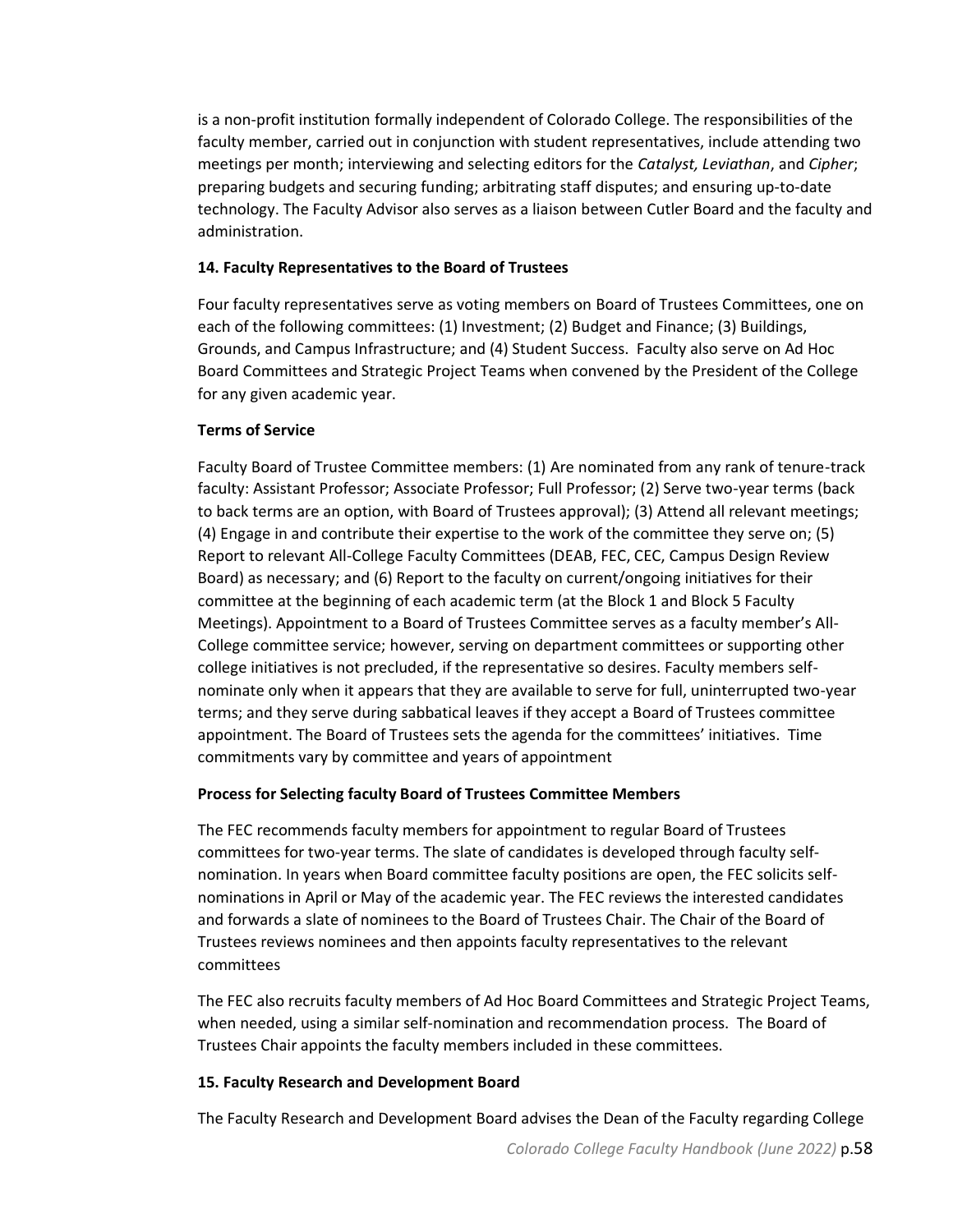is a non-profit institution formally independent of Colorado College. The responsibilities of the faculty member, carried out in conjunction with student representatives, include attending two meetings per month; interviewing and selecting editors for the *Catalyst, Leviathan*, and *Cipher*; preparing budgets and securing funding; arbitrating staff disputes; and ensuring up-to-date technology. The Faculty Advisor also serves as a liaison between Cutler Board and the faculty and administration.

#### **14. Faculty Representatives to the Board of Trustees**

Four faculty representatives serve as voting members on Board of Trustees Committees, one on each of the following committees: (1) Investment; (2) Budget and Finance; (3) Buildings, Grounds, and Campus Infrastructure; and (4) Student Success. Faculty also serve on Ad Hoc Board Committees and Strategic Project Teams when convened by the President of the College for any given academic year.

## **Terms of Service**

Faculty Board of Trustee Committee members: (1) Are nominated from any rank of tenure-track faculty: Assistant Professor; Associate Professor; Full Professor; (2) Serve two-year terms (back to back terms are an option, with Board of Trustees approval); (3) Attend all relevant meetings; (4) Engage in and contribute their expertise to the work of the committee they serve on; (5) Report to relevant All-College Faculty Committees (DEAB, FEC, CEC, Campus Design Review Board) as necessary; and (6) Report to the faculty on current/ongoing initiatives for their committee at the beginning of each academic term (at the Block 1 and Block 5 Faculty Meetings). Appointment to a Board of Trustees Committee serves as a faculty member's All-College committee service; however, serving on department committees or supporting other college initiatives is not precluded, if the representative so desires. Faculty members selfnominate only when it appears that they are available to serve for full, uninterrupted two-year terms; and they serve during sabbatical leaves if they accept a Board of Trustees committee appointment. The Board of Trustees sets the agenda for the committees' initiatives. Time commitments vary by committee and years of appointment

## **Process for Selecting faculty Board of Trustees Committee Members**

The FEC recommends faculty members for appointment to regular Board of Trustees committees for two-year terms. The slate of candidates is developed through faculty selfnomination. In years when Board committee faculty positions are open, the FEC solicits selfnominations in April or May of the academic year. The FEC reviews the interested candidates and forwards a slate of nominees to the Board of Trustees Chair. The Chair of the Board of Trustees reviews nominees and then appoints faculty representatives to the relevant committees

The FEC also recruits faculty members of Ad Hoc Board Committees and Strategic Project Teams, when needed, using a similar self-nomination and recommendation process. The Board of Trustees Chair appoints the faculty members included in these committees.

## **15. Faculty Research and Development Board**

The Faculty Research and Development Board advises the Dean of the Faculty regarding College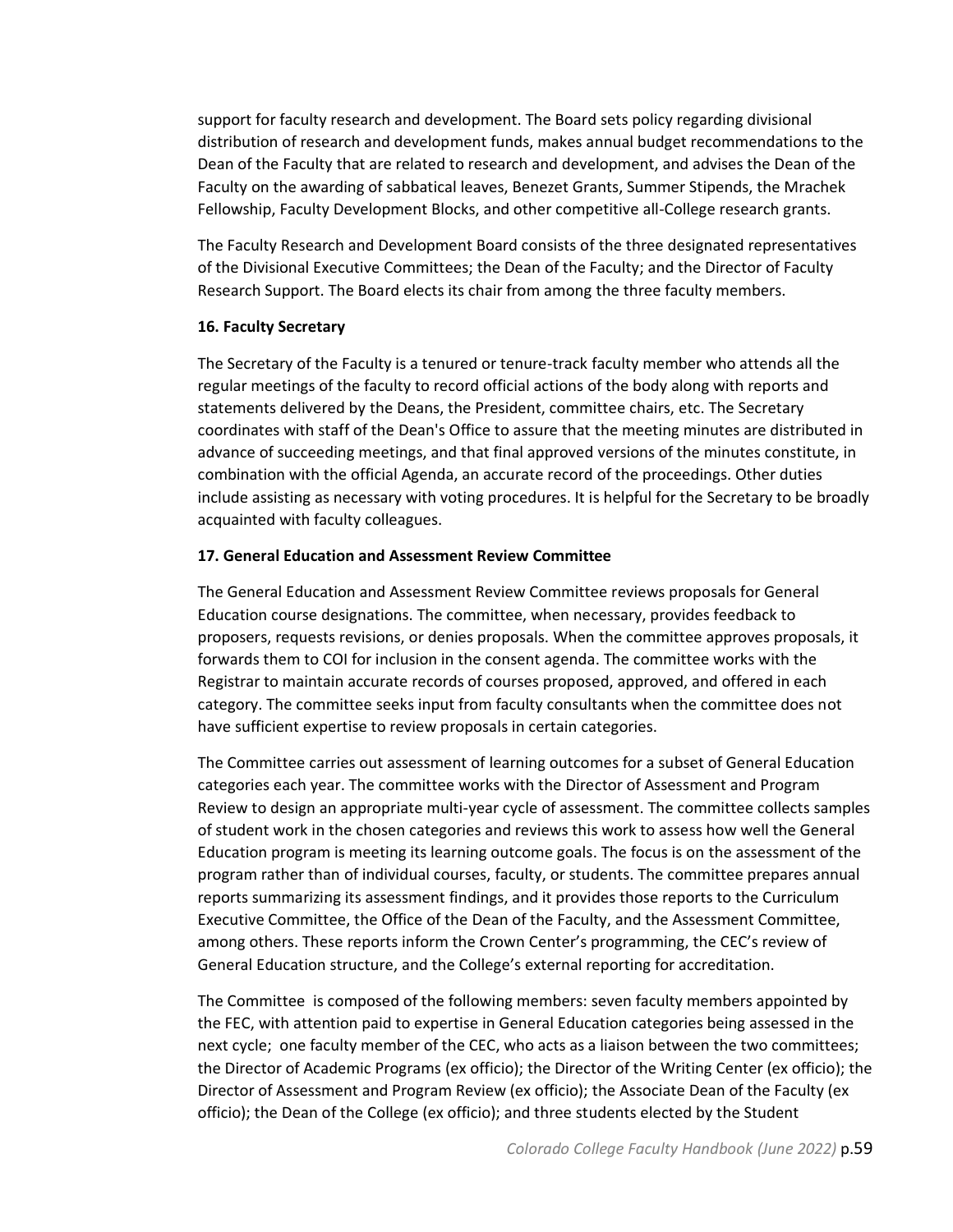support for faculty research and development. The Board sets policy regarding divisional distribution of research and development funds, makes annual budget recommendations to the Dean of the Faculty that are related to research and development, and advises the Dean of the Faculty on the awarding of sabbatical leaves, Benezet Grants, Summer Stipends, the Mrachek Fellowship, Faculty Development Blocks, and other competitive all-College research grants.

The Faculty Research and Development Board consists of the three designated representatives of the Divisional Executive Committees; the Dean of the Faculty; and the Director of Faculty Research Support. The Board elects its chair from among the three faculty members.

## **16. Faculty Secretary**

The Secretary of the Faculty is a tenured or tenure-track faculty member who attends all the regular meetings of the faculty to record official actions of the body along with reports and statements delivered by the Deans, the President, committee chairs, etc. The Secretary coordinates with staff of the Dean's Office to assure that the meeting minutes are distributed in advance of succeeding meetings, and that final approved versions of the minutes constitute, in combination with the official Agenda, an accurate record of the proceedings. Other duties include assisting as necessary with voting procedures. It is helpful for the Secretary to be broadly acquainted with faculty colleagues.

## **17. General Education and Assessment Review Committee**

The General Education and Assessment Review Committee reviews proposals for General Education course designations. The committee, when necessary, provides feedback to proposers, requests revisions, or denies proposals. When the committee approves proposals, it forwards them to COI for inclusion in the consent agenda. The committee works with the Registrar to maintain accurate records of courses proposed, approved, and offered in each category. The committee seeks input from faculty consultants when the committee does not have sufficient expertise to review proposals in certain categories.

The Committee carries out assessment of learning outcomes for a subset of General Education categories each year. The committee works with the Director of Assessment and Program Review to design an appropriate multi-year cycle of assessment. The committee collects samples of student work in the chosen categories and reviews this work to assess how well the General Education program is meeting its learning outcome goals. The focus is on the assessment of the program rather than of individual courses, faculty, or students. The committee prepares annual reports summarizing its assessment findings, and it provides those reports to the Curriculum Executive Committee, the Office of the Dean of the Faculty, and the Assessment Committee, among others. These reports inform the Crown Center's programming, the CEC's review of General Education structure, and the College's external reporting for accreditation.

The Committee is composed of the following members: seven faculty members appointed by the FEC, with attention paid to expertise in General Education categories being assessed in the next cycle; one faculty member of the CEC, who acts as a liaison between the two committees; the Director of Academic Programs (ex officio); the Director of the Writing Center (ex officio); the Director of Assessment and Program Review (ex officio); the Associate Dean of the Faculty (ex officio); the Dean of the College (ex officio); and three students elected by the Student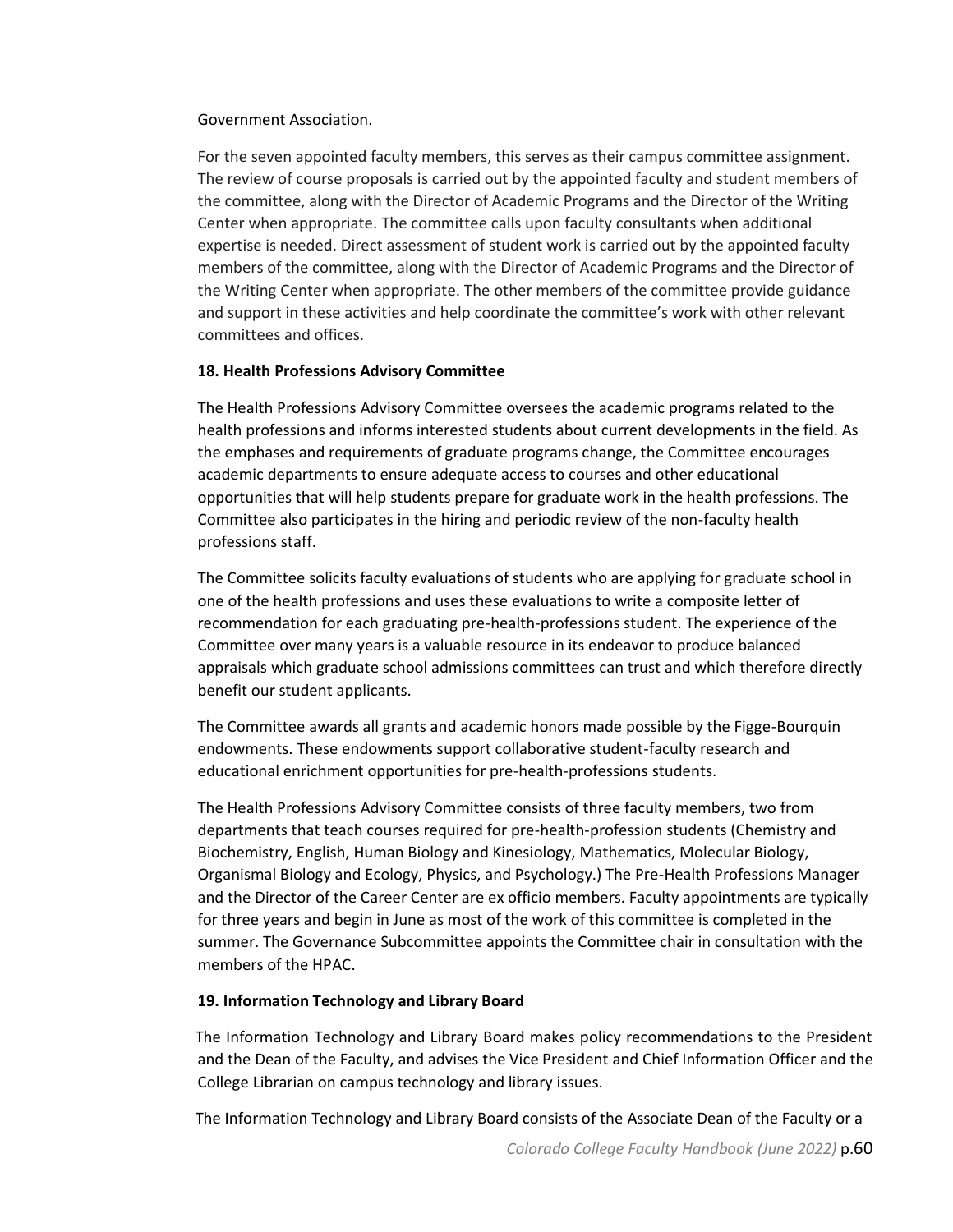#### Government Association.

For the seven appointed faculty members, this serves as their campus committee assignment. The review of course proposals is carried out by the appointed faculty and student members of the committee, along with the Director of Academic Programs and the Director of the Writing Center when appropriate. The committee calls upon faculty consultants when additional expertise is needed. Direct assessment of student work is carried out by the appointed faculty members of the committee, along with the Director of Academic Programs and the Director of the Writing Center when appropriate. The other members of the committee provide guidance and support in these activities and help coordinate the committee's work with other relevant committees and offices.

## **18. Health Professions Advisory Committee**

The Health Professions Advisory Committee oversees the academic programs related to the health professions and informs interested students about current developments in the field. As the emphases and requirements of graduate programs change, the Committee encourages academic departments to ensure adequate access to courses and other educational opportunities that will help students prepare for graduate work in the health professions. The Committee also participates in the hiring and periodic review of the non-faculty health professions staff.

The Committee solicits faculty evaluations of students who are applying for graduate school in one of the health professions and uses these evaluations to write a composite letter of recommendation for each graduating pre-health-professions student. The experience of the Committee over many years is a valuable resource in its endeavor to produce balanced appraisals which graduate school admissions committees can trust and which therefore directly benefit our student applicants.

The Committee awards all grants and academic honors made possible by the Figge-Bourquin endowments. These endowments support collaborative student-faculty research and educational enrichment opportunities for pre-health-professions students.

The Health Professions Advisory Committee consists of three faculty members, two from departments that teach courses required for pre-health-profession students (Chemistry and Biochemistry, English, Human Biology and Kinesiology, Mathematics, Molecular Biology, Organismal Biology and Ecology, Physics, and Psychology.) The Pre-Health Professions Manager and the Director of the Career Center are ex officio members. Faculty appointments are typically for three years and begin in June as most of the work of this committee is completed in the summer. The Governance Subcommittee appoints the Committee chair in consultation with the members of the HPAC.

## **19. Information Technology and Library Board**

The Information Technology and Library Board makes policy recommendations to the President and the Dean of the Faculty, and advises the Vice President and Chief Information Officer and the College Librarian on campus technology and library issues.

The Information Technology and Library Board consists of the Associate Dean of the Faculty or a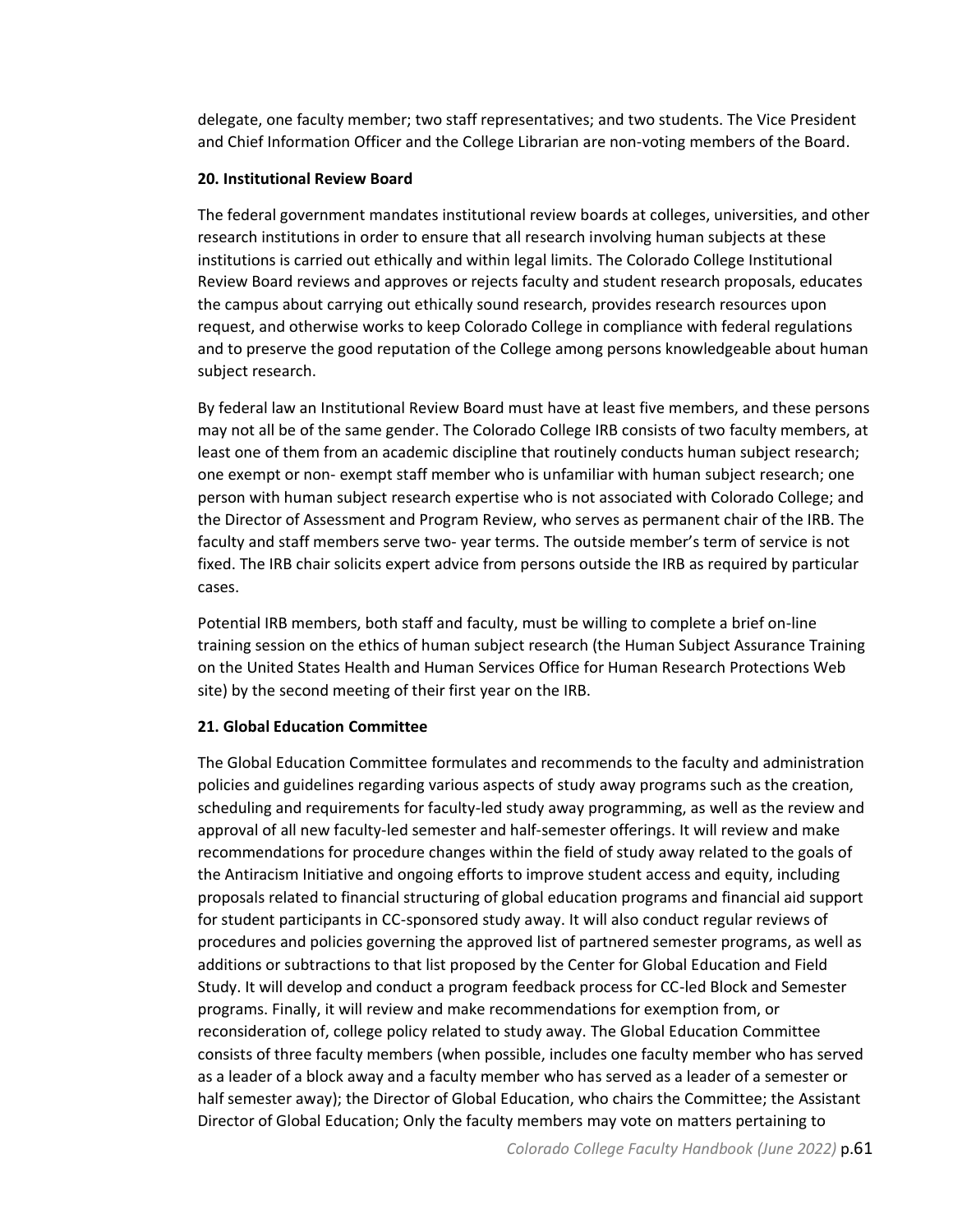delegate, one faculty member; two staff representatives; and two students. The Vice President and Chief Information Officer and the College Librarian are non-voting members of the Board.

#### **20. Institutional Review Board**

The federal government mandates institutional review boards at colleges, universities, and other research institutions in order to ensure that all research involving human subjects at these institutions is carried out ethically and within legal limits. The Colorado College Institutional Review Board reviews and approves or rejects faculty and student research proposals, educates the campus about carrying out ethically sound research, provides research resources upon request, and otherwise works to keep Colorado College in compliance with federal regulations and to preserve the good reputation of the College among persons knowledgeable about human subject research.

By federal law an Institutional Review Board must have at least five members, and these persons may not all be of the same gender. The Colorado College IRB consists of two faculty members, at least one of them from an academic discipline that routinely conducts human subject research; one exempt or non- exempt staff member who is unfamiliar with human subject research; one person with human subject research expertise who is not associated with Colorado College; and the Director of Assessment and Program Review, who serves as permanent chair of the IRB. The faculty and staff members serve two- year terms. The outside member's term of service is not fixed. The IRB chair solicits expert advice from persons outside the IRB as required by particular cases.

Potential IRB members, both staff and faculty, must be willing to complete a brief on-line training session on the ethics of human subject research (the Human Subject Assurance Training on the United States Health and Human Services Office for Human Research Protections Web site) by the second meeting of their first year on the IRB.

## **21. Global Education Committee**

The Global Education Committee formulates and recommends to the faculty and administration policies and guidelines regarding various aspects of study away programs such as the creation, scheduling and requirements for faculty-led study away programming, as well as the review and approval of all new faculty-led semester and half-semester offerings. It will review and make recommendations for procedure changes within the field of study away related to the goals of the Antiracism Initiative and ongoing efforts to improve student access and equity, including proposals related to financial structuring of global education programs and financial aid support for student participants in CC-sponsored study away. It will also conduct regular reviews of procedures and policies governing the approved list of partnered semester programs, as well as additions or subtractions to that list proposed by the Center for Global Education and Field Study. It will develop and conduct a program feedback process for CC-led Block and Semester programs. Finally, it will review and make recommendations for exemption from, or reconsideration of, college policy related to study away. The Global Education Committee consists of three faculty members (when possible, includes one faculty member who has served as a leader of a block away and a faculty member who has served as a leader of a semester or half semester away); the Director of Global Education, who chairs the Committee; the Assistant Director of Global Education; Only the faculty members may vote on matters pertaining to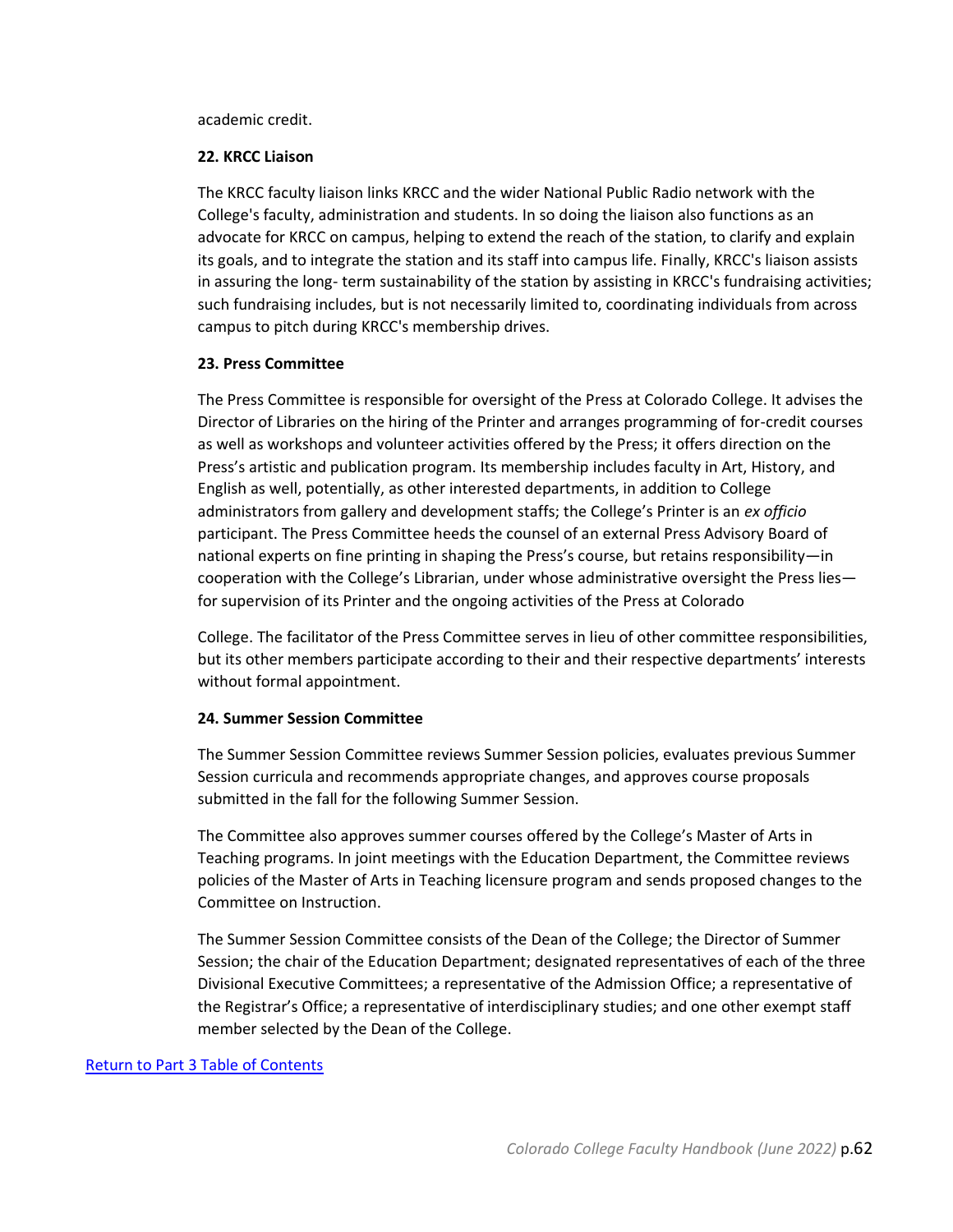academic credit.

#### **22. KRCC Liaison**

The KRCC faculty liaison links KRCC and the wider National Public Radio network with the College's faculty, administration and students. In so doing the liaison also functions as an advocate for KRCC on campus, helping to extend the reach of the station, to clarify and explain its goals, and to integrate the station and its staff into campus life. Finally, KRCC's liaison assists in assuring the long- term sustainability of the station by assisting in KRCC's fundraising activities; such fundraising includes, but is not necessarily limited to, coordinating individuals from across campus to pitch during KRCC's membership drives.

#### **23. Press Committee**

The Press Committee is responsible for oversight of the Press at Colorado College. It advises the Director of Libraries on the hiring of the Printer and arranges programming of for-credit courses as well as workshops and volunteer activities offered by the Press; it offers direction on the Press's artistic and publication program. Its membership includes faculty in Art, History, and English as well, potentially, as other interested departments, in addition to College administrators from gallery and development staffs; the College's Printer is an *ex officio*  participant. The Press Committee heeds the counsel of an external Press Advisory Board of national experts on fine printing in shaping the Press's course, but retains responsibility—in cooperation with the College's Librarian, under whose administrative oversight the Press lies for supervision of its Printer and the ongoing activities of the Press at Colorado

College. The facilitator of the Press Committee serves in lieu of other committee responsibilities, but its other members participate according to their and their respective departments' interests without formal appointment.

## **24. Summer Session Committee**

The Summer Session Committee reviews Summer Session policies, evaluates previous Summer Session curricula and recommends appropriate changes, and approves course proposals submitted in the fall for the following Summer Session.

The Committee also approves summer courses offered by the College's Master of Arts in Teaching programs. In joint meetings with the Education Department, the Committee reviews policies of the Master of Arts in Teaching licensure program and sends proposed changes to the Committee on Instruction.

The Summer Session Committee consists of the Dean of the College; the Director of Summer Session; the chair of the Education Department; designated representatives of each of the three Divisional Executive Committees; a representative of the Admission Office; a representative of the Registrar's Office; a representative of interdisciplinary studies; and one other exempt staff member selected by the Dean of the College.

## [Return to Part 3 Table of Contents](#page-42-0)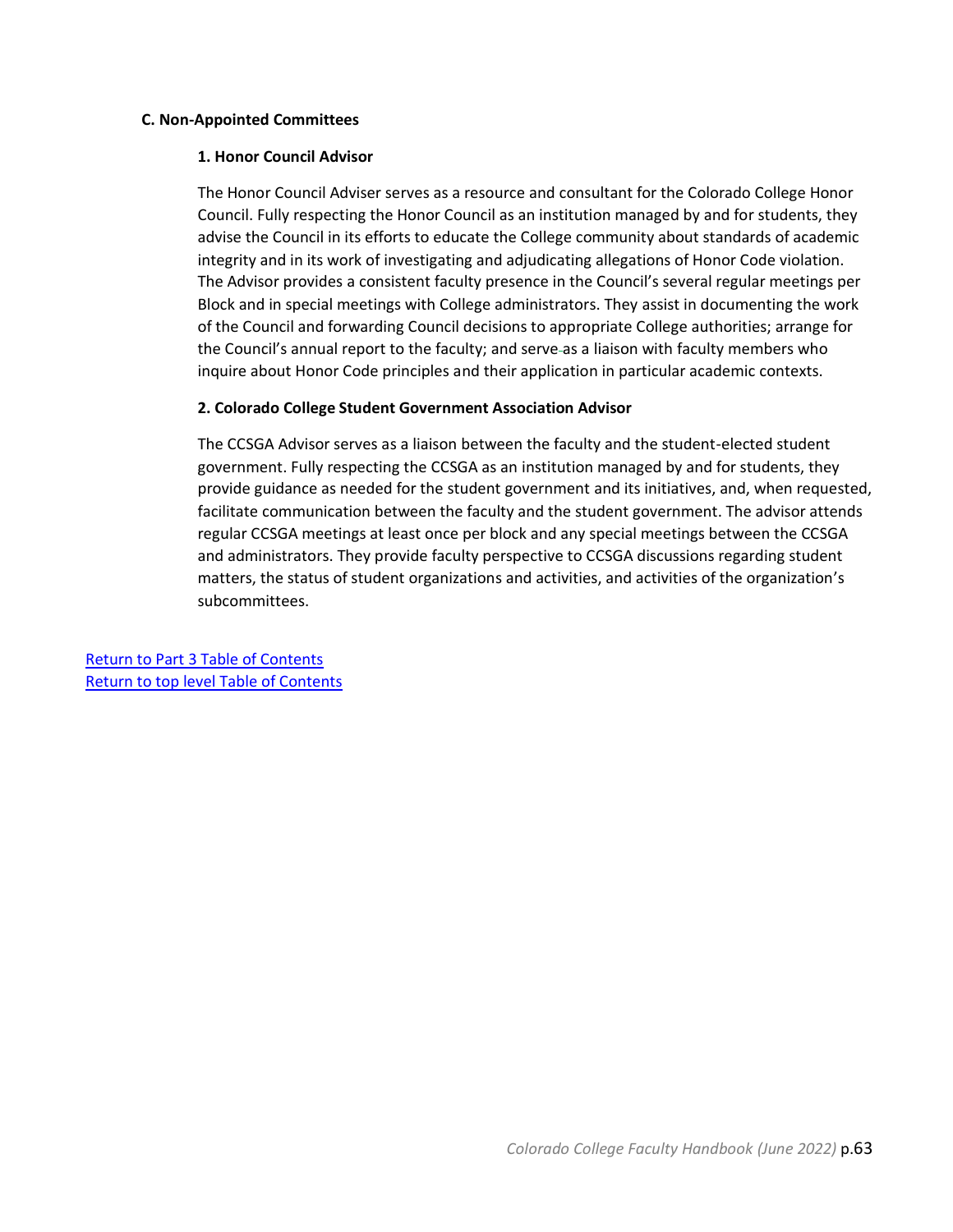#### <span id="page-62-0"></span>**C. Non-Appointed Committees**

#### **1. Honor Council Advisor**

The Honor Council Adviser serves as a resource and consultant for the Colorado College Honor Council. Fully respecting the Honor Council as an institution managed by and for students, they advise the Council in its efforts to educate the College community about standards of academic integrity and in its work of investigating and adjudicating allegations of Honor Code violation. The Advisor provides a consistent faculty presence in the Council's several regular meetings per Block and in special meetings with College administrators. They assist in documenting the work of the Council and forwarding Council decisions to appropriate College authorities; arrange for the Council's annual report to the faculty; and serve as a liaison with faculty members who inquire about Honor Code principles and their application in particular academic contexts.

## **2. Colorado College Student Government Association Advisor**

The CCSGA Advisor serves as a liaison between the faculty and the student-elected student government. Fully respecting the CCSGA as an institution managed by and for students, they provide guidance as needed for the student government and its initiatives, and, when requested, facilitate communication between the faculty and the student government. The advisor attends regular CCSGA meetings at least once per block and any special meetings between the CCSGA and administrators. They provide faculty perspective to CCSGA discussions regarding student matters, the status of student organizations and activities, and activities of the organization's subcommittees.

[Return to Part 3 Table of Contents](#page-42-0) [Return to top level Table of Contents](#page-2-1)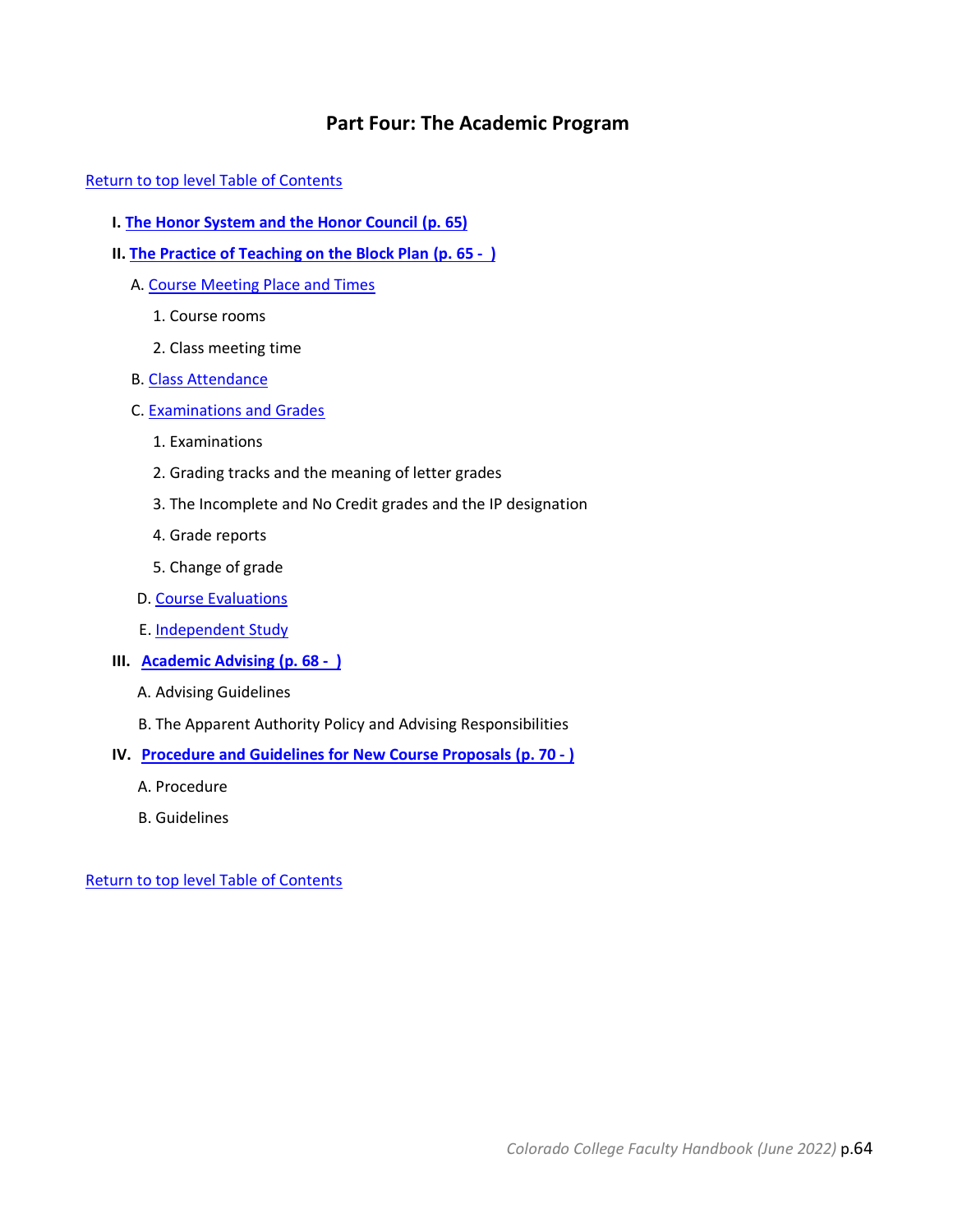# **Part Four: The Academic Program**

<span id="page-63-0"></span>[Return to top level Table of Contents](#page-2-1)

- **I. [The Honor System and the Honor Council](#page-64-0) (p. 65)**
- **II. [The Practice of Teaching on the Block Plan](#page-64-1) (p. 65 )**
	- A. [Course Meeting Place and Times](#page-64-2)
		- 1. Course rooms
		- 2. Class meeting time
	- B. [Class Attendance](#page-64-3)
	- C. [Examinations and Grades](#page-65-0)
		- 1. Examinations
		- 2. Grading tracks and the meaning of letter grades
		- 3. The Incomplete and No Credit grades and the IP designation
		- 4. Grade reports
		- 5. Change of grade
	- D. [Course Evaluations](#page-66-0)
	- E. [Independent Study](#page-67-0)
- **III. [Academic Advising](#page-67-1) (p. 68 )**
	- A. Advising Guidelines
	- B. The Apparent Authority Policy and Advising Responsibilities
- **IV. [Procedure and Guidelines for New Course Proposals](#page-69-0) (p. 70 - )**
	- A. Procedure
	- B. Guidelines

[Return to top level Table of Contents](#page-2-1)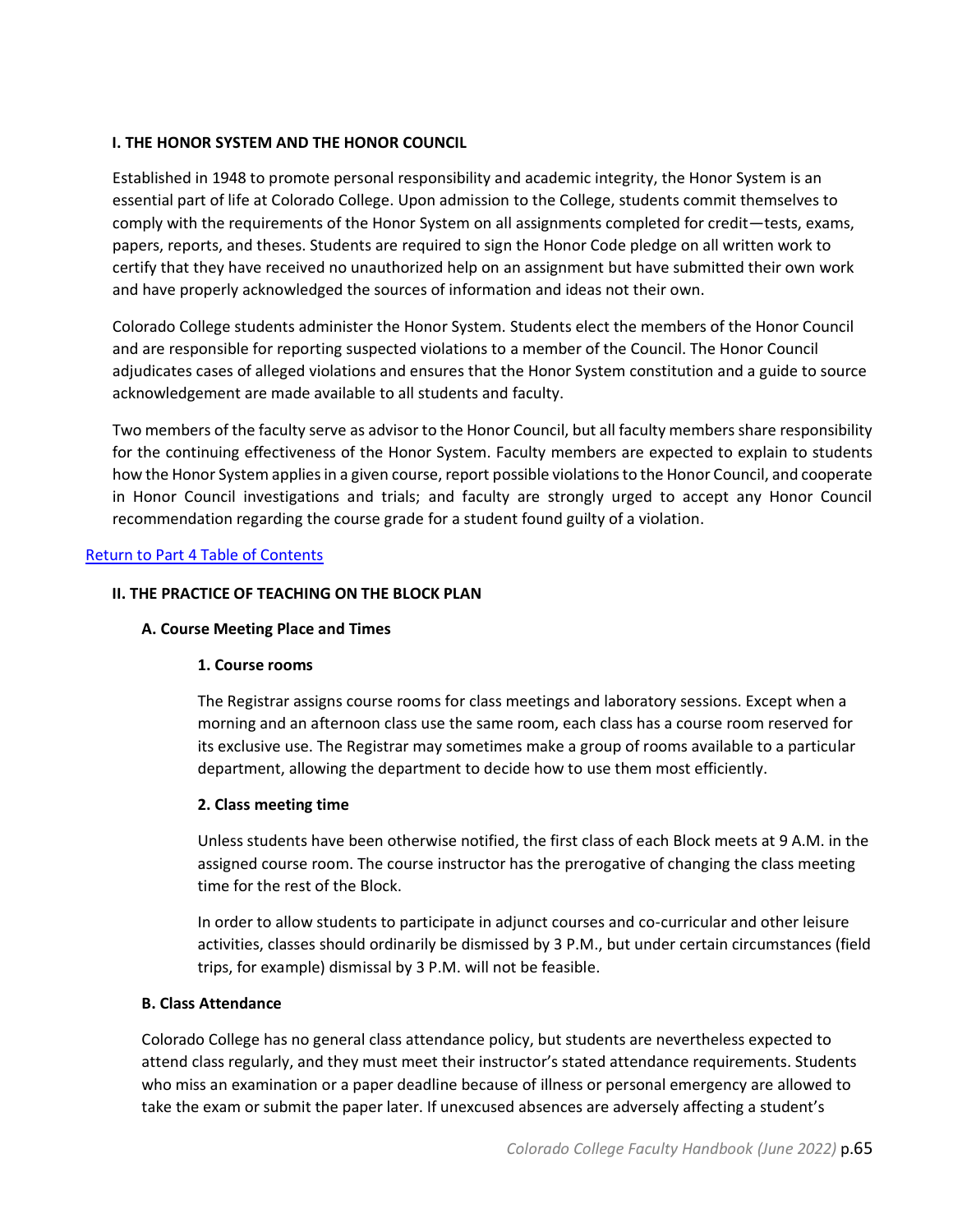## <span id="page-64-0"></span>**I. THE HONOR SYSTEM AND THE HONOR COUNCIL**

Established in 1948 to promote personal responsibility and academic integrity, the Honor System is an essential part of life at Colorado College. Upon admission to the College, students commit themselves to comply with the requirements of the Honor System on all assignments completed for credit—tests, exams, papers, reports, and theses. Students are required to sign the Honor Code pledge on all written work to certify that they have received no unauthorized help on an assignment but have submitted their own work and have properly acknowledged the sources of information and ideas not their own.

Colorado College students administer the Honor System. Students elect the members of the Honor Council and are responsible for reporting suspected violations to a member of the Council. The Honor Council adjudicates cases of alleged violations and ensures that the Honor System constitution and a guide to source acknowledgement are made available to all students and faculty.

Two members of the faculty serve as advisor to the Honor Council, but all faculty members share responsibility for the continuing effectiveness of the Honor System. Faculty members are expected to explain to students how the Honor System applies in a given course, report possible violations to the Honor Council, and cooperate in Honor Council investigations and trials; and faculty are strongly urged to accept any Honor Council recommendation regarding the course grade for a student found guilty of a violation.

## <span id="page-64-1"></span>Return to Part 4 [Table of Contents](#page-63-0)

## <span id="page-64-2"></span>**II. THE PRACTICE OF TEACHING ON THE BLOCK PLAN**

## **A. Course Meeting Place and Times**

## **1. Course rooms**

The Registrar assigns course rooms for class meetings and laboratory sessions. Except when a morning and an afternoon class use the same room, each class has a course room reserved for its exclusive use. The Registrar may sometimes make a group of rooms available to a particular department, allowing the department to decide how to use them most efficiently.

## **2. Class meeting time**

Unless students have been otherwise notified, the first class of each Block meets at 9 A.M. in the assigned course room. The course instructor has the prerogative of changing the class meeting time for the rest of the Block.

In order to allow students to participate in adjunct courses and co-curricular and other leisure activities, classes should ordinarily be dismissed by 3 P.M., but under certain circumstances (field trips, for example) dismissal by 3 P.M. will not be feasible.

## <span id="page-64-3"></span>**B. Class Attendance**

Colorado College has no general class attendance policy, but students are nevertheless expected to attend class regularly, and they must meet their instructor's stated attendance requirements. Students who miss an examination or a paper deadline because of illness or personal emergency are allowed to take the exam or submit the paper later. If unexcused absences are adversely affecting a student's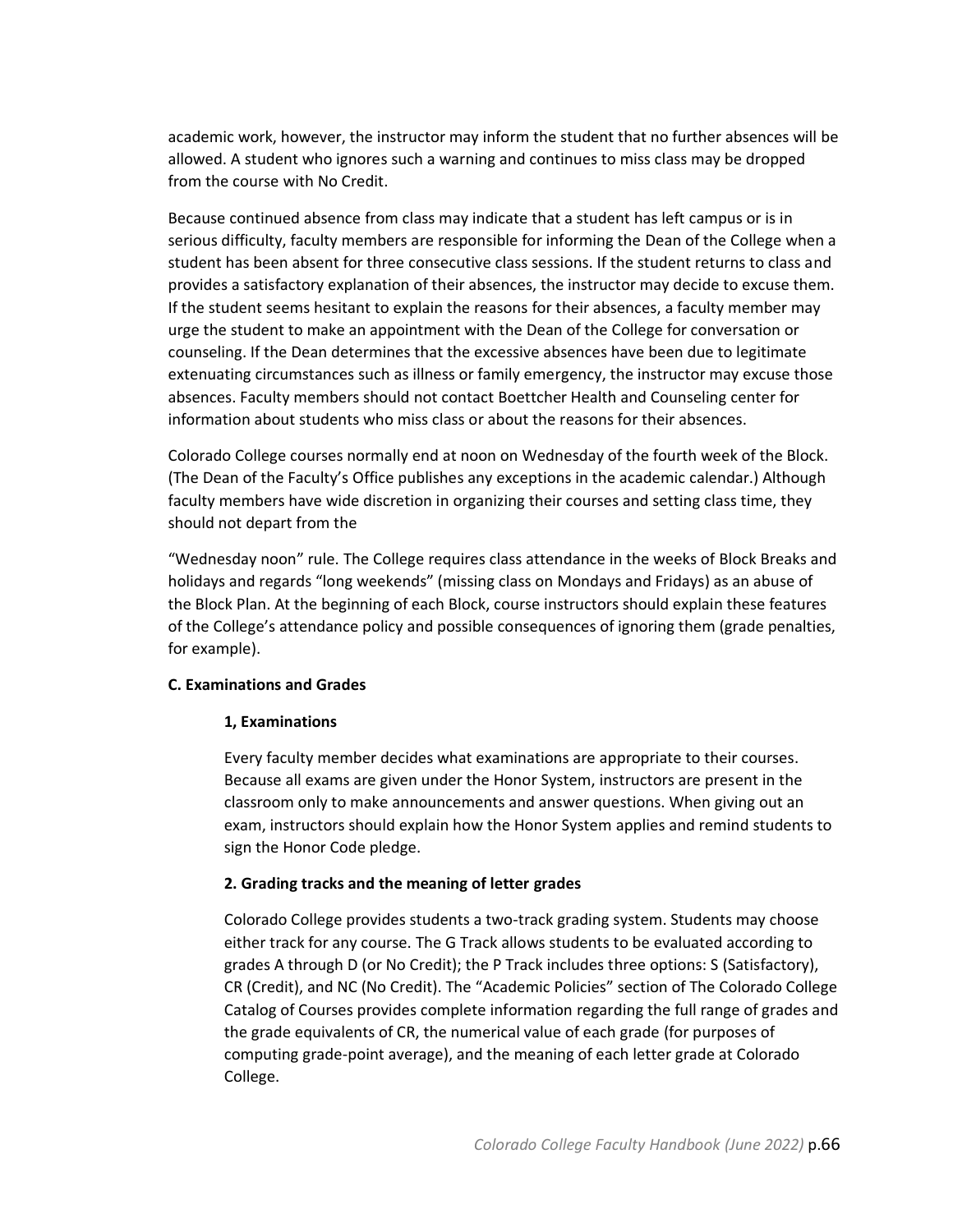academic work, however, the instructor may inform the student that no further absences will be allowed. A student who ignores such a warning and continues to miss class may be dropped from the course with No Credit.

Because continued absence from class may indicate that a student has left campus or is in serious difficulty, faculty members are responsible for informing the Dean of the College when a student has been absent for three consecutive class sessions. If the student returns to class and provides a satisfactory explanation of their absences, the instructor may decide to excuse them. If the student seems hesitant to explain the reasons for their absences, a faculty member may urge the student to make an appointment with the Dean of the College for conversation or counseling. If the Dean determines that the excessive absences have been due to legitimate extenuating circumstances such as illness or family emergency, the instructor may excuse those absences. Faculty members should not contact Boettcher Health and Counseling center for information about students who miss class or about the reasons for their absences.

Colorado College courses normally end at noon on Wednesday of the fourth week of the Block. (The Dean of the Faculty's Office publishes any exceptions in the academic calendar.) Although faculty members have wide discretion in organizing their courses and setting class time, they should not depart from the

"Wednesday noon" rule. The College requires class attendance in the weeks of Block Breaks and holidays and regards "long weekends" (missing class on Mondays and Fridays) as an abuse of the Block Plan. At the beginning of each Block, course instructors should explain these features of the College's attendance policy and possible consequences of ignoring them (grade penalties, for example).

## <span id="page-65-0"></span>**C. Examinations and Grades**

## **1, Examinations**

Every faculty member decides what examinations are appropriate to their courses. Because all exams are given under the Honor System, instructors are present in the classroom only to make announcements and answer questions. When giving out an exam, instructors should explain how the Honor System applies and remind students to sign the Honor Code pledge.

## **2. Grading tracks and the meaning of letter grades**

Colorado College provides students a two-track grading system. Students may choose either track for any course. The G Track allows students to be evaluated according to grades A through D (or No Credit); the P Track includes three options: S (Satisfactory), CR (Credit), and NC (No Credit). The "Academic Policies" section of The Colorado College Catalog of Courses provides complete information regarding the full range of grades and the grade equivalents of CR, the numerical value of each grade (for purposes of computing grade-point average), and the meaning of each letter grade at Colorado College.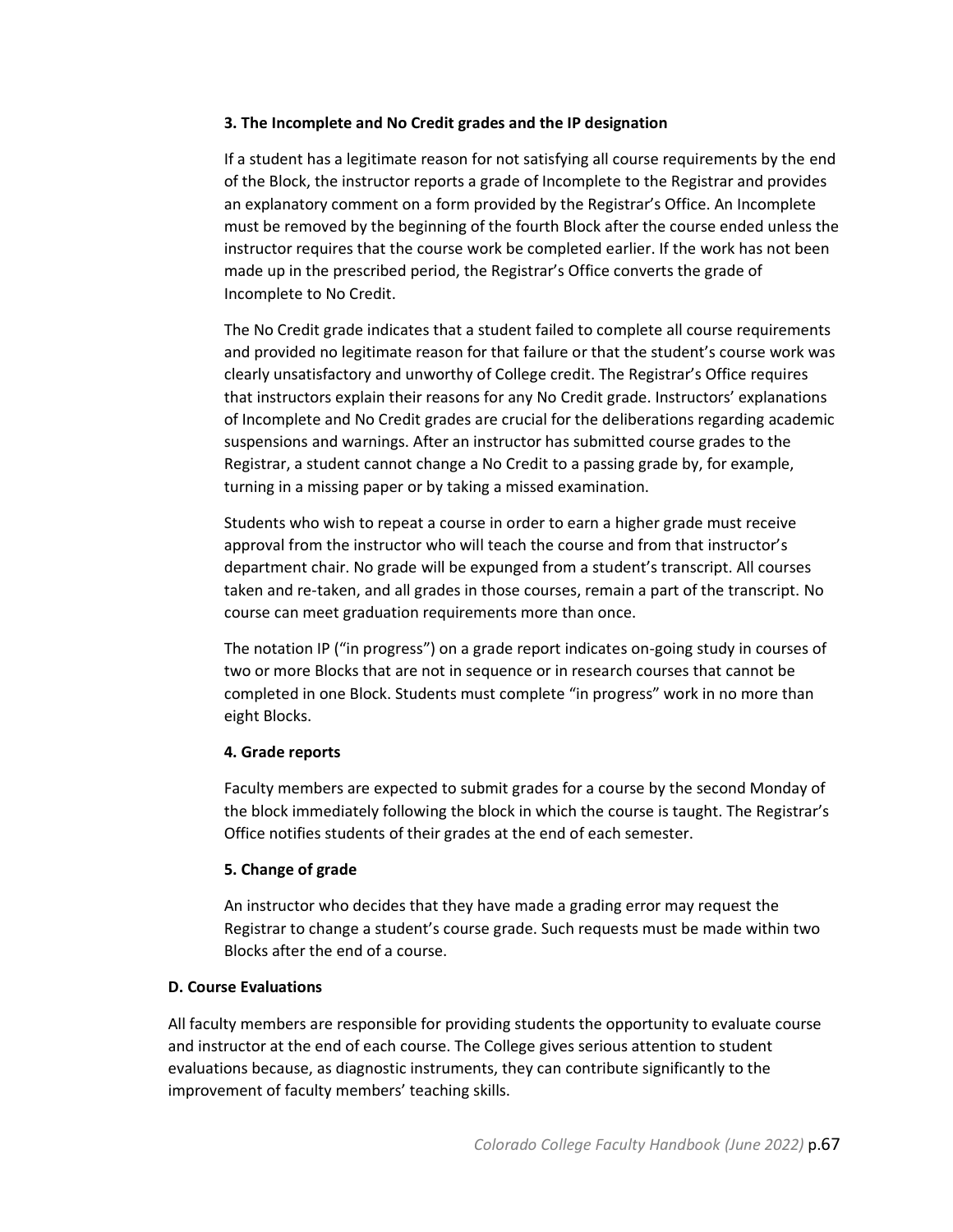## **3. The Incomplete and No Credit grades and the IP designation**

If a student has a legitimate reason for not satisfying all course requirements by the end of the Block, the instructor reports a grade of Incomplete to the Registrar and provides an explanatory comment on a form provided by the Registrar's Office. An Incomplete must be removed by the beginning of the fourth Block after the course ended unless the instructor requires that the course work be completed earlier. If the work has not been made up in the prescribed period, the Registrar's Office converts the grade of Incomplete to No Credit.

The No Credit grade indicates that a student failed to complete all course requirements and provided no legitimate reason for that failure or that the student's course work was clearly unsatisfactory and unworthy of College credit. The Registrar's Office requires that instructors explain their reasons for any No Credit grade. Instructors' explanations of Incomplete and No Credit grades are crucial for the deliberations regarding academic suspensions and warnings. After an instructor has submitted course grades to the Registrar, a student cannot change a No Credit to a passing grade by, for example, turning in a missing paper or by taking a missed examination.

Students who wish to repeat a course in order to earn a higher grade must receive approval from the instructor who will teach the course and from that instructor's department chair. No grade will be expunged from a student's transcript. All courses taken and re-taken, and all grades in those courses, remain a part of the transcript. No course can meet graduation requirements more than once.

The notation IP ("in progress") on a grade report indicates on-going study in courses of two or more Blocks that are not in sequence or in research courses that cannot be completed in one Block. Students must complete "in progress" work in no more than eight Blocks.

## **4. Grade reports**

Faculty members are expected to submit grades for a course by the second Monday of the block immediately following the block in which the course is taught. The Registrar's Office notifies students of their grades at the end of each semester.

## **5. Change of grade**

An instructor who decides that they have made a grading error may request the Registrar to change a student's course grade. Such requests must be made within two Blocks after the end of a course.

## <span id="page-66-0"></span>**D. Course Evaluations**

All faculty members are responsible for providing students the opportunity to evaluate course and instructor at the end of each course. The College gives serious attention to student evaluations because, as diagnostic instruments, they can contribute significantly to the improvement of faculty members' teaching skills.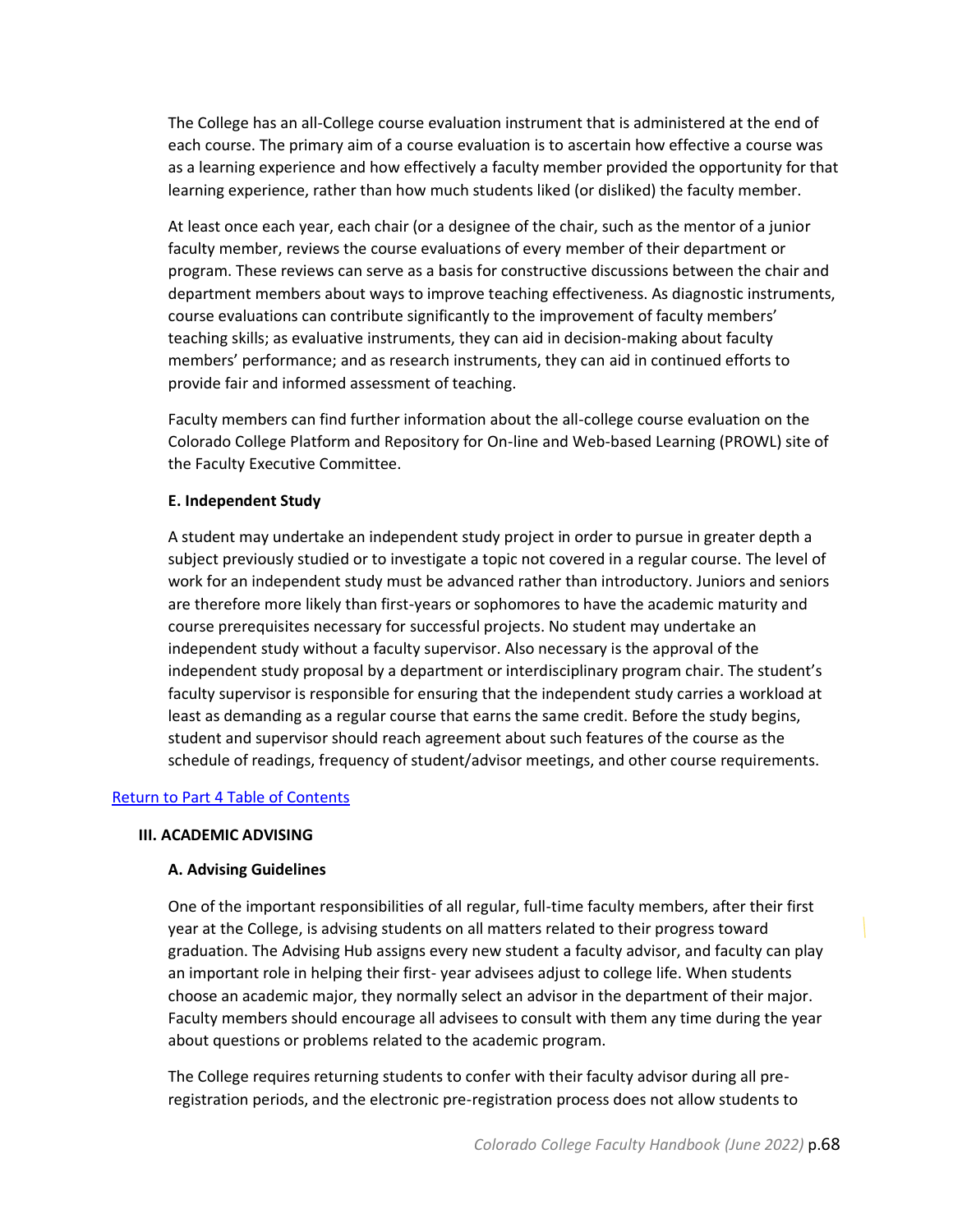The College has an all-College course evaluation instrument that is administered at the end of each course. The primary aim of a course evaluation is to ascertain how effective a course was as a learning experience and how effectively a faculty member provided the opportunity for that learning experience, rather than how much students liked (or disliked) the faculty member.

At least once each year, each chair (or a designee of the chair, such as the mentor of a junior faculty member, reviews the course evaluations of every member of their department or program. These reviews can serve as a basis for constructive discussions between the chair and department members about ways to improve teaching effectiveness. As diagnostic instruments, course evaluations can contribute significantly to the improvement of faculty members' teaching skills; as evaluative instruments, they can aid in decision-making about faculty members' performance; and as research instruments, they can aid in continued efforts to provide fair and informed assessment of teaching.

Faculty members can find further information about the all-college course evaluation on the Colorado College Platform and Repository for On-line and Web-based Learning (PROWL) site of the Faculty Executive Committee.

#### <span id="page-67-0"></span>**E. Independent Study**

A student may undertake an independent study project in order to pursue in greater depth a subject previously studied or to investigate a topic not covered in a regular course. The level of work for an independent study must be advanced rather than introductory. Juniors and seniors are therefore more likely than first-years or sophomores to have the academic maturity and course prerequisites necessary for successful projects. No student may undertake an independent study without a faculty supervisor. Also necessary is the approval of the independent study proposal by a department or interdisciplinary program chair. The student's faculty supervisor is responsible for ensuring that the independent study carries a workload at least as demanding as a regular course that earns the same credit. Before the study begins, student and supervisor should reach agreement about such features of the course as the schedule of readings, frequency of student/advisor meetings, and other course requirements.

#### <span id="page-67-1"></span>Return to Part 4 [Table of Contents](#page-63-0)

#### **III. ACADEMIC ADVISING**

## **A. Advising Guidelines**

One of the important responsibilities of all regular, full-time faculty members, after their first year at the College, is advising students on all matters related to their progress toward graduation. The Advising Hub assigns every new student a faculty advisor, and faculty can play an important role in helping their first- year advisees adjust to college life. When students choose an academic major, they normally select an advisor in the department of their major. Faculty members should encourage all advisees to consult with them any time during the year about questions or problems related to the academic program.

The College requires returning students to confer with their faculty advisor during all preregistration periods, and the electronic pre-registration process does not allow students to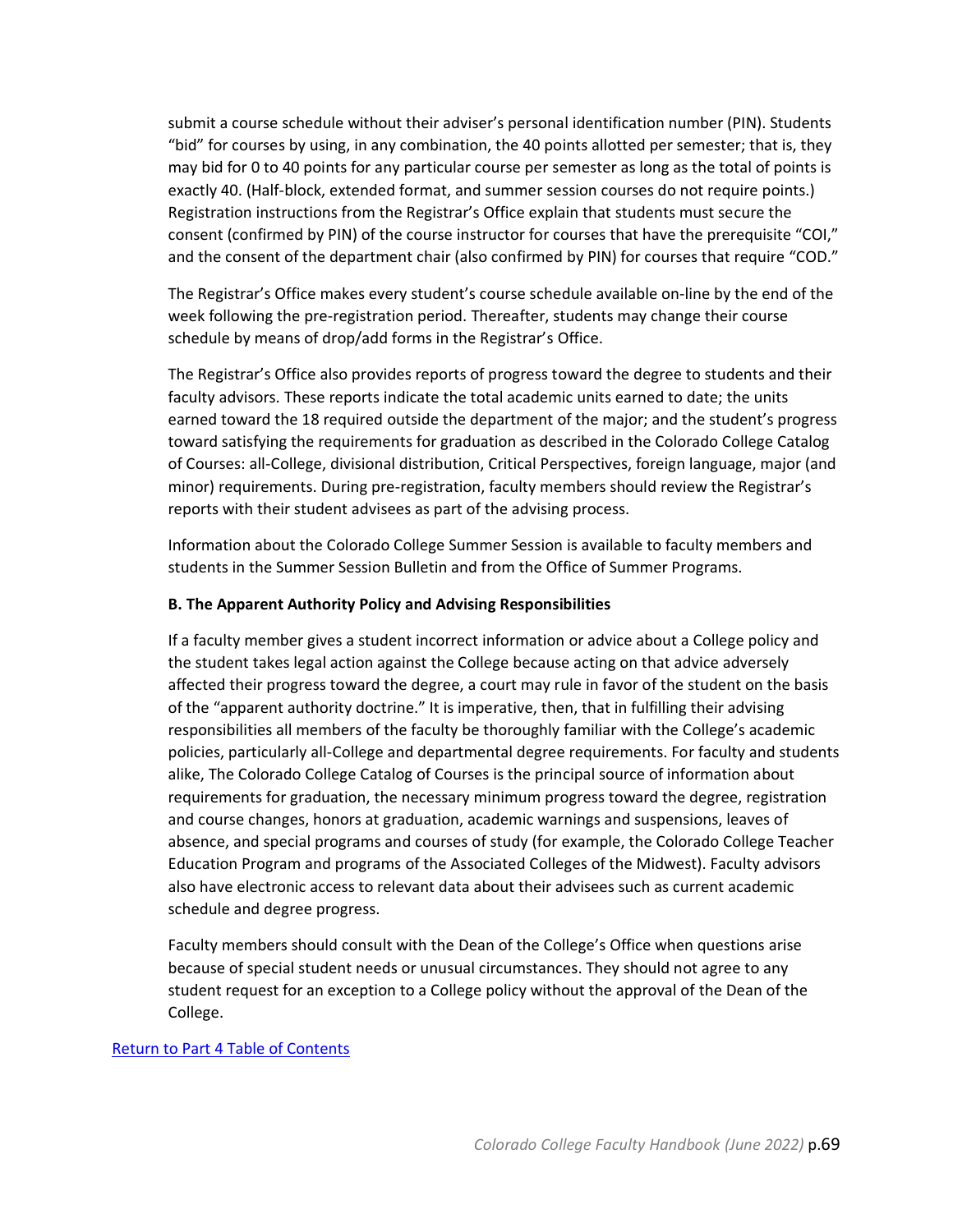submit a course schedule without their adviser's personal identification number (PIN). Students "bid" for courses by using, in any combination, the 40 points allotted per semester; that is, they may bid for 0 to 40 points for any particular course per semester as long as the total of points is exactly 40. (Half-block, extended format, and summer session courses do not require points.) Registration instructions from the Registrar's Office explain that students must secure the consent (confirmed by PIN) of the course instructor for courses that have the prerequisite "COI," and the consent of the department chair (also confirmed by PIN) for courses that require "COD."

The Registrar's Office makes every student's course schedule available on-line by the end of the week following the pre-registration period. Thereafter, students may change their course schedule by means of drop/add forms in the Registrar's Office.

The Registrar's Office also provides reports of progress toward the degree to students and their faculty advisors. These reports indicate the total academic units earned to date; the units earned toward the 18 required outside the department of the major; and the student's progress toward satisfying the requirements for graduation as described in the Colorado College Catalog of Courses: all-College, divisional distribution, Critical Perspectives, foreign language, major (and minor) requirements. During pre-registration, faculty members should review the Registrar's reports with their student advisees as part of the advising process.

Information about the Colorado College Summer Session is available to faculty members and students in the Summer Session Bulletin and from the Office of Summer Programs.

## **B. The Apparent Authority Policy and Advising Responsibilities**

If a faculty member gives a student incorrect information or advice about a College policy and the student takes legal action against the College because acting on that advice adversely affected their progress toward the degree, a court may rule in favor of the student on the basis of the "apparent authority doctrine." It is imperative, then, that in fulfilling their advising responsibilities all members of the faculty be thoroughly familiar with the College's academic policies, particularly all-College and departmental degree requirements. For faculty and students alike, The Colorado College Catalog of Courses is the principal source of information about requirements for graduation, the necessary minimum progress toward the degree, registration and course changes, honors at graduation, academic warnings and suspensions, leaves of absence, and special programs and courses of study (for example, the Colorado College Teacher Education Program and programs of the Associated Colleges of the Midwest). Faculty advisors also have electronic access to relevant data about their advisees such as current academic schedule and degree progress.

Faculty members should consult with the Dean of the College's Office when questions arise because of special student needs or unusual circumstances. They should not agree to any student request for an exception to a College policy without the approval of the Dean of the College.

## Return to Part 4 [Table of Contents](#page-63-0)